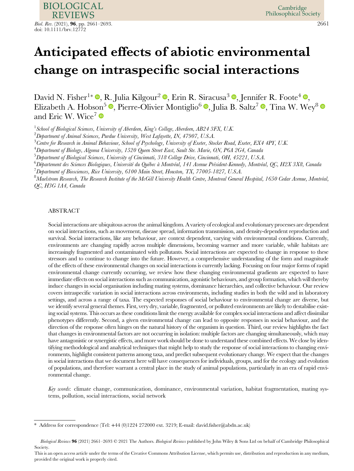**BIOLOGICAL REVIEWS** *Biol. Rev.* (2021), **96**, pp. 2661–2693. 2661 doi: 10.1111/brv.12772

Cambridge Philosophical Society

# Anticipated effects of abiotic environmental change on intraspecific social interactions

David N. Fisher<sup>1\*</sup>  $\mathbb{D}$ [,](https://orcid.org/0000-0003-4205-7278) R. Julia Kilgour<sup>2</sup>  $\mathbb{D}$ , Erin R. Siracusa<sup>3</sup>  $\mathbb{D}$ , Jennifer R. Foote<sup>4</sup>  $\mathbb{D}$ , Elizabeth A. Hobson<sup>5</sup>  $\bullet$ [,](https://orcid.org/0000-0002-0645-173X) Pierre-Olivier Montiglio<sup>6</sup>  $\bullet$ , Julia B. Saltz<sup>7</sup>  $\bullet$ , Tina W. Wey<sup>8</sup> and Eric W. Wice<sup>7</sup>

<sup>1</sup> School of Biological Sciences, University of Aberdeen, King's College, Aberdeen, AB24 3FX, U.K.

 $^2$ Department of Animal Sciences, Purdue University, West Lafayette, IN, 47907, U.S.A.

 $^3$ Centre for Research in Animal Behaviour, School of Psychology, University of Exeter, Stocker Road, Exeter, EX4 4PY, U.K.

4 Department of Biology, Algoma University, 1520 Queen Street East, Sault Ste. Marie, ON, P6A 2G4, Canada

5 Department of Biological Sciences, University of Cincinnati, 318 College Drive, Cincinnati, OH, 45221, U.S.A.

<sup>6</sup>Département des Sciences Biologiques, Université du Québec à Montréal, 141 Avenue Président-Kennedy, Montréal, QC, H2X 3X8, Canada

<sup>7</sup> Department of Biosciences, Rice University, 6100 Main Street, Houston, TX, 77005-1827, U.S.A.

 $^8\Lambda$ aelstrom Research, The Research Institute of the McGill University Health Centre, Montreal General Hospital, 1650 Cedar Avenue, Montréal, QC, H3G 1A4, Canada

# ABSTRACT

Social interactions are ubiquitous across the animal kingdom. A variety of ecological and evolutionary processes are dependent on social interactions, such as movement, disease spread, information transmission, and density-dependent reproduction and survival. Social interactions, like any behaviour, are context dependent, varying with environmental conditions. Currently, environments are changing rapidly across multiple dimensions, becoming warmer and more variable, while habitats are increasingly fragmented and contaminated with pollutants. Social interactions are expected to change in response to these stressors and to continue to change into the future. However, a comprehensive understanding of the form and magnitude of the effects of these environmental changes on social interactions is currently lacking. Focusing on four major forms of rapid environmental change currently occurring, we review how these changing environmental gradients are expected to have immediate effects on social interactions such as communication, agonistic behaviours, and group formation, which will thereby induce changes in social organisation including mating systems, dominance hierarchies, and collective behaviour. Our review covers intraspecific variation in social interactions across environments, including studies in both the wild and in laboratory settings, and across a range of taxa. The expected responses of social behaviour to environmental change are diverse, but we identify several general themes. First, very dry, variable, fragmented, or polluted environments are likely to destabilise existing social systems. This occurs as these conditions limit the energy available for complex social interactions and affect dissimilar phenotypes differently. Second, a given environmental change can lead to opposite responses in social behaviour, and the direction of the response often hinges on the natural history of the organism in question. Third, our review highlights the fact that changes in environmental factors are not occurring in isolation: multiple factors are changing simultaneously, which may have antagonistic or synergistic effects, and more work should be done to understand these combined effects. We close by identifying methodological and analytical techniques that might help to study the response of social interactions to changing environments, highlight consistent patterns among taxa, and predict subsequent evolutionary change. We expect that the changes in social interactions that we document here will have consequences for individuals, groups, and for the ecology and evolution of populations, and therefore warrant a central place in the study of animal populations, particularly in an era of rapid environmental change.

Key words: climate change, communication, dominance, environmental variation, habitat fragmentation, mating systems, pollution, social interactions, social network

Address for correspondence (Tel:  $+44$  (0)1224 272000 ext. 3219; E-mail: david.fi[sher@abdn.ac.uk\)](mailto:david.fisher@abdn.ac.uk)

Biological Reviews 96 (2021) 2661-2693 © 2021 The Authors. Biological Reviews published by John Wiley & Sons Ltd on behalf of Cambridge Philosophical Society.

This is an open access article under the terms of the [Creative Commons Attribution](http://creativecommons.org/licenses/by/4.0/) License, which permits use, distribution and reproduction in any medium, provided the original work is properly cited.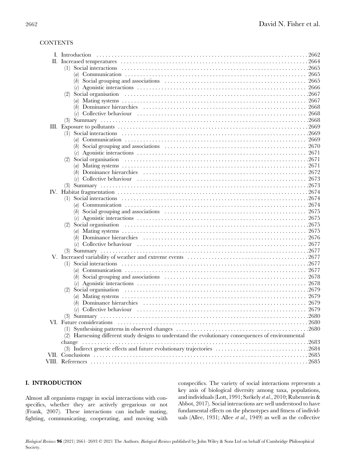# **CONTENTS**

| (1)                                                                                                                                |       |
|------------------------------------------------------------------------------------------------------------------------------------|-------|
|                                                                                                                                    | 2665  |
|                                                                                                                                    |       |
|                                                                                                                                    | 2666  |
| (2)                                                                                                                                |       |
|                                                                                                                                    |       |
| (b) Dominance hierarchies $\dots \dots \dots \dots \dots \dots \dots \dots \dots \dots \dots \dots \dots \dots \dots \dots \dots$  | 2668  |
|                                                                                                                                    | 2668  |
|                                                                                                                                    |       |
|                                                                                                                                    |       |
| (1)                                                                                                                                |       |
|                                                                                                                                    |       |
|                                                                                                                                    |       |
| (c) Agonistic interactions $\dots \dots \dots \dots \dots \dots \dots \dots \dots \dots \dots \dots \dots \dots \dots \dots \dots$ | 2671  |
| (2)                                                                                                                                |       |
|                                                                                                                                    |       |
|                                                                                                                                    |       |
|                                                                                                                                    |       |
|                                                                                                                                    |       |
|                                                                                                                                    |       |
| (1)                                                                                                                                |       |
|                                                                                                                                    |       |
|                                                                                                                                    |       |
|                                                                                                                                    |       |
| (2)                                                                                                                                |       |
|                                                                                                                                    | 2675  |
|                                                                                                                                    |       |
|                                                                                                                                    |       |
|                                                                                                                                    |       |
|                                                                                                                                    |       |
| (1)                                                                                                                                |       |
|                                                                                                                                    |       |
|                                                                                                                                    |       |
|                                                                                                                                    |       |
| (2)                                                                                                                                |       |
|                                                                                                                                    |       |
|                                                                                                                                    |       |
|                                                                                                                                    |       |
| $(3)$ Summary                                                                                                                      | .2680 |
|                                                                                                                                    |       |
|                                                                                                                                    |       |
| (2) Harnessing different study designs to understand the evolutionary consequences of environmental                                |       |
| change                                                                                                                             | .2683 |
| (3) Indirect genetic effects and future evolutionary trajectories 2684                                                             |       |
|                                                                                                                                    |       |
|                                                                                                                                    |       |
|                                                                                                                                    |       |

# I. INTRODUCTION

Almost all organisms engage in social interactions with conspecifics, whether they are actively gregarious or not (Frank, 2007). These interactions can include mating, fighting, communicating, cooperating, and moving with

conspecifics. The variety of social interactions represents a key axis of biological diversity among taxa, populations, and individuals (Lott, 1991; Székely et al., 2010; Rubenstein & Abbot, 2017). Social interactions are well understood to have fundamental effects on the phenotypes and fitness of individuals (Allee, 1931; Allee *et al.*, 1949) as well as the collective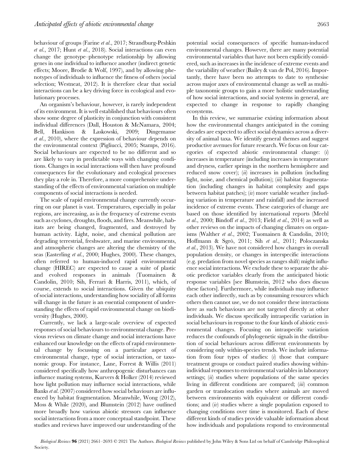behaviour of groups (Farine et al., 2017; Strandburg-Peshkin et al., 2017; Hunt et al., 2018). Social interactions can even change the genotype–phenotype relationship by allowing genes in one individual to influence another (indirect genetic effects; Moore, Brodie & Wolf, 1997), and by allowing phenotypes of individuals to influence the fitness of others (social selection; Westneat, 2012). It is therefore clear that social interactions can be a key driving force in ecological and evolutionary processes.

An organism's behaviour, however, is rarely independent of its environment. It is well established that behaviours often show some degree of plasticity in conjunction with consistent individual differences (Dall, Houston & McNamara, 2004; Bell, Hankison & Laskowski, 2009; Dingemanse et al., 2010), where the expression of behaviour depends on the environmental context (Pigliucci, 2005; Stamps, 2016). Social behaviours are expected to be no different and so are likely to vary in predictable ways with changing conditions. Changes in social interactions will then have profound consequences for the evolutionary and ecological processes they play a role in. Therefore, a more comprehensive understanding of the effects of environmental variation on multiple components of social interactions is needed.

The scale of rapid environmental change currently occurring on our planet is vast. Temperatures, especially in polar regions, are increasing, as is the frequency of extreme events such as cyclones, droughts, floods, and fires. Meanwhile, habitats are being changed, fragmented, and destroyed by human activity. Light, noise, and chemical pollution are degrading terrestrial, freshwater, and marine environments, and atmospheric changes are altering the chemistry of the seas (Easterling et al., 2000; Hughes, 2000). These changes, often referred to human-induced rapid environmental change (HIREC) are expected to cause a suite of plastic and evolved responses in animals (Tuomainen & Candolin, 2010; Sih, Ferrari & Harris, 2011), which, of course, extends to social interactions. Given the ubiquity of social interactions, understanding how sociality of all forms will change in the future is an essential component of understanding the effects of rapid environmental change on biodiversity (Hughes, 2000).

Currently, we lack a large-scale overview of expected responses of social behaviours to environmental change. Previous reviews on climate change and social interactions have enhanced our knowledge on the effects of rapid environmental change by focussing on a particular aspect of environmental change, type of social interaction, or taxonomic group. For instance, Lane, Forrest & Willis (2011) considered specifically how anthropogenic disturbances can influence mating systems, Kurvers & Holker (2014) reviewed how light pollution may influence social interactions, while Banks et al. (2007) considered how social behaviours are influenced by habitat fragmentation. Meanwhile, Wong (2012), Moss & While (2020), and Blumstein (2012) have outlined more broadly how various abiotic stressors can influence social interactions from a more conceptual standpoint. These studies and reviews have improved our understanding of the

potential social consequences of specific human-induced environmental changes. However, there are many potential environmental variables that have not been explicitly considered, such as increases in the incidence of extreme events and the variability of weather (Bailey & van de Pol, 2016). Importantly, there have been no attempts to date to synthesise across major axes of environmental change as well as multiple taxonomic groups to gain a more holistic understanding of how social interactions, and social systems in general, are expected to change in response to rapidly changing ecosystems.

In this review, we summarise existing information about how the environmental changes anticipated in the coming decades are expected to affect social dynamics across a diversity of animal taxa. We identify general themes and suggest productive avenues for future research. We focus on four categories of expected abiotic environmental change: (i) increases in temperature (including increases in temperature and dryness, earlier springs in the northern hemisphere and reduced snow cover); (ii) increases in pollution (including light, noise, and chemical pollution); (iii) habitat fragmentation (including changes in habitat complexity and gaps between habitat patches); (iv) more variable weather (including variation in temperature and rainfall) and the increased incidence of extreme events. These categories of change are based on those identified by international reports (Meehl et al., 2000; Bindoff et al., 2013; Field et al., 2014) as well as other reviews on the impacts of changing climates on organisms (Walther et al., 2002; Tuomainen & Candolin, 2010; Hoffmann & Sgrò, 2011; Sih et al., 2011; Poloczanska et al., 2013). We have not considered how changes in overall population density, or changes in interspecific interactions (e.g. predation from novel species as ranges shift) might influence social interactions. We exclude these to separate the abiotic predictor variables clearly from the anticipated biotic response variables [see Blumstein, 2012 who does discuss these factors]. Furthermore, while individuals may influence each other indirectly, such as by consuming resources which others then cannot use, we do not consider these interactions here as such behaviours are not targeted directly at other individuals. We discuss specifically intraspecific variation in social behaviours in response to the four kinds of abiotic environmental changes. Focusing on intraspecific variation reduces the confounds of phylogenetic signals in the distribution of social behaviours across different environments by considering only within-species trends. We include information from four types of studies:  $(i)$  those that compare treatment groups or conduct paired studies showing withinindividual responses to environmental variables in laboratory settings;  $(ii)$  studies where populations of the same species living in different conditions are compared; (iii) common garden or translocation studies where animals are moved between environments with equivalent or different conditions; and  $(iv)$  studies where a single population exposed to changing conditions over time is monitored. Each of these different kinds of studies provide valuable information about how individuals and populations respond to environmental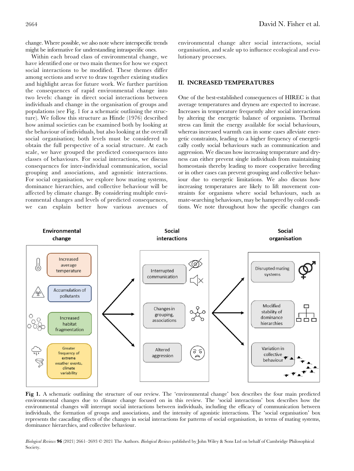change. Where possible, we also note where interspecific trends might be informative for understanding intraspecific ones.

Within each broad class of environmental change, we have identified one or two main themes for how we expect social interactions to be modified. These themes differ among sections and serve to draw together existing studies and highlight areas for future work. We further partition the consequences of rapid environmental change into two levels: change in direct social interactions between individuals and change in the organisation of groups and populations (see Fig. 1 for a schematic outlining the structure). We follow this structure as Hinde (1976) described how animal societies can be examined both by looking at the behaviour of individuals, but also looking at the overall social organisation; both levels must be considered to obtain the full perspective of a social structure. At each scale, we have grouped the predicted consequences into classes of behaviours. For social interactions, we discuss consequences for inter-individual communication, social grouping and associations, and agonistic interactions. For social organisation, we explore how mating systems, dominance hierarchies, and collective behaviour will be affected by climate change. By considering multiple environmental changes and levels of predicted consequences, we can explain better how various avenues of environmental change alter social interactions, social organisation, and scale up to influence ecological and evolutionary processes.

# II. INCREASED TEMPERATURES

One of the best-established consequences of HIREC is that average temperatures and dryness are expected to increase. Increases in temperature frequently alter social interactions by altering the energetic balance of organisms. Thermal stress can limit the energy available for social behaviours, whereas increased warmth can in some cases alleviate energetic constraints, leading to a higher frequency of energetically costly social behaviours such as communication and aggression. We discuss how increasing temperature and dryness can either prevent single individuals from maintaining homeostasis thereby leading to more cooperative breeding or in other cases can prevent grouping and collective behaviour due to energetic limitations. We also discuss how increasing temperatures are likely to lift movement constraints for organisms where social behaviours, such as mate-searching behaviours, may be hampered by cold conditions. We note throughout how the specific changes can



Fig 1. A schematic outlining the structure of our review. The 'environmental change' box describes the four main predicted environmental changes due to climate change focused on in this review. The 'social interactions' box describes how the environmental changes will interrupt social interactions between individuals, including the efficacy of communication between individuals, the formation of groups and associations, and the intensity of agonistic interactions. The 'social organisation' box represents the cascading effects of the changes in social interactions for patterns of social organisation, in terms of mating systems, dominance hierarchies, and collective behaviour.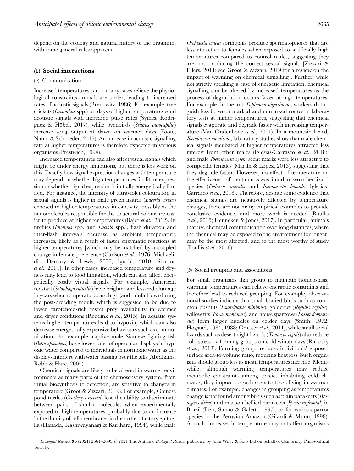depend on the ecology and natural history of the organism, with some general rules apparent.

#### (1) Social interactions

#### (a) Communication

Increased temperatures can in many cases relieve the physiological constraints animals are under, leading to increased rates of acoustic signals (Brenowitz, 1986). For example, tree crickets (Oecanthus spp.) on days of higher temperatures send acoustic signals with increased pulse rates (Symes, Rodríguez & Höbel, 2017), while ovenbirds (Seiurus aurocapilla) increase song output at dawn on warmer days (Foote, Nanni & Schroeder, 2017). An increase in acoustic signalling rate at higher temperatures is therefore expected in various organisms (Prestwich, 1994).

Increased temperatures can also affect visual signals which might be under energy limitations, but there is less work on this. Exactly how signal expression changes with temperature may depend on whether high temperatures facilitate expression or whether signal expression is initially energetically limited. For instance, the intensity of ultraviolet colouration in sexual signals is higher in male green lizards (*Lacerta viridis*) exposed to higher temperatures in captivity, possibly as the nanomolecules responsible for the structural colour are easier to produce at higher temperatures (Bajer et al., 2012). In fireflies (*Photinus* spp. and *Luciola* spp.), flash duration and inter-flash intervals decrease as ambient temperature increases, likely as a result of faster enzymatic reactions at higher temperatures [which may be matched by a coupled change in female preference (Carlson et al., 1976; Michaelidis, Demary & Lewis, 2006; Iguchi, 2010; Sharma et al., 2014]. In other cases, increased temperature and dryness may lead to food limitation, which can also affect energetically costly visual signals. For example, American redstart (Setophaga ruticilla) have brighter and less-red plumage in years when temperatures are high (and rainfall low) during the post-breeding moult, which is suggested to be due to lower carotenoid-rich insect prey availability in warmer and dryer conditions (Reudink et al., 2015). In aquatic systems higher temperatures lead to hypoxia, which can also decrease energetically expensive behaviours such as communication. For example, captive male Siamese fighting fish (Betta splendens) have lower rates of opercular displays in hypoxic water compared to individuals in normoxic water as the displays interfere with water passing over the gills (Abrahams, Robb & Hare, 2005).

Chemical signals are likely to be altered in warmer environments as many parts of the chemosensory system, from initial biosynthesis to detection, are sensitive to changes in temperature (Groot & Zizzari, 2019). For example, Chinese pond turtles (*Geoclemys reevesii*) lose the ability to discriminate between pairs of similar molecules when experimentally exposed to high temperatures, probably due to an increase in the fluidity of cell membranes in the turtle olfactory epithelia (Hanada, Kashiwayanagi & Kurihara, 1994), while male

Orchesella cincta springtails produce spermatophores that are less attractive to females when exposed to artificially high temperatures compared to control males, suggesting they are not producing the correct sexual signals [Zizzari & Ellers, 2011; see Groot & Zizzari, 2019 for a review on the impact of warming on chemical signalling]. Further, while not strictly speaking a case of energetic limitation, chemical signalling can be altered by increased temperatures as the process of degradation occurs faster at high temperatures. For example, in the ant *Tapinoma nigerrimum*, workers distinguish less between marked and unmarked routes in laboratory tests at higher temperatures, suggesting that chemical signals evaporate and degrade faster with increasing temperature (Van Oudenhove et al., 2011). In a mountain lizard, Iberolacerta monticola, laboratory studies show that male chemical signals incubated at higher temperatures attracted less interest from other males (Iglesias-Carrasco et al., 2018), and male Iberolacerta cyreni scent marks were less attractive to conspecific females (Martín & López, 2013), suggesting that they degrade faster. However, no effect of temperature on the effectiveness of scent marks was found in two other lizard species (Podarcis muralis and Iberolacerta bonalli; Iglesias-Carrasco et al., 2018). Therefore, despite some evidence that chemical signals are negatively affected by temperature changes, there are not many empirical examples to provide conclusive evidence, and more work is needed (Boullis et al., 2016; Henneken & Jones, 2017). In particular, animals that use chemical communication over long distances, where the chemical may be exposed to the environment for longer, may be the most affected, and so the most worthy of study (Boullis et al., 2016).

# (b) Social grouping and associations

For small organisms that group to maintain homeostasis, warming temperatures can relieve energetic constraints and therefore lead to reduced grouping. For example, observational studies indicate that small-bodied birds such as common bushtits (Psultriparus minimus), goldcrest (Regulus regulus), willow tits (Parus montanus), and house sparrows (Passer domesticus) form larger huddles on colder days (Smith, 1972; Hogstad, 1984, 1988; Griesser et al., 2011), while small social lizards such as desert night lizards (Xantusia vigilis) also reduce cold stress by forming groups on cold winter days (Rabosky et al., 2012). Forming groups reduces individuals' exposed surface area-to-volume ratio, reducing heat loss. Such organisms should group less as mean temperatures increase. Meanwhile, although warming temperatures may reduce metabolic constraints among species inhabiting cold climates, they impose no such costs to those living in warmer climates. For example, changes in grouping as temperatures change is not found among birds such as plain parakeets (Brotogeris tirica) and maroon-bellied parakeets (Pyrrhura frontal) in Brazil (Pizo, Simao & Galetti, 1997), or for various parrot species in the Peruvian Amazon (Gilardi & Munn, 1998). As such, increases in temperature may not affect organisms

Biological Reviews 96 (2021) 2661–2693 © 2021 The Authors. Biological Reviews published by John Wiley & Sons Ltd on behalf of Cambridge Philosophical Society.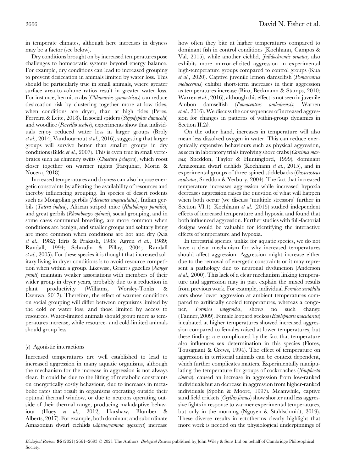in temperate climates, although here increases in dryness may be a factor (see below).

Dry conditions brought on by increased temperatures pose challenges to homeostatic systems beyond energy balance. For example, dry conditions can lead to increased grouping to prevent desiccation in animals limited by water loss. This should be particularly true in small animals, where greater surface area-to-volume ratios result in greater water loss. For instance, hermit crabs (Clibanarius symmetricus) can reduce desiccation risk by clustering together more at low tides, when conditions are dryer, than at high tides (Peres, Ferreira & Leite, 2018). In social spiders (Stegodyphus dumicola) and woodlice (Porcellio scaber), experiments show that individuals enjoy reduced water loss in larger groups (Broly et al., 2014; Vanthournout et al., 2016), suggesting that larger groups will survive better than smaller groups in dry conditions (Bilde et al., 2007). This is even true in small vertebrates such as chimney swifts (Chaetura pelagica), which roost closer together on warmer nights (Farquhar, Morin & Nocera, 2018).

Increased temperatures and dryness can also impose energetic constraints by affecting the availability of resources and thereby influencing grouping. In species of desert rodents such as Mongolian gerbils (Meriones unguiculatus), Indian gerbils (Tatera indica), African striped mice (Rhabdomys pumilio), and great gerbils (Rhombomys opimus), social grouping, and in some cases communal breeding, are more common when conditions are benign, and smaller groups and solitary living are more common when conditions are hot and dry (Xia et al., 1982; Idris & Prakash, 1985; Agren et al., 1989; Randall, 1994; Schradin & Pillay, 2004; Randall et al., 2005). For these species it is thought that increased solitary living in dryer conditions is to avoid resource competition when within a group. Likewise, Grant's gazelles (Nanger granti) maintain weaker associations with members of their wider group in dryer years, probably due to a reduction in plant productivity (Williams, Worsley-Tonks & Ezenwa, 2017). Therefore, the effect of warmer conditions on social grouping will differ between organisms limited by the cold or water loss, and those limited by access to resources. Water-limited animals should group more as temperatures increase, while resource- and cold-limited animals should group less.

# (c) Agonistic interactions

Increased temperatures are well established to lead to increased aggression in many aquatic organisms, although the mechanism for the increase in aggression is not always clear. It could be due to the lifting of metabolic constraints on energetically costly behaviour, due to increases in metabolic rates that result in organisms operating outside their optimal thermal window, or due to neurons operating outside of their thermal range, producing maladaptive behaviour (Huey et al., 2012; Harshaw, Blumber & Alberts, 2017). For example, both dominant and subordinate Amazonian dwarf cichlids (Apistogramma agassizii) increase how often they bite at higher temperatures compared to dominant fish in control conditions (Kochhann, Campos & Val, 2015), while another cichlid, Julidochromis ornatus, also exhibits more mirror-elicited aggression in experimental high-temperature groups compared to control groups (Kua et al., 2020). Captive juvenile lemon damselfish (Pomacentrus moluccensis) exhibit short-term increases in their aggression as temperatures increase (Biro, Beckmann & Stamps, 2010; Warren *et al.*, 2016), although this effect is not seen in juvenile Ambon damselfish (Pomacentrus amboinensis; Warren et al., 2016). We discuss the consequences of increased aggression for changes in patterns of within-group dynamics in Section II.2*b*.

On the other hand, increases in temperature will also mean less dissolved oxygen in water. This can reduce energetically expensive behaviours such as physical aggression, as seen in laboratory trials involving shore crabs (Carcinus maenas; Sneddon, Taylor & Huntingford, 1999), dominant Amazonian dwarf cichlids (Kochhann et al., 2015), and in experimental groups of three-spined sticklebacks (Gasterosteus aculeatus; Sneddon & Yerbury, 2004). The fact that increased temperature increases aggression while increased hypoxia decreases aggression raises the question of what will happen when both occur (we discuss 'multiple stressors' further in Section VI.1). Kochhann et al. (2015) studied independent effects of increased temperature and hypoxia and found that both influenced aggression. Further studies with full-factorial designs would be valuable for identifying the interactive effects of temperature and hypoxia.

In terrestrial species, unlike for aquatic species, we do not have a clear mechanism for why increased temperatures should affect aggression. Aggression might increase either due to the removal of energetic constraints or it may represent a pathology due to neuronal dysfunction (Anderson et al., 2000). This lack of a clear mechanism linking temperature and aggression may in part explain the mixed results from previous work. For example, individual Formica xerophila ants show lower aggression at ambient temperatures compared to artificially cooled temperatures, whereas a congener, Formica integroides, shows no such change (Tanner, 2009). Female leopard geckos (Eublepharis macularius) incubated at higher temperatures showed increased aggression compared to females raised at lower temperatures, but these findings are complicated by the fact that temperature also influences sex determination in this species (Flores, Tousignant & Crews, 1994). The effect of temperature on aggression in territorial animals can be context dependent, which further complicates matters. Experimentally manipulating the temperature for groups of cockroaches (Nauphoeta cinerea), caused an increase in aggression from low-ranked individuals but an decrease in aggression from higher-ranked individuals (Spohn & Moore, 1997). Meanwhile, captive sand field crickets (Gryllus firmus) show shorter and less aggressive fights in response to warmer experimental temperatures, but only in the morning (Nguyen & Stahlschmidt, 2019). These diverse results in ectotherms clearly highlight that more work is needed on the physiological underpinnings of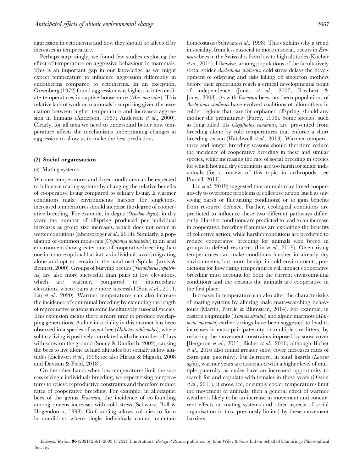aggression in ectotherms and how they should be affected by increases in temperature.

Perhaps surprisingly, we found few studies exploring the effect of temperature on aggressive behaviour in mammals. This is an important gap in our knowledge as we might expect temperature to influence aggression differently in endotherms compared to ectotherms. In an exception, Greenberg (1972) found aggression was highest at intermediate temperatures in captive house mice (Mus musculus). This relative lack of work on mammals is surprising given the association between higher temperature and increased aggression in humans (Anderson, 1987; Anderson et al., 2000). Clearly, for all taxa we need to understand better how temperature affects the mechanisms underpinning changes in aggression to allow us to make the best predictions.

#### (2) Social organisation

#### (a) Mating systems

Warmer temperatures and dryer conditions can be expected to influence mating systems by changing the relative benefits of cooperative living compared to solitary living. If warmer conditions make environments harsher for singletons, increased temperatures should increase the degree of cooperative breeding. For example, in degus (Octodon degus), in dry years the number of offspring produced per individual increases as group size increases, which does not occur in wetter conditions (Ebensperger et al., 2014). Similarly, a population of common mole-rats (Cryptomys hottentotus) in an arid environment show greater rates of cooperative breeding than one in a more optimal habitat, as individuals avoid migrating alone and opt to remain in the natal nest (Spinks, Jarvis & Bennett, 2000). Groups of burying beetles (Nicrophorus nepalensis) are also more successful than pairs at low elevations, which are warmer, compared to intermediate elevations, where pairs are more successful (Sun et al., 2014; Liu et al., 2020). Warmer temperatures can also increase the incidence of communal breeding by extending the length of reproductive seasons in some facultatively eusocial species. This extension means there is more time to produce overlapping generations. A cline in sociality in this manner has been observed in a species of sweat bee (Halictus rubicundus), where solitary living is positively correlated with the number of days with snow on the ground (Soucy & Danforth, 2002), causing the bees to live alone at high altitudes but socially at low altitudes [Eickwort et al., 1996; see also Hirata & Higashi, 2008 and Davison & Field, 2018].

On the other hand, when low temperatures limit the success of single individuals breeding, we expect rising temperatures to relieve reproductive constraints and therefore reduce rates of cooperative breeding. For example, in allodapine bees of the genus Exoneura, the incidence of co-founding among queens increases with cold stress (Schwarz, Bull & Hogendoorn, 1998). Co-founding allows colonies to form in conditions where single individuals cannot maintain

homeostasis (Schwarz et al., 1998). This explains why a trend in sociality, from less eusocial to more eusocial, occurs in Exoneura bees in the Swiss alps from low to high altitudes (Kocher et al., 2014). Likewise, among populations of the facultatively social spider Anelosimus studiosus, cold stress delays the development of offspring and risks killing off singleton mothers before their spiderlings reach a critical developmental point of independence (Jones et al., 2007; Riechert & Jones, 2008). As with *Exoneura* bees, northern populations of Anelosimus studiosus have evolved coalitions of allomothers in colder regions that care for orphaned offspring, should any mother die prematurely (Furey, 1998). Some species, such as long-tailed tits (Aegithalos caudatus), are prevented from breeding alone by cold temperatures that enforce a short breeding season (Hatchwell et al., 2013). Warmer temperatures and longer breeding seasons should therefore reduce the incidence of cooperative breeding in these and similar species, while increasing the rate of social breeding in species for which hot and dry conditions are too harsh for single individuals (for a review of this topic in arthropods, see Purcell, 2011).

Lin *et al.* (2019) suggested that animals may breed cooperatively to overcome problems of collective action (such as surviving harsh or fluctuating conditions) or to gain benefits from resource defence. Further, ecological conditions are predicted to influence these two different pathways differently. Harsher conditions are predicted to lead to an increase in cooperative breeding if animals are exploiting the benefits of collective action, while harsher conditions are predicted to reduce cooperative breeding for animals who breed in groups to defend resources (Lin et al., 2019). Given rising temperatures can make conditions harsher in already dry environments, but more benign in cold environments, predictions for how rising temperatures will impact cooperative breeding must account for both the current environmental conditions and the reasons the animals are cooperative in the first place.

Increases in temperature can also alter the characteristics of mating systems by altering male mate-searching behaviours (Martin, Petelle & Blumstein, 2014). For example, in eastern chipmunks (*Tamias striatus*) and alpine marmots (*Mar*mota marmota) earlier springs have been suggested to lead to increases in extra-pair paternity or multiple-sire litters, by reducing the movement constraints imposed by snow cover [Bergeron et al., 2011; Bichet et al., 2016; although Bichet et al., 2016 also found greater snow cover increases rates of extra-pair paternity]. Furthermore, in sand lizards (Lacerta agilis), warmer years are associated with a higher level of multiple paternity as males have an increased opportunity to search for and copulate with females in those years (Olsson et al., 2011). If snow, ice, or simply cooler temperatures limit the movement of animals, then a general effect of warmer weather is likely to be an increase in movement and concurrent effects on mating systems and other aspects of social organisation in taxa previously limited by these movement barriers.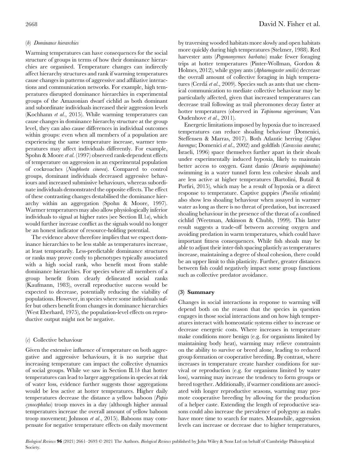## (b) Dominance hierarchies

Warming temperatures can have consequences for the social structure of groups in terms of how their dominance hierarchies are organised. Temperature changes can indirectly affect hierarchy structures and rank if warming temperatures cause changes in patterns of aggressive and affiliative interactions and communication networks. For example, high temperatures disrupted dominance hierarchies in experimental groups of the Amazonian dwarf cichlid as both dominant and subordinate individuals increased their aggression levels (Kochhann et al., 2015). While warming temperatures can cause changes in dominance hierarchy structure at the group level, they can also cause differences in individual outcomes within groups: even when all members of a population are experiencing the same temperature increase, warmer temperatures may affect individuals differently. For example, Spohn & Moore et al. (1997) observed rank-dependent effects of temperature on aggression in an experimental population of cockroaches (Nauphoeta cinerea). Compared to control groups, dominant individuals decreased aggressive behaviours and increased submissive behaviours, whereas subordinate individuals demonstrated the opposite effects. The effect of these contrasting changes destabilised the dominance hierarchy within an aggregation (Spohn & Moore, 1997). Warmer temperatures may also allow physiologically inferior individuals to signal at higher rates (see Section II.1a), which would further increase conflict as the signals would no longer be an honest indicator of resource-holding potential.

The evidence above therefore implies that we expect dominance hierarchies to be less stable as temperatures increase, at least temporarily. Less-predictable dominance structures or ranks may prove costly to phenotypes typically associated with a high social rank, who benefit most from stable dominance hierarchies. For species where all members of a group benefit from clearly delineated social ranks (Kaufmann, 1983), overall reproductive success would be expected to decrease, potentially reducing the viability of populations. However, in species where some individuals suffer but others benefit from changes in dominance hierarchies (West Eberhard, 1975), the population-level effects on reproductive output might not be negative.

# $(c)$  Collective behaviour

Given the extensive influence of temperature on both aggregative and aggressive behaviours, it is no surprise that increasing temperature can impact the collective dynamics of social groups. While we saw in Section II.1 $b$  that hotter temperatures can lead to larger aggregations in species at risk of water loss, evidence further suggests those aggregations would be less active at hotter temperatures. Higher daily temperatures decrease the distance a yellow baboon (Papio cynocephalus) troop moves in a day (although higher annual temperatures increase the overall amount of yellow baboon troop movement; Johnson et al., 2015). Baboons may compensate for negative temperature effects on daily movement

by traversing wooded habitats more slowly and open habitats more quickly during high temperatures (Stelzner, 1988). Red harvester ants (Pogonomyrmex barbatus) make fewer foraging trips at hotter temperatures (Pinter-Wollman, Gordon & Holmes, 2012), while gypsy ants (Aphaenogaster senilis) decrease the overall amount of collective foraging in high temperatures (Cerdá et al., 2009). Species such as ants that use chemical communication to mediate collective behaviour may be particularly affected, given that increased temperatures can decrease trail following as trail pheromones decay faster at hotter temperatures (observed in Tapinoma nigerrimum; Van Oudenhove et al., 2011).

Energetic limitations imposed by hypoxia due to increased temperatures can reduce shoaling behaviour (Domenici, Steffensen & Marras, 2017). Both Atlantic herring (Clupea harengus; Domenici et al., 2002) and goldfish (Carassius auratus; Israeli, 1996) space themselves further apart in their shoals under experimentally induced hypoxia, likely to maintain better access to oxygen. Gant danio (Devario aequipinnatus) swimming in a water tunnel form less cohesive shoals and are less active at higher temperatures (Bartolini, Butail & Porfiri, 2015), which may be a result of hypoxia or a direct response to temperature. Captive guppies (Poecilia reticulata) also show less shoaling behaviour when assayed in warmer water as long as there is no threat of predation, but increased shoaling behaviour in the presence of the threat of a confined cichlid (Weetman, Atkinson & Chubb, 1999). This latter result suggests a trade-off between accessing oxygen and avoiding predation in warm temperatures, which could have important fitness consequences. While fish shoals may be able to adjust their inter-fish spacing plasticly as temperatures increase, maintaining a degree of shoal cohesion, there could be an upper limit to this plasticity. Further, greater distances between fish could negatively impact some group functions such as collective predator avoidance.

# (3) Summary

Changes in social interactions in response to warming will depend both on the reason that the species in question engages in those social interactions and on how high temperatures interact with homeostatic systems either to increase or decrease energetic costs. Where increases in temperature make conditions more benign (e.g. for organisms limited by maintaining body heat), warming may relieve constraints on the ability to survive or breed alone, leading to reduced group formation or cooperative breeding. By contrast, where increases in temperature create harsher conditions for survival or reproduction (e.g. for organisms limited by water loss), warming may increase the tendency to form groups or breed together. Additionally, if warmer conditions are associated with longer reproductive seasons, warming may promote cooperative breeding by allowing for the production of a helper caste. Extending the length of reproductive seasons could also increase the prevalence of polygyny as males have more time to search for mates. Meanwhile, aggression levels can increase or decrease due to higher temperatures,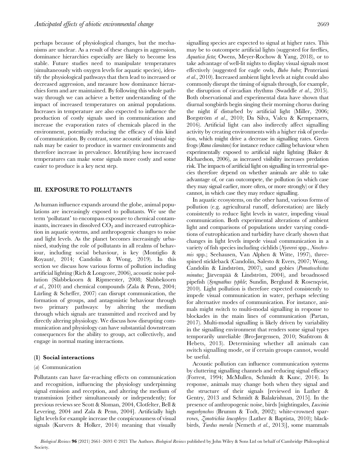perhaps because of physiological changes, but the mechanisms are unclear. As a result of these changes in aggression, dominance hierarchies especially are likely to become less stable. Future studies need to manipulate temperatures (simultaneously with oxygen levels for aquatic species), identify the physiological pathways that then lead to increased or decreased aggression, and measure how dominance hierarchies form and are maintained. By following this whole pathway through we can achieve a better understanding of the impact of increased temperatures on animal populations. Increases in temperature are also expected to influence the production of costly signals used in communication and increase the evaporation rates of chemicals placed in the environment, potentially reducing the efficacy of this kind of communication. By contrast, some acoustic and visual signals may be easier to produce in warmer environments and therefore increase in prevalence. Identifying how increased temperatures can make some signals more costly and some easier to produce is a key next step.

# III. EXPOSURE TO POLLUTANTS

As human influence expands around the globe, animal populations are increasingly exposed to pollutants. We use the term 'pollutant' to encompass exposure to chemical contaminants, increases in dissolved  $CO<sub>2</sub>$  and increased eutrophication in aquatic systems, and anthropogenic changes to noise and light levels. As the planet becomes increasingly urbanised, studying the role of pollutants in all realms of behaviour, including social behaviour, is key (Montiglio & Royauté, 2014; Candolin & Wong, 2019). In this section we discuss how various forms of pollution including artificial lighting (Rich & Longcore, 2006), acoustic noise pollution (Slabbekoorn & Ripmeester, 2008; Slabbekoorn et al., 2010) and chemical compounds (Zala & Penn, 2004; Lürling & Scheffer, 2007) can disrupt communication, the formation of groups, and antagonistic behaviour through two primary pathways: by altering the medium through which signals are transmitted and received and by directly altering physiology. We discuss how disrupting communication and physiology can have substantial downstream consequences for the ability to group, act collectively, and engage in normal mating interactions.

## (1) Social interactions

## (*a*) Communication

Pollutants can have far-reaching effects on communication and recognition, influencing the physiology underpinning signal emission and reception, and altering the medium of transmission [either simultaneously or independently; for previous reviews see Scott & Sloman, 2004, Clotfelter, Bell & Levering, 2004 and Zala & Penn, 2004]. Artificially high light levels for example increase the conspicuousness of visual signals (Kurvers & Holker, 2014) meaning that visually

signalling species are expected to signal at higher rates. This may be to outcompete artificial lights (suggested for fireflies, Aquatica ficta; Owens, Meyer-Rochow & Yang, 2018), or to take advantage of well-lit nights to display visual signals most effectively (suggested for eagle owls, Bubo bubo; Penteriani et al., 2010). Increased ambient light levels at night could also commonly disrupt the timing of signals through, for example, the disruption of circadian rhythms (Swaddle et al., 2015). Both observational and experimental data have shown that diurnal songbirds begin singing their morning chorus during the night if disturbed by artificial light (Miller, 2006; Borgström et al., 2010; Da Silva, Valcu & Kempenaers, 2016). Artificial light can also indirectly affect signalling activity by creating environments with a higher risk of predation, which might drive a decrease in signalling rates. Green frogs (Rana clamitans) for instance reduce calling behaviour when experimentally exposed to artificial night lighting (Baker & Richardson, 2006), as increased visibility increases predation risk. The impacts of artificial light on signalling in terrestrial species therefore depend on whether animals are able to take advantage of, or can outcompete, the pollution (in which case they may signal earlier, more often, or more strongly) or if they cannot, in which case they may reduce signalling.

In aquatic ecosystems, on the other hand, various forms of pollution (e.g. agricultural runoff, deforestation) are likely consistently to reduce light levels in water, impeding visual communication. Both experimental alterations of ambient light and comparisons of populations under varying conditions of eutrophication and turbidity have clearly shown that changes in light levels impede visual communication in a variety of fish species including cichlids (Nyererei spp., Neochromis spp.; Seehausen, Van Alphen & Witte, 1997), threespined stickleback (Candolin, Salesto & Evers, 2007; Wong, Candolin & Lindström, 2007), sand gobies (Pomatoschistus minutus; Järvenpää & Lindström, 2004), and broadnosed pipefish (Syngnathus typhle; Sundin, Berglund & Rosenqvist, 2010). Light pollution is therefore expected consistently to impede visual communication in water, perhaps selecting for alternative modes of communication. For instance, animals might switch to multi-modal signalling in response to blockades in the main lines of communication (Partan, 2017). Multi-modal signalling is likely driven by variability in the signalling environment that renders some signal types temporarily unreliable (Bro-Jørgensen, 2010; Stafstrom & Hebets, 2013). Determining whether all animals can switch signalling mode, or if certain groups cannot, would be useful.

Acoustic pollution can influence communication systems by cluttering signalling channels and reducing signal efficacy (Forrest, 1994; McMullen, Schmidt & Kunc, 2014). In response, animals may change both when they signal and the structure of their signals [reviewed in Luther & Gentry, 2013 and Schmidt & Balakrishnan, 2015]. In the presence of anthropogenic noise, birds [nightingales, *Luscinia* megarhynchos (Brumm & Todt, 2002); white-crowned sparrows, Zonotrichia leucophrys (Luther & Baptista, 2010); blackbirds, Turdus merula (Nemeth et al., 2013)], some mammals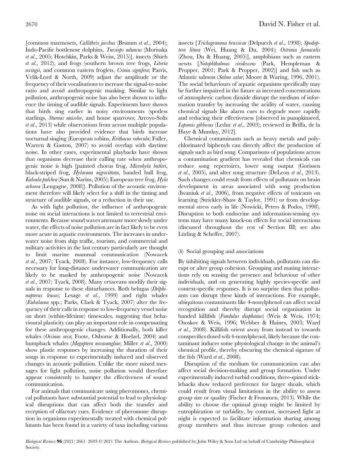[common marmosets, Callithrix jacchus (Brumm et al., 2004); Indo-Pacific bottlenose dolphins, Tursiops aduncus (Morisaka et al., 2005; Hotchkin, Parks & Weiss, 2015)], insects (Shieh et al., 2012), and frogs (southern brown tree frogs, Litoria ewingii, and common eastern froglets, Crinia signifera; Parris, Velik-Lord & North, 2009) adjust the amplitude or the frequency of their vocalisations to increase the signal-to-noise ratio and avoid anthropogenic masking. Similar to light pollution, anthropogenic noise has also been shown to influence the timing of audible signals. Experiments have shown that birds sing earlier in noisy environments (spotless starlings, Sturnus unicolor, and house sparrows; Arroyo-Solís et al., 2013) while observations from across multiple populations have also provided evidence that birds increase nocturnal singing (European robins, Erithacus rubecula; Fuller, Warren & Gaston, 2007) to avoid overlap with daytime noise. In other cases, experimental playbacks have shown that organisms decrease their calling rate when anthropogenic noise is high [painted chorus frog, Microhyla butleri, black-striped frog, *Hylarana nigrovittata*, banded bull frog, Kaloula pulchra (Sun & Narins, 2005); European tree frog, Hyla arborea (Lengagne, 2008)]. Pollution of the acoustic environment therefore will likely select for a shift in the timing and structure of audible signals, or a reduction in their use.

As with light pollution, the influence of anthropogenic noise on social interactions is not limited to terrestrial environments. Because sound waves attenuate more slowly under water, the effects of noise pollution are in fact likely to be even more acute in aquatic environments. The increases in underwater noise from ship traffic, tourism, and commercial and military activities in the last century particularly are thought to limit marine mammal communication (Nowacek et al., 2007; Tyack, 2008). For instance, low-frequency calls necessary for long-distance underwater communication are likely to be masked by anthropogenic noise (Nowacek et al., 2007; Tyack, 2008). Many cetaceans modify their signals in response to these disturbances. Both belugas (Delphinapterus leucas; Lesage et al., 1999) and right whales (Eubalaena spp.; Parks, Clark & Tyack, 2007) alter the frequency of their calls in response to low-frequency vessel noise on short (within-lifetime) timescales, suggesting that behavioural plasticity can play an important role in compensating for these anthropogenic changes. Additionally, both killer whales (Orcinus orca; Foote, Osborne & Hoelzel, 2004) and humpback whales (Megaptera novaeangliae; Miller et al., 2000) show plastic responses by increasing the duration of their songs in response to experimentally induced and observed changes in acoustic pollution. Unlike the more mixed messages for light pollution, noise pollution would therefore appear consistently to hamper the effectiveness of sound communication.

For animals that communicate using pheromones, chemical pollutants have substantial potential to lead to physiological disruptions that can affect both the transfer and reception of olfactory cues. Evidence of pheromone disruption in organisms experimentally treated with chemical pollutants has been found in a variety of taxa including various insects [Trichogramma brassicae (Delpuech et al., 1998); Spodoptera litura (Wei, Huang & Du, 2004); Ostrinia furnacalis (Zhou, Du & Huang, 2005)], amphibians such as eastern newts [Notophthalmus viridescens (Park, Hempleman & Propper, 2001; Park & Propper, 2002)] and fish such as Atlantic salmon (Salmo salar; Moore & Waring, 1996, 2001). The social behaviours of aquatic organisms specifically may be further impaired in the future as increased concentrations of atmospheric carbon dioxide disrupt the medium of information transfer by increasing the acidity of water, causing chemical signals like alarm cues to degrade more rapidly and reducing their effectiveness [observed in pumpkinseed, Lepomis gibbosus (Leduc et al., 2003); reviewed in Briffa, de la Haye & Munday, 2012].

Chemical contaminants such as heavy metals and polychlorinated biphenyls can directly affect the production of signals such as bird song. Comparisons of populations across a contamination gradient has revealed that chemicals can reduce song repertoires, lower song output (Gorissen *et al.*, 2005), and alter song structure (DeLeon *et al.*, 2013). Such changes could result from effects of pollutants on brain development in areas associated with song production (Iwaniuk et al., 2006), from negative effects of toxicants on learning (Strickler-Shaw & Taylor, 1991) or from developmental stress early in life (Nowicki, Peters & Podos, 1998). Disruption to both endocrine and information-sensing systems may have many knock-on effects for social interactions (discussed throughout the rest of Section III; see also Lürling & Scheffer, 2007).

# (b) Social grouping and associations

By inhibiting signals between individuals, pollutants can disrupt or alter group cohesion. Grouping and mating interactions rely on sensing the presence and behaviour of other individuals, and on generating highly species-specific and context-specific responses. It is no surprise then that pollutants can disrupt these kinds of interactions. For example, ubiquitous contaminants like 4-nonylphenol can affect social recognition and thereby disrupt social organisation in banded killifish (Fundulus diaphanus) (Weis & Weis, 1974; Ososkov & Weis, 1996; Webber & Haines, 2003; Ward et al., 2008). Killifish orient away from instead to towards conspecifics dosed wih 4-nonylphenol, likely because the contaminant induces some physiological change in the animal's chemical profile, thereby obscuring the chemical sigature of the fish (Ward et al., 2008).

Disruption of the medium for communication can also affect social decision-making and group formation. Under experimentally induced turbid conditions, three-spined sticklebacks show reduced preference for larger shoals, which could result from visual limitations in the ability to assess group size or quality (Fischer & Frommen, 2013). While the ability to choose the optimal group might be limited by eutrophication or turbidity, by contrast, increased light at night is expected to facilitate information sharing among group members and thus increase group cohesion and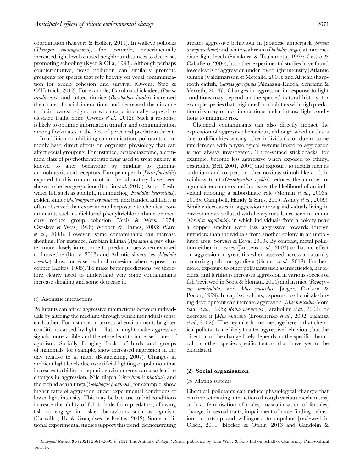coordination (Kurvers & Holker, 2014). In walleye pollocks (Theragra chalcogramma), for example, experimentally increased light levels caused neighbour distances to decrease, promoting schooling (Ryer & Olla, 1998). Although perhaps counterintuitive, noise pollution can similarly promote grouping for species that rely heavily on vocal communication for group cohesion and survival (Owens, Stec & O'Hatnick, 2012). For example, Carolina chickadees (Poecile carolinensis) and tufted titmice (Baeolophus bicolor) increased their rate of social interactions and decreased the distance to their nearest neighbour when experimentally exposed to elevated traffic noise (Owens et al., 2012). Such a response is likely to optimise information transfer and communication among flockmates in the face of perceived predation threat.

In addition to inhibiting communication, pollutants commonly have direct effects on organism physiology that can affect social grouping. For instance, benzodiazepine, a common class of psychotherapeutic drug used to treat anxiety is known to alter behaviour by binding to gammaaminobutyric acid receptors. European perch (Perca fluviatilis) exposed to this contaminant in the laboratory have been shown to be less gregarious (Brodin et al., 2013). Across freshwater fish such as goldfish, mummichog (Fundulus heteroclitus), golden shiner (Notemigonus crysoleucas), and banded killifish it is often observed that experimental exposure to chemical contaminants such as dichlorodiphenyltrichloroethane or mercury reduce group cohesion (Weis & Weis, 1974; Ososkov & Weis, 1996; Webber & Haines, 2003; Ward et al., 2008). However, some contaminants can increase shoaling. For instance, Arabian killifish (Aphanius dispar) cluster more closely in response to predator cues when exposed to fluoxetine (Barry, 2013) and Atlantic silversides (Menidia menidia) show increased school cohesion when exposed to copper (Koltes, 1985). To make better predictions, we therefore clearly need to understand why some contaminants increase shoaling and some decrease it.

## $(c)$  Agonistic interactions

Pollutants can affect aggressive interactions between individuals by altering the medium through which individuals sense each other. For instance, in terrestrial environments brighter conditions caused by light pollution might make aggressive signals more visible and therefore lead to increased rates of agonism. Socially foraging flocks of birds and groups of mammals, for example, show increased aggression in the day relative to at night (Beauchamp, 2007). Changes in ambient light levels due to artificial lighting or pollution that increases turbidity in aquatic environments can also lead to changes in aggression. Nile tilapia (Oreochromis niloticus) and the cichlid acará tinga (Geophagus proximus), for example, show higher rates of aggression under experimental conditions of lower light intensity. This may be because turbid conditions increase the ability of fish to hide from predators, allowing fish to engage in riskier behaviours such as agonism (Carvalho, Ha & Gonçalves-de-Freitas, 2012). Some additional experimental studies support this trend, demonstrating

greater aggressive behaviour in Japanese amberjack (Seriola quinqueradiata) and white seabream (Diplodus sargus) at intermediate light levels (Sakakura & Tsukamoto, 1997; Castro & Caballero, 2004), but other experimental studies have found lower levels of aggression under lower light intensity [Atlantic salmon (Valdimarsson & Metcalfe, 2001); and African sharptooth catfish, Clarias gariepinus (Almazán-Rueda, Schrama & Verreth, 2004)]. Changes in aggression in response to light conditions may depend on the species' natural history, for example species that originate from habitats with high predation risk may reduce interactions under intense light conditions to minimise risk.

Chemical contaminants can also directly impact the expression of aggressive behaviour, although whether this is due to difficulties sensing other individuals, or due to some interference with physiological systems linked to aggression is not always investigated. Three-spined sticklebacks, for example, become less aggressive when exposed to ethinyl oestradiol (Bell, 2001, 2004) and exposure to metals such as cadmium and copper, or other noxious stimuli like acid, in rainbow trout (Oncorhynchus mykiss) reduces the number of agonistic encounters and increases the likelihood of an individual adopting a subordinate role (Sloman et al., 2003a, 2003b; Campbell, Handy & Sims, 2005; Ashley et al., 2009). Similar decreases in aggression among individuals living in environments polluted with heavy metals are seen in an ant (Formica acquilonia), in which individuals from a colony near a copper smelter were less aggressive towards foreign intruders than individuals from another colony in an unpolluted area (Sorvari & Eeva, 2010). By contrast, metal pollution either increases (Janssens et al., 2003) or has no effect on aggression in great tits when assessed across a naturally occurring pollution gradient (Grunst et al., 2018). Furthermore, exposure to other pollutants such as insecticides, herbicides, and fertilisers increases aggression in various species of fish (reviewed in Scott & Sloman, 2004) and in mice (Peromyscus maniculatus and Mus musculus; Jaeger, Carlson & Porter, 1999). In captive rodents, exposure to chemicals during development can increase aggression [Mus musculus (Vom Saal et al., 1995); Rattus norvegicus (Farabollini et al., 2002)] or decrease it [Mus musculus (Eroschenko et al., 2002; Palanza et al., 2002)]. The key take-home message here is that chemical pollutants are likely to alter aggressive behaviour, but the direction of the change likely depends on the specific chemical or other species-specific factors that have yet to be elucidated.

## (2) Social organisation

## (a) Mating systems

Chemical pollutants can induce physiological changes that can impact mating interactions through various mechanisms, such as feminisation of males, masculinisation of females, changes in sexual traits, impairment of mate-finding behaviour, courtship and willingness to copulate [reviewed in Olsén, 2011, Blocker & Ophir, 2013 and Candolin &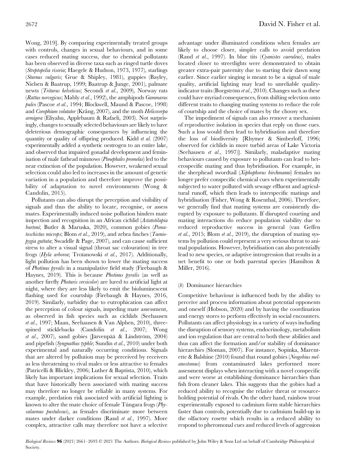Wong, 2019]. By comparing experimentally treated groups with controls, changes in sexual behaviours, and in some cases reduced mating success, due to chemical pollutants has been observed in diverse taxa such as ringed turtle doves (Streptopelia risoria; Haegele & Hudson, 1973, 1977), starlings (Sturnus vulgaris; Grue & Shipley, 1981), guppies (Bayley, Nielsen & Baatrup, 1999; Baatrup & Junge, 2001), palmate newts (Triturus helveticus; Secondi et al., 2009), Norway rats (Rattus norvegicus; Mably et al., 1992), the amphipods Gammarus pulex (Pascoe et al., 1994; Blockwell, Maund & Pascoe, 1998) and Corophium volutator (Krång, 2007), and the moth Helicoverpa armigera (Eliyahu, Applebaum & Rafaeli, 2003). Not surprisingly, changes to sexually selected behaviours are likely to have deleterious demographic consequences by influencing the quantity or quality of offspring produced. Kidd et al. (2007) experimentally added a synthetic oestrogen to an entire lake, and observed that impaired gonadal development and feminisation of male fathead minnows (Pimephales promelas) led to the near extinction of the population. However, weakened sexual selection could also led to increases in the amount of genetic variation in a population and therefore improve the possibility of adaptation to novel environments (Wong & Candolin, 2015).

Pollutants can also disrupt the perception and visibility of signals and thus the ability to locate, recognise, or assess mates. Experimentally induced noise pollution hinders mate inspection and recognition in an African cichlid (Astatotilapia burtoni; Butler & Maruska, 2020), common gobies (Pomatoschistus microps; Blom et al., 2019), and zebra finches (Taeniopygia guttata; Swaddle & Page, 2007), and can cause sufficient stress to alter a visual signal (throat sac colouration) in tree frogs (Hyla arborea; Troïanowski et al., 2017). Additionally, light pollution has been shown to lower the mating success of Photinus pyralis in a manipulative field study (Firebaugh & Haynes, 2019). This is because Photinus pyralis (as well as another firefly Photuris versicolor) are lured to artificial light at night, where they are less likely to emit the bioluminescent flashing used for courtship (Firebaugh & Haynes, 2016, 2019). Similarly, turbidity due to eutrophication can affect the perception of colour signals, impeding mate assessment, as observed in fish species such as cichlids (Seehausen et al., 1997; Maan, Seehausen & Van Alphen, 2010), threespined sticklebacks (Candolin et al., 2007; Wong et al., 2007), sand gobies (Järvenpää & Lindström, 2004) and pipefish (Syngnathus typhle; Sundin et al., 2010) under both experimental and naturally occurring conditions. Signals that are altered by pollution may be perceived by receivers as less threatening to rival males or less attractive to females (Patricelli & Blickley, 2006; Luther & Baptista, 2010), which likely has important implications for sexual selection. Traits that have historically been associated with mating success may therefore no longer be reliable in many systems. For example, predation risk associated with artificial lighting is known to alter the mate choice of female Túngara frogs (Physalaemus pustulosus), as females discriminate more between mates under darker conditions (Rand et al., 1997). More complex, attractive calls may therefore not have a selective

advantage under illuminated conditions when females are likely to choose closer, simpler calls to avoid predation (Rand et al., 1997). In blue tits (Cyanistes caeruleus), males located closer to streetlights were demonstrated to obtain greater extra-pair paternity due to starting their dawn song earlier. Since earlier singing is meant to be a signal of male quality, artificial lighting may lead to unreliable qualityindicator traits (Borgström et al., 2010). Changes such as these could have myriad consequences, from shifting selection onto different traits to changing mating systems to reduce the role of courtship and the choice of mates by the choosy sex.

The impediment of signals can also remove a mechanism of reproductive isolation in species that reply on those cues. Such a loss would then lead to hybridisation and therefore the loss of biodiversity [Rhymer & Simberloff, 1996; observed for cichlids in more turbid areas of Lake Victoria (Seehausen et al., 1997)]. Similarly, maladaptive mating behaviours caused by exposure to pollutants can lead to heterospecific mating and thus hybridisation. For example, in the sheephead swordtail (Xiphophorus birchmanni) females no longer prefer conspecific chemical cues when experimentally subjected to water polluted with sewage effluent and agricultural runoff, which then leads to interspecific matings and hybridisation (Fisher, Wong & Rosenthal, 2006). Therefore, we generally find that mating systems are consistently disrupted by exposure to pollutants. If disrupted courting and mating interactions do reduce population viability due to reduced reproductive success in general (van Geffen et al., 2015; Blom et al., 2019), the disruption of mating systems by pollution could represent a very serious threat to animal populations. However, hybridisation can also potentially lead to new species, or adaptive introgression that results in a net benefit to one or both parental species (Hamilton & Miller, 2016).

## (b) Dominance hierarchies

Competitive behaviour is influenced both by the ability to perceive and process information about potential opponents and oneself (Hobson, 2020) and by having the coordination and energy stores to perform effectively in social encounters. Pollutants can affect physiology in a variety of ways including the disruption of sensory systems, endocrinology, metabolism and ion regulation that are central to both these abilities and thus can affect the formation and/or stability of dominance hierarchies (Sloman, 2007). For instance, Sopinka, Marentette & Balshine (2010) found that round gobies (Neogobius melanostomus) from contaminated lakes performed more assessment displays when interacting with a novel conspecific and were worse at establishing dominance hierarchies than fish from cleaner lakes. This suggests that the gobies had a reduced ability to recognise the relative threat or resourceholding potential of rivals. On the other hand, rainbow trout experimentally exposed to cadmium form stable hierarchies faster than controls, potentially due to cadmium build-up in the olfactory rosette which results in a reduced ability to respond to pheromonal cues and reduced levels of aggression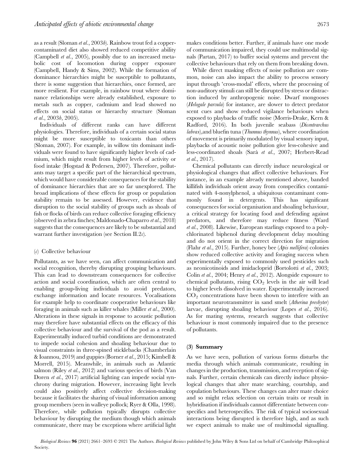as a result (Sloman et al., 2003b). Rainbow trout fed a coppercontaminated diet also showed reduced competitive ability (Campbell et al., 2005), possibly due to an increased metabolic cost of locomotion during copper exposure (Campbell, Handy & Sims, 2002). While the formation of dominance hierarchies might be susceptible to pollutants, there is some suggestion that hierarchies, once formed, are more resilient. For example, in rainbow trout where dominance relationships were already established, exposure to metals such as copper, cadmium and lead showed no effects on social status or hierarchy structure (Sloman et al., 2003b, 2005).

Individuals of different ranks can have different physiologies. Therefore, individuals of a certain social status might be more susceptible to toxicants than others (Sloman, 2007). For example, in willow tits dominant individuals were found to have significantly higher levels of cadmium, which might result from higher levels of activity or food intake (Hogstad & Pedersen, 2007). Therefore, pollutants may target a specific part of the hierarchical spectrum, which would have considerable consequences for the stability of dominance hierarchies that are so far unexplored. The broad implications of these effects for group or population stability remain to be assessed. However, evidence that disruption to the social stability of groups such as shoals of fish or flocks of birds can reduce collective foraging efficiency (observed in zebra finches; Maldonado-Chaparro et al., 2018) suggests that the consequences are likely to be substantial and warrant further investigation (see Section II.2c).

#### $(c)$  Collective behaviour

Pollutants, as we have seen, can affect communication and social recognition, thereby disrupting grouping behaviours. This can lead to downstream consequences for collective action and social coordination, which are often central to enabling group-living individuals to avoid predators, exchange information and locate resources. Vocalisations for example help to coordinate cooperative behaviours like foraging in animals such as killer whales (Miller et al., 2000). Alterations in these signals in response to acoustic pollution may therefore have substantial effects on the efficacy of this collective behaviour and the survival of the pod as a result. Experimentally induced turbid conditions are demonstrated to impede social cohesion and shoaling behaviour due to visual constraints in three-spined sticklebacks (Chamberlain & Ioannou, 2019) and guppies (Borner *et al.*, 2015; Kimbell & Morrell, 2015). Meanwhile, in animals such as Atlantic salmon (Riley et al., 2012) and various species of birds (Van Doren *et al.*, 2017) artificial lighting can impede social synchrony during migration. However, increasing light levels could also positively affect collective decision-making because it facilitates the sharing of visual information among group members (seen in walleye pollock; Ryer & Olla, 1998). Therefore, while pollution typically disrupts collective behaviour by disrupting the medium though which animals communicate, there may be exceptions where artificial light

makes conditions better. Further, if animals have one mode of communication impaired, they could use multimodal signals (Partan, 2017) to buffer social systems and prevent the collective behaviours that rely on them from breaking down.

While direct masking effects of noise pollution are common, noise can also impact the ability to process sensory input through 'cross-modal' effects, where the processing of non-auditory stimuli can still be disrupted by stress or distraction induced by anthropogenic noise. Dwarf mongooses (Helogale parvula) for instance, are slower to detect predator scent cues and show reduced vigilance behaviours when exposed to playbacks of traffic noise (Morris-Drake, Kern & Radford, 2016). In both juvenile seabass (Dicentrarchus labrax), and bluefin tuna (*Thunnus thynnus*), where coordination of movement is primarily modulated by visual sensory input, playbacks of acoustic noise pollution give less-cohesive and less-coordinated shoals (Sarà et al., 2007; Herbert-Read et al., 2017).

Chemical pollutants can directly induce neurological or physiological changes that affect collective behaviours. For instance, in an example already mentioned above, banded killifish individuals orient away from conspecifics contaminated with 4-nonylphenol, a ubiquitous contaminant commonly found in detergents. This has significant consequences for social organisation and shoaling behaviour, a critical strategy for locating food and defending against predators, and therefore may reduce fitness (Ward et al., 2008). Likewise, European starlings exposed to a polychlorinated biphenol during development delay moulting and do not orient in the correct direction for migration (Flahr et al., 2015). Further, honey bee (Apis mellifera) colonies show reduced collective activity and foraging success when experimentally exposed to commonly used pesticides such as neonicotinoids and imidacloprid (Bortolotti et al., 2003; Colin et al., 2004; Henry et al., 2012). Alongside exposure to chemical pollutants, rising  $CO<sub>2</sub>$  levels in the air will lead to higher levels dissolved in water. Experimentally increased  $CO<sub>2</sub>$  concentrations have been shown to interfere with an important neurotransmitter in sand smelt (Atherina presbyter) larvae, disrupting shoaling behaviour (Lopes et al., 2016). As for mating systems, research suggests that collective behaviour is most commonly impaired due to the presence of pollutants.

#### (3) Summary

As we have seen, pollution of various forms disturbs the media through which animals communicate, resulting in changes in the production, transmission, and reception of signals. Further, certain chemicals can directly induce physiological changes that alter mate searching, courtship, and copulation behaviours. These changes can alter mate choice and so might relax selection on certain traits or result in hybridisation if individuals cannot differentiate between conspecifics and heterospecifics. The risk of typical sociosexual interactions being disrupted is therefore high, and as such we expect animals to make use of multimodal signalling.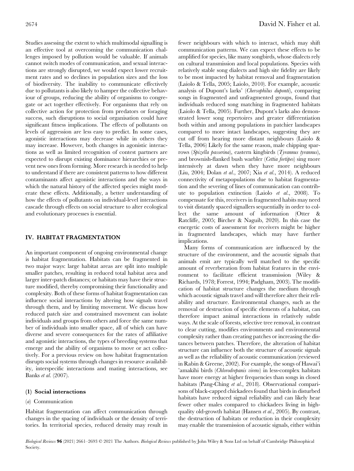Studies assessing the extent to which multimodal signalling is an effective tool at overcoming the communication challenges imposed by pollution would be valuable. If animals cannot switch modes of communication, and sexual interactions are strongly disrupted, we would expect lower recruitment rates and so declines in population sizes and the loss of biodiversity. The inability to communicate effectively due to pollutants is also likely to hamper the collective behaviour of groups, reducing the ability of organisms to congregate or act together effectively. For organisms that rely on collective action for protection from predators or foraging success, such disruptions to social organisation could have significant fitness implications. The effects of pollutants on levels of aggression are less easy to predict. In some cases, agonistic interactions may decrease while in others they may increase. However, both changes in agonistic interactions as well as limited recognition of contest partners are expected to disrupt existing dominance hierarchies or prevent new ones from forming. More research is needed to help to understand if there are consistent patterns to how different contaminants affect agonistic interactions and the ways in which the natural history of the affected species might moderate these effects. Additionally, a better understanding of how the effects of pollutants on individual-level interactions cascade through effects on social structure to alter ecological and evolutionary processes is essential.

# IV. HABITAT FRAGMENTATION

An important component of ongoing environmental change is habitat fragmentation. Habitats can be fragmented in two major ways: large habitat areas are split into multiple smaller patches, resulting in reduced total habitat area and larger inter-patch distances; or habitats may have their structure modified, thereby compromising their functionality and complexity. Both of these forms of habitat fragmentation can influence social interactions by altering how signals travel through them, and by limiting movement. We discuss how reduced patch size and constrained movement can isolate individuals and groups from others and force the same number of individuals into smaller space, all of which can have diverse and severe consequences for the rates of affiliative and agonistic interactions, the types of breeding systems that emerge and the ability of organisms to move or act collectively. For a previous review on how habitat fragmentation disrupts social systems through changes in resource availability, interspecific interactions and mating interactions, see Banks et al. (2007).

## (1) Social interactions

## (*a*) Communication

Habitat fragmentation can affect communication through changes in the spacing of individuals or the density of territories. In territorial species, reduced density may result in fewer neighbours with which to interact, which may shift communication patterns. We can expect these effects to be amplified for species, like many songbirds, whose dialects rely on cultural transmission and local populations. Species with relatively stable song dialects and high site fidelity are likely to be most impacted by habitat removal and fragmentation (Laiolo & Tella, 2005; Laiolo, 2010). For example, acoustic analysis of Dupont's larks' (Chersophilus duponti), comparing songs in fragmented and unfragmented groups, found that individuals reduced song matching in fragmented habitats (Laiolo & Tella, 2005). Further, Dupont's larks also demonstrated lower song repertoires and greater differentiation both within and among populations in patchier landscapes compared to more intact landscapes, suggesting they are cut off from hearing more distant neighbours (Laiolo & Tella, 2006) Likely for the same reason, male chipping sparrows (Spizella passerina), eastern kingbirds (Tyrannus tyrannus), and brownish-flanked bush warbler (Cettia fortipes) sing more intensively at dawn when they have more neighbours (Liu, 2004; Dolan et al., 2007; Xia et al., 2014). A reduced connectivity of metapopulations due to habitat fragmentation and the severing of lines of communication can contribute to population extinction (Laiolo et al., 2008). To compensate for this, receivers in fragmented habits may need to visit distantly spaced signallers sequentially in order to collect the same amount of information (Otter & Ratcliffe, 2005; Bircher & Naguib, 2020). In this case the energetic costs of assessment for receivers might be higher in fragmented landscapes, which may have further implications.

Many forms of communication are influenced by the structure of the environment, and the acoustic signals that animals emit are typically well matched to the specific amount of reverberation from habitat features in the environment to facilitate efficient transmission (Wiley & Richards, 1978; Forrest, 1994; Padgham, 2003). The modification of habitat structure changes the medium through which acoustic signals travel and will therefore alter their reliability and structure. Environmental changes, such as the removal or destruction of specific elements of a habitat, can therefore impact animal interactions in relatively subtle ways. At the scale of forests, selective tree removal, in contrast to clear cutting, modifies environments and environmental complexity rather than creating patches or increasing the distances between patches. Therefore, the alteration of habitat structure can influence both the structure of acoustic signals as well as the reliability of acoustic communication (reviewed in Rabin & Greene, 2002). For example, the songs of Hawai'i 'amakihi birds (Chlorodrepanis virens) in less-complex habitats have more energy at higher frequencies than songs in closed habitats (Pang-Ching et al., 2018). Observational comparisons of black-capped chickadees found that birds in disturbed habitats have reduced signal reliability and can likely hear fewer other males compared to chickadees living in highquality old-growth habitat (Hansen et al., 2005). By contrast, the destruction of habitats or reduction in their complexity may enable the transmission of acoustic signals, either within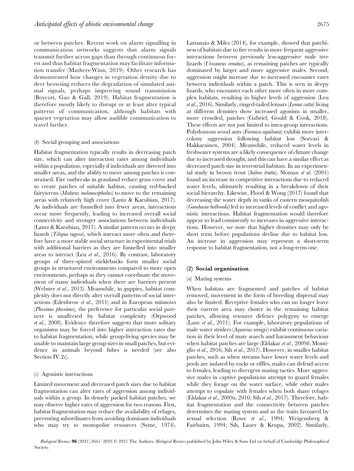or between patches. Recent work on alarm signalling in communication networks suggests that alarm signals transmit further across gaps than through continuous forest and thus habitat fragmentation may facilitate information transfer (Mathers-Winn, 2019). Other research has demonstrated how changes in vegetation density due to deer browsing reduces the degradation of simulated animal signals, perhaps improving sound transmission (Boycott, Gao & Gall, 2019). Habitat fragmentation is therefore mostly likely to disrupt or at least alter typical patterns of communication, although habitats with sparser vegetation may allow audible communication to travel further.

#### (b) Social grouping and associations

Habitat fragmentation typically results in decreasing patch size, which can alter interaction rates among individuals within a population, especially if individuals are directed into smaller areas, and the ability to move among patches is constrained. Fire outbreaks in grassland reduce grass cover and so create patches of suitable habitat, causing red-backed fairywrens (Malurus melanocephalus) to move to the remaining areas with relatively high cover (Lantz & Karubian, 2017). As individuals are funnelled into fewer areas, interactions occur more frequently, leading to increased overall social connectivity and stronger associations between individuals (Lantz & Karubian, 2017). A similar pattern occurs in sleepy lizards (Tiliqua rugosa), which interact more often and therefore have a more stable social structure in experimental trials with additional barriers as they are funnelled into smaller areas to interact (Leu et al., 2016). By contrast, laboratory groups of three-spined sticklebacks form smaller social groups in structured environments compared to more open environments, perhaps as they cannot coordinate the movement of many individuals when there are barriers present (Webster et al., 2013). Meanwhile, in guppies, habitat complexity does not directly alter overall patterns of social interactions (Edenbrow et al., 2011) and in European minnows (Phoxinus phoxinus), the preference for particular social partners is unaffected by habitat complexity (Orpwood et al., 2008). Evidence therefore suggests that more solitary organisms may be forced into higher interaction rates due to habitat fragmentation, while group-living species may be unable to maintain large group sizes in small patches, but evidence in animals beyond fishes is needed (see also Section IV.2 $c$ ).

## (c) Agonistic interactions

Limited movement and decreased patch sizes due to habitat fragmentation can alter rates of aggression among individuals within a group. In densely packed habitat patches, we may observe higher rates of aggression for two reasons. First, habitat fragmentation may reduce the availability of refuges, preventing subordinates from avoiding dominant individuals who may try to monopolise resources (Syme, 1974). Lattanzio & Miles (2014), for example, showed that patchiness of habitats due to fire results in more frequent aggressive interactions between previously less-aggressive male tree lizards (Urosaurus ornatus), as remaining patches are typically dominated by larger and more aggressive males. Second, aggression might increase due to increased encounter rates between individuals within a patch. This is seen in sleepy lizards, who encounter each other more often in more complex habitats, resulting in higher levels of aggression (Leu et al., 2016). Similarly, ringed-tailed lemurs (Lemur catta) living at different densities show increased agonism in smaller, more crowded, patches (Gabriel, Gould & Cook, 2018). These effects are not just limited to intra-group interactions. Polydomous wood ants (Formica aquilonia) exhibit more intercolony aggression following habitat loss (Sorvari & Hakkarainen, 2004). Meanwhile, reduced water levels in freshwater systems are a likely consequence of climate change due to increased drought, and this can have a similar effect as decreased patch size in terrestrial habitats. In an experimental study in brown trout (Salmo trutta), Sloman et al. (2001) found an increase in competitive interactions due to reduced water levels, ultimately resulting in a breakdown of their social hierarchy. Likewise, Flood & Wong (2017) found that decreasing the water depth in tanks of eastern mosquitofish (Gambusia holbrooki) led to increased levels of conflict and agonistic interactions. Habitat fragmentation would therefore appear to lead consistently to increases in aggressive interactions. However, we note that higher densities may only be short term before populations decline due to habitat loss. An increase in aggression may represent a short-term response to habitat fragmentation, not a long-term one.

## (2) Social organisation

#### (a) Mating systems

When habitats are fragmented and patches of habitat removed, movement in the form of breeding dispersal may also be limited. Receptive females who can no longer leave their current area may cluster in the remaining habitat patches, allowing resource defence polygyny to emerge (Lane *et al.*, 2011). For example, laboratory populations of male water striders (Aquarius remigis) exhibit continuous variation in their level of mate search and harassment behaviour when habitat patches are large (Eldakar et al., 2009b; Montiglio et al., 2016; Sih et al., 2017). However, in smaller habitat patches, such as when streams have lower water levels and pools are isolated by rocks or riffles, males can defend access to females, leading to divergent mating tactics. More aggressive males in captive populations attempt to guard females while they forage on the water surface, while other males attempt to copulate with females when both share refuges (Eldakar et al., 2009a, 2010; Sih et al., 2017). Therefore, habitat fragmentation and the connectivity between patches determines the mating system and so the traits favoured by sexual selection (Rowe et al., 1994; Weigensberg & Fairbairn, 1994; Sih, Lauer & Krupa, 2002). Similarly,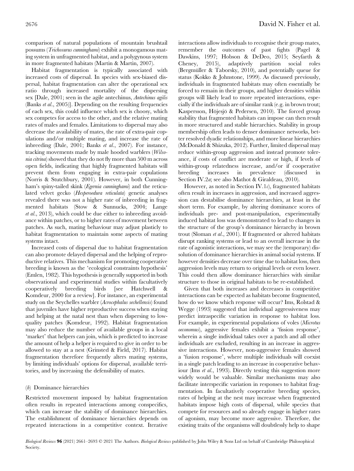comparison of natural populations of mountain brushtail possums (Trichosurus cunninghami) exhibit a monogamous mating system in unfragmented habitat, and a polygynous system in more fragmented habitats (Martin & Martin, 2007).

Habitat fragmentation is typically associated with increased costs of dispersal. In species with sex-biased dispersal, habitat fragmentation can alter the operational sex ratio through increased mortality of the dispersing sex [Dale, 2001; seen in the agile antechinus, Antechinus agilis (Banks et al., 2005)]. Depending on the resulting frequencies of each sex, this could influence which sex is choosy, which sex competes for access to the other, and the relative mating rates of males and females. Limitations to dispersal may also decrease the availability of mates, the rate of extra-pair copulations and/or multiple mating, and increase the rate of inbreeding (Dale, 2001; Banks et al., 2007). For instance, tracking movements made by male hooded warblers (Wilsonia citrina) showed that they do not fly more than 500 m across open fields, indicating that highly fragmented habitats will prevent them from engaging in extra-pair copulations (Norris & Stutchbury, 2001). However, in both Cunningham's spiny-tailed skink (*Egernia cunninghami*) and the reticulated velvet gecko (Hesperoedura reticulata) genetic analyses revealed there was not a higher rate of inbreeding in fragmented habitats (Stow & Sunnucks, 2004; Lange et al., 2013), which could be due either to inbreeding avoidance within patches, or to higher rates of movement between patches. As such, mating behaviour may adjust plasticly to habitat fragmentation to maintain some aspects of mating systems intact.

Increased costs of dispersal due to habitat fragmentation can also promote delayed dispersal and the helping of reproductive relatives. This mechanism for promoting cooperative breeding is known as the 'ecological constraints hypothesis' (Emlen, 1982). This hypothesis is generally supported in both observational and experimental studies within facultatively cooperatively breeding birds [see Hatchwell & Komdeur, 2000 for a review]. For instance, an experimental study on the Seychelles warbler (Acrocephalus sechellensis) found that juveniles have higher reproductive success when staying and helping at the natal nest than when dispersing to lowquality patches (Komdeur, 1992). Habitat fragmentation may also reduce the number of available groups in a local 'market' that helpers can join, which is predicted to increase the amount of help a helper is required to give in order to be allowed to stay at a nest (Grinsted & Field, 2017). Habitat fragmentation therefore frequently alters mating systems, by limiting individuals' options for dispersal, available territories, and by increasing the defensibility of mates.

## (b) Dominance hierarchies

Restricted movement imposed by habitat fragmentation often results in repeated interactions among conspecifics, which can increase the stability of dominance hierarchies. The establishment of dominance hierarchies depends on repeated interactions in a competitive context. Iterative interactions allow individuals to recognise their group mates, remember the outcomes of past fights (Pagel & Dawkins, 1997; Hobson & DeDeo, 2015; Seyfarth & Cheney, 2015), adaptively partition social roles (Bergmüller & Taborsky, 2010), and potentially queue for status (Kokko & Johnstone, 1999). As discussed previously, individuals in fragmented habitats may often essentially be forced to remain in their groups, and higher densities within groups will likely lead to more repeated interactions, especially if the individuals are of similar rank (e.g. in brown trout; Kaspersson, Höjesjö & Pedersen, 2010). The forced group stability that fragmented habitats can impose can then result in more structured and stable hierarchies. Stability in group membership often leads to denser dominance networks, better resolved dyadic relationships, and more linear hierarchies (McDonald & Shizuka, 2012). Further, limited dispersal may reduce within-group aggression and instead promote tolerance, if costs of conflict are moderate or high, if levels of within-group relatedness increase, and/or if cooperative breeding increases in prevalence (discussed Section IV.2a; see also Mathot & Giraldeau, 2010).

However, as noted in Section IV.1 $c$ ), fragmented habitats often result in increases in aggression, and increased aggression can destabilise dominance hierarchies, at least in the short term. For example, by altering dominance scores of individuals pre- and post-manipulation, experimentally induced habitat loss was demonstrated to lead to changes in the structure of the group's dominance hierarchy in brown trout (Sloman et al., 2001). If fragmented or altered habitats disrupt ranking systems or lead to an overall increase in the rate of agonistic interactions, we may see the (temporary) dissolution of dominance hierarchies in animal social systems. If however densities decrease over time due to habitat loss, then aggression levels may return to original levels or even lower. This could then allow dominance hierarchies with similar structure to those in original habitats to be re-established.

Given that both increases and decreases in competitive interactions can be expected as habitats become fragmented, how do we know which response will occur? Ims, Rolstad & Wegge (1993) suggested that individual aggressiveness may predict intraspecific variation in response to habitat loss. For example, in experimental populations of voles (Microtus oeconomus), aggressive females exhibit a 'fission response', wherein a single individual takes over a patch and all other individuals are excluded, resulting in an increase in aggressive interactions. However, non-aggressive females showed a 'fusion response', where multiple individuals will coexist in a single patch leading to an increase in cooperative behaviour (Ims *et al.*, 1993). Directly testing this suggestion more widely would be valuable. Similar mechanisms may also facilitate interspecific variation in responses to habitat fragmentation. In facultatively cooperative breeding species, rates of helping at the nest may increase when fragmented habitats impose high costs of dispersal, while species that compete for resources and so already engage in higher rates of agonism, may become more aggressive. Therefore, the existing traits of the organisms will doubtlessly help to shape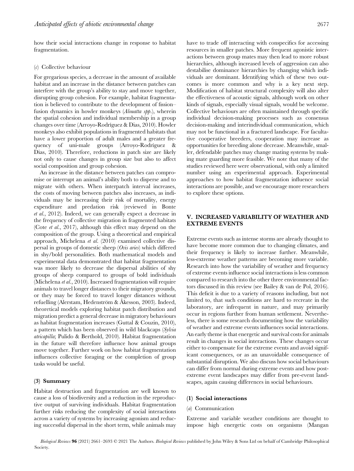how their social interactions change in response to habitat fragmentation.

#### (c) Collective behaviour

For gregarious species, a decrease in the amount of available habitat and an increase in the distance between patches can interfere with the group's ability to stay and move together, disrupting group cohesion. For example, habitat fragmentation is believed to contribute to the development of fission– fusion dynamics in howler monkeys (*Alouatta spp.*), wherein the spatial cohesion and individual membership in a group changes over time (Arroyo-Rodríguez & Dias, 2010). Howler monkeys also exhibit populations in fragmented habitats that have a lower proportion of adult males and a greater frequency of uni-male groups (Arroyo-Rodríguez & Dias, 2010). Therefore, reductions in patch size are likely not only to cause changes in group size but also to affect social composition and group cohesion.

An increase in the distance between patches can compromise or interrupt an animal's ability both to disperse and to migrate with others. When interpatch interval increases, the costs of moving between patches also increases, as individuals may be increasing their risk of mortality, energy expenditure and predation risk (reviewed in Bonte et al., 2012). Indeed, we can generally expect a decrease in the frequency of collective migration in fragmented habitats (Cote et al., 2017), although this effect may depend on the composition of the group. Using a theoretical and empirical approach, Michelena et al. (2010) examined collective dispersal in groups of domestic sheep (Ovis aries) which differed in shy/bold personalities. Both mathematical models and experimental data demonstrated that habitat fragmentation was more likely to decrease the dispersal abilities of shy groups of sheep compared to groups of bold individuals (Michelena et al., 2010). Increased fragmentation will require animals to travel longer distances to their migratory grounds, or they may be forced to travel longer distances without refuelling (Alerstam, Hedenström & Åkesson, 2003). Indeed, theoretical models exploring habitat patch distribution and migration predict a general decrease in migratory behaviours as habitat fragmentation increases (Guttal & Couzin, 2010), a pattern which has been observed in wild blackcaps (Sylvia atricapilla; Pulido & Berthold, 2010). Habitat fragmentation in the future will therefore influence how animal groups move together. Further work on how habitat fragmentation influences collective foraging or the completion of group tasks would be useful.

## (3) Summary

Habitat destruction and fragmentation are well known to cause a loss of biodiversity and a reduction in the reproductive output of surviving individuals. Habitat fragmentation further risks reducing the complexity of social interactions across a variety of systems by increasing agonism and reducing successful dispersal in the short term, while animals may

have to trade off interacting with conspecifics for accessing resources in smaller patches. More frequent agonistic interactions between group mates may then lead to more robust hierarchies, although increased levels of aggression can also destabilise dominance hierarchies by changing which individuals are dominant. Identifying which of these two outcomes is more common and why is a key next step. Modification of habitat structural complexity will also alter the effectiveness of acoustic signals, although work on other kinds of signals, especially visual signals, would be welcome. Collective behaviours are often maintained through specific individual decision-making processes such as consensus decision-making and interindividual communication, which may not be functional in a fractured landscape. For facultative cooperative breeders, cooperation may increase as opportunities for breeding alone decrease. Meanwhile, smaller, defendable patches may change mating systems by making mate guarding more feasible. We note that many of the studies reviewed here were observational, with only a limited number using an experimental approach. Experimental approaches to how habitat fragmentation influence social interactions are possible, and we encourage more researchers to explore these options.

# V. INCREASED VARIABILITY OF WEATHER AND EXTREME EVENTS

Extreme events such as intense storms are already thought to have become more common due to changing climates, and their frequency is likely to increase further. Meanwhile, less-extreme weather patterns are becoming more variable. Research into how the variability of weather and frequency of extreme events influence social interactions is less common compared to research into the other three environmental factors discussed in this review (see Bailey & van de Pol, 2016). This deficit is due to a variety of reasons including, but not limited to, that such conditions are hard to recreate in the laboratory, are infrequent in nature, and may primarily occur in regions further from human settlement. Nevertheless, there is some research documenting how the variability of weather and extreme events influences social interactions. An early theme is that energetic and survival costs for animals result in changes in social interactions. These changes occur either to compensate for the extreme events and avoid significant consequences, or as an unavoidable consequence of substantial disruption. We also discuss how social behaviours can differ from normal during extreme events and how postextreme event landscapes may differ from pre-event landscapes, again causing differences in social behaviours.

#### (1) Social interactions

#### (*a*) Communication

Extreme and variable weather conditions are thought to impose high energetic costs on organisms (Mangan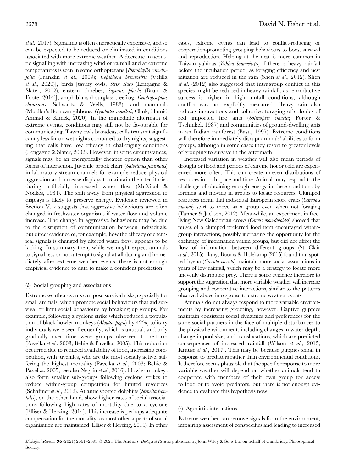et al., 2017). Signalling is often energetically expensive, and so can be expected to be reduced or eliminated in conditions associated with more extreme weather. A decrease in acoustic signalling with increasing wind or rainfall and at extreme temperatures is seen in some orthopterans [Pterophylla camellifolia (Franklin et al., 2009); Copiphora brevirostris (Velilla et al., 2020)], birds [tawny owls, Strix aluco (Lengagne & Slater, 2002); eastern phoebes, Sayornis phoebe (Bruni & Foote, 2014)], amphibians (hourglass treefrog, Dendropsophus ebraccatus; Schwartz & Wells, 1983), and mammals (Mueller's Bornean gibbons, Hylobates muelleri; Clink, Hamid Ahmad & Klinck, 2020). In the immediate aftermath of extreme events, conditions may still not be favourable for communicating. Tawny owls broadcast calls transmit significantly less far on wet nights compared to dry nights, suggesting that calls have low efficacy in challenging conditions (Lengagne & Slater, 2002). However, in some circumstances, signals may be an energetically cheaper option than other forms of interaction. Juvenile brook charr (Salvelinus fontinalis) in laboratory stream channels for example reduce physical aggression and increase displays to maintain their territories during artificially increased water flow (McNicol & Noakes, 1984). The shift away from physical aggression to displays is likely to preserve energy. Evidence reviewed in Section V.1 $\epsilon$  suggests that aggressive behaviours are often changed in freshwater organisms if water flow and volume increase. The change in aggressive behaviours may be due to the disruption of communication between individuals, but direct evidence of, for example, how the efficacy of chemical signals is changed by altered water flow, appears to be lacking. In summary then, while we might expect animals to signal less or not attempt to signal at all during and immediately after extreme weather events, there is not enough empirical evidence to date to make a confident prediction.

## (b) Social grouping and associations

Extreme weather events can pose survival risks, especially for small animals, which promote social behaviours that aid survival or limit social behaviours by breaking up groups. For example, following a cyclone strike which reduced a population of black howler monkeys (Aloutta pigra) by 42%, solitary individuals were seen frequently, which is unusual, and only gradually over time were groups observed to re-form (Pavelka et al., 2003; Behie & Pavelka, 2005). This reduction occurred due to reduced availability of food, increasing competition, with juveniles, who are the most socially active, suffering the highest mortality (Pavelka et al., 2003; Behie & Pavelka, 2005; see also Negrín et al., 2016). Howler monkeys also form smaller sub-groups following cyclone strikes to reduce within-group competition for limited resources (Schaffner et al., 2012). Atlantic spotted dolphins (Stenella frontalis), on the other hand, show higher rates of social associations following high rates of mortality due to a cyclone (Elliser & Herzing, 2014). This increase is perhaps adequate compensation for the mortality, as most other aspects of social organisation are maintained (Elliser & Herzing, 2014). In other

cases, extreme events can lead to conflict-reducing or cooperation-promoting grouping behaviours to boost survival and reproduction. Helping at the nest is more common in Taiwan yuhinas (Yuhina brunneiceps) if there is heavy rainfall before the incubation period, as foraging efficiency and nest initiation are reduced in the rain (Shen  $et$   $al., 2012$ ). Shen et al. (2012) also suggested that intragroup conflict in this species might be reduced in heavy rainfall, as reproductive success is higher in high-rainfall conditions, although conflict was not explicitly measured. Heavy rain also reduces interactions and collective foraging of colonies of red imported fire ants (Solenopsis invicta; Porter & Tschinkel, 1987) and communities of ground-dwelling ants in an Indian rainforest (Basu, 1997). Extreme conditions will therefore immediately disrupt animals' abilities to form groups, although in some cases they resort to greater levels of grouping to survive in the aftermath.

Increased variation in weather will also mean periods of drought or flood and periods of extreme hot or cold are experienced more often. This can create uneven distributions of resources in both space and time. Animals may respond to the challenge of obtaining enough energy in these conditions by forming and moving in groups to locate resources. Clumped resources mean that individual European shore crabs (Carcinus maenas) start to move as a group even when not foraging (Tanner & Jackson, 2012). Meanwhile, an experiment in freeliving New Caledonian crows (Corvus moneduloides) showed that pulses of a clumped preferred food item encouraged withingroup interactions, possibly increasing the opportunity for the exchange of information within groups, but did not affect the flow of information between different groups (St Clair et al., 2015). Ilany, Booms & Holekamp (2015) found that spotted hyena (Crocuta crocuta) maintain more social associations in years of low rainfall, which may be a strategy to locate more unevenly distributed prey. There is some evidence therefore to support the suggestion that more variable weather will increase grouping and cooperative interactions, similar to the patterns observed above in response to extreme weather events.

Animals do not always respond to more variable environments by increasing grouping, however. Captive guppies maintain consistent social dynamics and preferences for the same social partners in the face of multiple disturbances to the physical environment, including changes in water depth, change in pool size, and translocations, which are predicted consequences of increased rainfall (Wilson et al., 2015; Krause et al., 2017). This may be because guppies shoal in response to predators rather than environmental conditions. It therefore seems plausible that the specific response to more variable weather will depend on whether animals tend to cooperate with members of their own group for access to food or to avoid predators, but there is not enough evidence to evaluate this hypothesis now.

## (c) Agonistic interactions

Extreme weather can remove signals from the environment, impairing assessment of conspecifics and leading to increased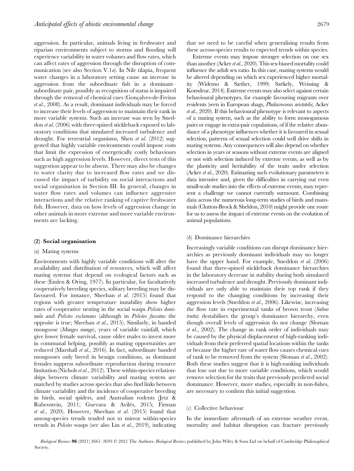aggression. In particular, animals living in freshwater and riparian environments subject to storms and flooding will experience variability in water volumes and flow rates, which can affect rates of aggression through the disruption of communication (see also Section V.1a). In Nile tilapia, frequent water changes in a laboratory setting cause an increase in aggression from the subordinate fish in a dominant– subordinate pair, possibly as recognition of status is impaired through the removal of chemical cues (Gonçalves-de-Freitas et al., 2008). As a result, dominant individuals may be forced to increase their levels of aggression to maintain their rank in more variable systems. Such an increase was seen by Sneddon et al. (2006) with three-spined stickleback exposed to laboratory conditions that simulated increased turbulence and drought. For terrestrial organisms, Shen et al. (2012) suggested that highly variable environments could impose costs that limit the expression of energetically costly behaviours such as high aggression levels. However, direct tests of this suggestion appear to be absent. There may also be changes to water clarity due to increased flow rates and we discussed the impact of turbidity on social interactions and social organisation in Section III. In general, changes in water flow rates and volumes can influence aggressive interactions and the relative ranking of captive freshwater fish. However, data on how levels of aggression change in other animals in more extreme and more variable environments are lacking.

#### (2) Social organisation

## (a) Mating systems

Environments with highly variable conditions will alter the availability and distribution of resources, which will affect mating systems that depend on ecological factors such as these (Emlen & Oring, 1977). In particular, for facultatively cooperatively breeding species, solitary breeding may be disfavoured. For instance, Sheehan et al. (2015) found that regions with greater temperature instability show higher rates of cooperative nesting in the social wasps *Polistes domi*nula and Polistes exclamans (although in Polistes fuscatus the opposite is true; Sheehan et al., 2015). Similarly, in banded mongoose (Mungos mungo), years of variable rainfall, which give lower female survival, cause older males to invest more in communal helping, possibly as mating opportunities are reduced (Marshall et al., 2016). In fact, subordinate banded mongooses only breed in benign conditions, as dominant females suppress subordinate reproduction during resource limitation (Nichols et al., 2012). These within-species relationships between climate variability and mating system are matched by studies across species that also find links between climate variability and the incidence of cooperative breeding in birds, social spiders, and Australian rodents (Jetz & Rubenstein, 2011; Guevara & Avilés, 2015; Firman et al., 2020). However, Sheehan et al. (2015) found that among-species trends tended not to mirror within-species trends in Polistes wasps (see also Lin et al., 2019), indicating

Extreme events may impose stronger selection on one sex than another (Acker et al., 2020). This sex-biased mortality could influence the adult sex ratio. In this case, mating systems would be altered depending on which sex experienced higher mortality (Widemo & Sæther, 1999; Székely, Weissing & Komdeur, 2014). Extreme events may also select against certain behavioural phenotypes, for example favouring migrants over residents (seen in European shags, Phalacrocorax aristotelis; Acker et al., 2020). If this behavioural phenotype is relevant to aspects of a mating system, such as the ability to form monogamous pairs or engage in extra-pair copulations, of if the relative abundance of a phenotype influences whether it is favoured in sexual selection, patterns of sexual selection could well drive shifts in mating systems. Any consequences will also depend on whether selection in years or seasons without extreme events are aligned or not with selection induced by extreme events, as well as by the plasticity and heritability of the traits under selection (Acker et al., 2020). Estimating such evolutionary parameters is data intensive and, given the difficulties in carrying out even small-scale studies into the effects of extreme events, may represent a challenge we cannot currently surmount. Combining data across the numerous long-term studies of birds and mammals (Clutton-Brock & Sheldon, 2010) might provide one route for us to assess the impact of extreme events on the evolution of animal populations.

#### (b) Dominance hierarchies

Increasingly variable conditions can disrupt dominance hierarchies as previously dominant individuals may no longer have the upper hand. For example, Sneddon *et al.* (2006) found that three-spined stickleback dominance hierarchies in the laboratory decrease in stability during both simulated increased turbulence and drought. Previously dominant individuals are only able to maintain their top rank if they respond to the changing conditions by increasing their aggression levels (Sneddon et al., 2006). Likewise, increasing the flow rate in experimental tanks of brown trout (Salmo trutta) destabilises the group's dominance hierarchy, even though overall levels of aggression do not change (Sloman et al., 2002). The change in rank order of individuals may be caused by the physical displacement of high-ranking individuals from their preferred spatial locations within the tanks or because the higher rate of water flow causes chemical cues of rank to be removed from the system (Sloman et al., 2002). Both these studies suggest that it is high-ranking individuals that lose out due to more variable conditions, which would remove selection for the traits that previously predicted social dominance. However, more studies, especially in non-fishes, are necessary to confirm this initial suggestion.

## (c) Collective behaviour

In the immediate aftermath of an extreme weather event, mortality and habitat disruption can fracture previously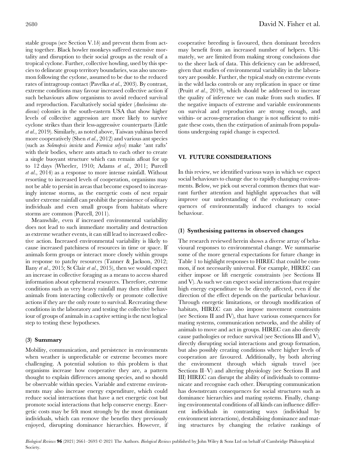stable groups (see Section V.1 $b$ ) and prevent them from acting together. Black howler monkeys suffered extensive mortality and disruption to their social groups as the result of a tropical cyclone. Further, collective howling, used by this species to delineate group territory boundaries, was also uncommon following the cyclone, assumed to be due to the reduced rates of intragroup contact (Pavelka et al., 2003). By contrast, extreme conditions may favour increased collective action if such behaviours allow organisms to avoid reduced survival and reproduction. Facultatively social spider (Anelosimus studiosus) colonies in the south-eastern USA that show higher levels of collective aggression are more likely to survive cyclone strikes than their less-aggressive counterparts (Little et al., 2019). Similarly, as noted above, Taiwan yuhinas breed more cooperatively (Shen et al., 2012) and various ant species (such as Solenopsis invicta and Formica selysi) make 'ant rafts' with their bodies, where ants attach to each other to create a single buoyant structure which can remain afloat for up to 12 days (Wheeler, 1910; Adams et al., 2011; Purcell et al., 2014) as a response to more intense rainfall. Without resorting to increased levels of cooperation, organisms may not be able to persist in areas that become exposed to increasingly intense storms, as the energetic costs of nest repair under extreme rainfall can prohibit the persistence of solitary individuals and even small groups from habitats where storms are common (Purcell, 2011).

Meanwhile, even if increased environmental variability does not lead to such immediate mortality and destruction as extreme weather events, it can still lead to increased collective action. Increased environmental variability is likely to cause increased patchiness of resources in time or space. If animals form groups or interact more closely within groups in response to patchy resources (Tanner & Jackson, 2012; Ilany et al., 2015; St Clair et al., 2015), then we would expect an increase in collective foraging as a means to access shared information about ephemeral resources. Therefore, extreme conditions such as very heavy rainfall may then either limit animals from interacting collectively or promote collective actions if they are the only route to survival. Recreating these conditions in the laboratory and testing the collective behaviour of groups of animals in a captive setting is the next logical step to testing these hypotheses.

## (3) Summary

Mobility, communication, and persistence in environments when weather is unpredictable or extreme becomes more challenging. A potential solution to this problem is that organisms increase how cooperative they are, a pattern thought to explain differences among species, and so should be observable within species. Variable and extreme environments may also increase energy expenditure, which could reduce social interactions that have a net energetic cost but promote social interactions that help conserve energy. Energetic costs may be felt most strongly by the most dominant individuals, which can remove the benefits they previously enjoyed, disrupting dominance hierarchies. However, if cooperative breeding is favoured, then dominant breeders may benefit from an increased number of helpers. Ultimately, we are limited from making strong conclusions due to the sheer lack of data. This deficiency can be addressed, given that studies of environmental variability in the laboratory are possible. Further, the typical study on extreme events in the wild lacks controls or any replication in space or time (Pruitt et al., 2019), which should be addressed to increase the quality of inference we can make from such studies. If the negative impacts of extreme and variable environments on survival and reproduction are strong enough, and within- or across-generation change is not sufficient to mitigate these costs, then the extirpation of animals from populations undergoing rapid change is expected.

# VI. FUTURE CONSIDERATIONS

In this review, we identified various ways in which we expect social behaviours to change due to rapidly changing environments. Below, we pick out several common themes that warrant further attention and highlight approaches that will improve our understanding of the evolutionary consequences of environmentally induced changes to social behaviour.

## (1) Synthesising patterns in observed changes

The research reviewed herein shows a diverse array of behavioural responses to environmental change. We summarise some of the more general expectations for future change in Table 1 to highlight responses to HIREC that could be common, if not necessarily universal. For example, HIREC can either impose or lift energetic constraints (see Sections II and V). As such we can expect social interactions that require high energy expenditure to be directly affected, even if the direction of the effect depends on the particular behaviour. Through energetic limitations, or through modification of habitats, HIREC can also impose movement constraints (see Sections II and IV), that have various consequences for mating systems, communication networks, and the ability of animals to move and act in groups. HIREC can also directly cause pathologies or reduce survival (see Sections III and V), directly disrupting social interactions and group formation, but also possibly creating conditions where higher levels of cooperation are favoured. Additionally, by both altering the environment through which signals travel (see Sections II–V) and altering physiology (see Sections II and III) HIREC can disrupt the ability of individuals to communicate and recognise each other. Disrupting communication has downstream consequences for social structures such as dominance hierarchies and mating systems. Finally, changing environmental conditions of all kinds can influence different individuals in contrasting ways (individual by environment interactions), destabilising dominance and mating structures by changing the relative rankings of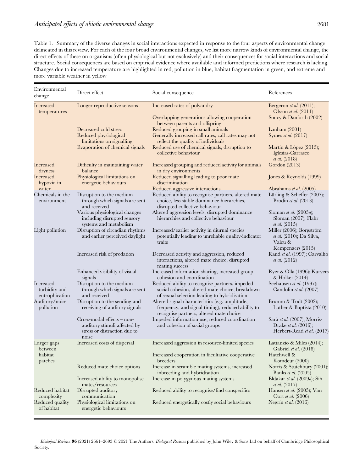Table 1. Summary of the diverse changes in social interactions expected in response to the four aspects of environmental change delineated in this review. For each of the four broad environmental changes, we list more narrow kinds of environmental change, the direct effects of these on organisms (often physiological but not exclusively) and their consequences for social interactions and social structure. Social consequences are based on empirical evidence where available and informed predictions where research is lacking. Changes due to increased temperature are highlighted in red, pollution in blue, habitat fragmentation in green, and extreme and more variable weather in yellow

| Environmental<br>change                      | Direct effect                                                                                       | Social consequence                                                                                                                                | References                                                                                  |
|----------------------------------------------|-----------------------------------------------------------------------------------------------------|---------------------------------------------------------------------------------------------------------------------------------------------------|---------------------------------------------------------------------------------------------|
| <b>Increased</b><br>temperatures             | Longer reproductive seasons                                                                         | Increased rates of polyandry                                                                                                                      | Bergeron <i>et al.</i> $(2011)$ ;<br>Olsson et al. $(2011)$                                 |
|                                              |                                                                                                     | Overlapping generations allowing cooperation<br>between parents and offspring                                                                     | Soucy & Danforth (2002)                                                                     |
|                                              | Decreased cold stress<br>Reduced physiological<br>limitations on signalling                         | Reduced grouping in small animals<br>Generally increased call rates, call rates may not<br>reflect the quality of individuals                     | Lanham $(2001)$<br>Symes et al. (2017)                                                      |
|                                              | Evaporation of chemical signals                                                                     | Reduced use of chemical signals, disruption to<br>collective behaviour                                                                            | Martín & López (2013);<br>Iglesias-Carrasco<br>et al. (2018)                                |
| <b>Increased</b><br>dryness                  | Difficulty in maintaining water<br>balance                                                          | Increased grouping and reduced activity for animals<br>in dry environments                                                                        | Gordon (2013)                                                                               |
| <b>Increased</b><br>hypoxia in               | Physiological limitations on<br>energetic behaviours                                                | Reduced signalling leading to poor mate<br>discrimination                                                                                         | Jones & Reynolds (1999)                                                                     |
| water                                        |                                                                                                     | Reduced aggressive interactions                                                                                                                   | Abrahams et al. (2005)                                                                      |
| Chemicals in the<br>environment              | Disruption to the medium<br>through which signals are sent<br>and received                          | Reduced ability to recognise partners, altered mate<br>choice, less stable dominance hierarchies,<br>disrupted collective behaviour               | Lürling & Scheffer (2007);<br>Brodin et al. $(2013)$                                        |
|                                              | Various physiological changes<br>including disrupted sensory<br>systems and metabolism              | Altered aggression levels, disrupted dominance<br>hierarchies and collective behaviour                                                            | Sloman et al. (2003a);<br>Sloman (2007); Flahr<br><i>et al.</i> $(2015)$                    |
| Light pollution                              | Disruption of circadian rhythms<br>and earlier perceived daylight                                   | Increased/earlier activity in diurnal species<br>potentially leading to unreliable quality-indicator<br>traits                                    | Miller (2006); Borgström<br><i>et al.</i> (2010); Da Silva,<br>Valcu &<br>Kempenaers (2015) |
|                                              | Increased risk of predation                                                                         | Decreased activity and aggression, reduced<br>interactions, altered mate choice, disrupted<br>mating success                                      | Rand et al. (1997); Carvalho<br><i>et al.</i> $(2012)$                                      |
|                                              | Enhanced visibility of visual<br>signals                                                            | Increased information sharing, increased group<br>cohesion and coordination                                                                       | Ryer & Olla (1996); Kurvers<br>& Holker (2014)                                              |
| Increased<br>turbidity and<br>eutrophication | Disruption to the medium<br>through which signals are sent<br>and received                          | Reduced ability to recognise partners, impeded<br>social cohesion, altered mate choice, breakdown<br>of sexual selection leading to hybridisation | Seehausen et al. (1997);<br>Candolin et al. (2007)                                          |
| Auditory/noise<br>pollution                  | Disruption to the sending and<br>receiving of auditory signals                                      | Altered signal characteristics (e.g. amplitude,<br>frequency, and signal timing), reduced ability to<br>recognise partners, altered mate choice   | Brumm $& Todt (2002);$<br>Luther & Baptista $(2010)$                                        |
|                                              | Cross-modal effects - non-<br>auditory stimuli affected by<br>stress or distraction due to<br>noise | Impeded information use, reduced coordination<br>and cohesion of social groups                                                                    | Sarà et al. (2007); Morris-<br>Drake <i>et al.</i> (2016);<br>Herbert-Read et al. (2017)    |
| Larger gaps<br>between                       | Increased costs of dispersal                                                                        | Increased aggression in resource-limited species                                                                                                  | Lattanzio & Miles (2014);<br>Gabriel et al. (2018)                                          |
| habitat<br>patches                           |                                                                                                     | Increased cooperation in facultative cooperative<br>breeders                                                                                      | Hatchwell &<br>Komdeur (2000)                                                               |
|                                              | Reduced mate choice options                                                                         | Increase in scramble mating systems, increased<br>inbreeding and hybridisation                                                                    | Norris & Stutchbury (2001);<br><b>Banks</b> et al. (2005)                                   |
|                                              | Increased ability to monopolise<br>mates/resources                                                  | Increase in polygynous mating systems                                                                                                             | Eldakar et al. (2009a); Sih<br><i>et al.</i> $(2017)$                                       |
| Reduced habitat<br>complexity                | Disrupted auditory<br>communication                                                                 | Reduced ability to recognise/find conspecifics                                                                                                    | Hansen et al. (2005); Van<br>Oort et al. (2006)                                             |
| Reduced quality<br>of habitat                | Physiological limitations on<br>energetic behaviours                                                | Reduced energetically costly social behaviours                                                                                                    | Negrín et al. (2016)                                                                        |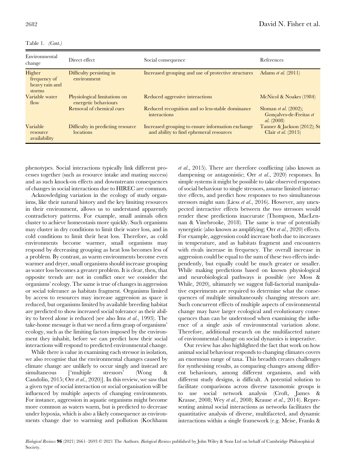| Table 1. |  | (Cont.) |
|----------|--|---------|
|----------|--|---------|

| Environmental<br>change                            | Direct effect                                        | Social consequence                                                                           | References                                                               |
|----------------------------------------------------|------------------------------------------------------|----------------------------------------------------------------------------------------------|--------------------------------------------------------------------------|
| Higher<br>frequency of<br>heavy rain and<br>storms | Difficulty persisting in<br>environment              | Increased grouping and use of protective structures                                          | Adams et al. $(2011)$                                                    |
| Variable water<br>flow                             | Physiological limitations on<br>energetic behaviours | Reduced aggressive interactions                                                              | McNicol & Noakes (1984)                                                  |
|                                                    | Removal of chemical cues                             | Reduced recognition and so less-stable dominance<br>interactions                             | Sloman <i>et al.</i> $(2002)$ ;<br>Gonçalves-de-Freitas et<br>al. (2008) |
| Variable<br>resource<br>availability               | Difficulty in predicting resource<br>locations       | Increased grouping to ensure information exchange<br>and ability to find ephemeral resources | Tanner & Jackson $(2012)$ ; St<br>Clair et al. $(2015)$                  |

phenotypes. Social interactions typically link different processes together (such as resource intake and mating success) and as such knock-on effects and downstream consequences of changes in social interactions due to HIREC are common.

Acknowledging variation in the ecology of study organisms, like their natural history and the key limiting resources in their environment, allows us to understand apparently contradictory patterns. For example, small animals often cluster to achieve homeostasis more quickly. Such organisms may cluster in dry conditions to limit their water loss, and in cold conditions to limit their heat loss. Therefore, as cold environments become warmer, small organisms may respond by decreasing grouping as heat loss becomes less of a problem. By contrast, as warm environments become even warmer and dryer, small organisms should increase grouping as water loss becomes a greater problem. It is clear, then, that opposite trends are not in conflict once we consider the organisms' ecology. The same is true of changes in aggression or social tolerance as habitats fragment. Organisms limited by access to resources may increase aggression as space is reduced, but organisms limited by available breeding habitat are predicted to show increased social tolerance as their ability to breed alone is reduced (see also Ims et al., 1993). The take-home message is that we need a firm grasp of organisms' ecology, such as the limiting factors imposed by the environment they inhabit, before we can predict how their social interactions will respond to predicted environmental change.

While there is value in examining each stressor in isolation, we also recognise that the environmental changes caused by climate change are unlikely to occur singly and instead are simultaneous ['multiple stressors' (Wong & Candolin, 2015; Orr et al., 2020)]. In this review, we saw that a given type of social interaction or social organisation will be influenced by multiple aspects of changing environments. For instance, aggression in aquatic organisms might become more common as waters warm, but is predicted to decrease under hypoxia, which is also a likely consequence as environments change due to warming and pollution (Kochhann

et al., 2015). There are therefore conflicting (also known as dampening or antagonistic; Orr et al., 2020) responses. In simple systems it might be possible to take observed responses of social behaviour to single stressors, assume limited interactive effects, and predict how responses to two simultaneous stressors might sum (Liess *et al.*, 2016). However, any unexpected interactive effects between the two stressors would render these predictions inaccurate (Thompson, MacLennan & Vinebrooke, 2018). The same is true of potentially synergistic (also known as amplifying; Orr et al., 2020) effects. For example, aggression could increase both due to increases in temperature, and as habitats fragment and encounters with rivals increase in frequency. The overall increase in aggression could be equal to the sum of these two effects independently, but equally could be much greater or smaller. While making predictions based on known physiological and neurobiological pathways is possible (see Moss & While, 2020), ultimately we suggest full-factorial manipulative experiments are required to determine what the consequences of multiple simultaneously changing stressors are. Such concurrent effects of multiple aspects of environmental change may have larger ecological and evolutionary consequences than can be understood when examining the influence of a single axis of environmental variation alone. Therefore, additional research on the multifaceted nature of environmental change on social dynamics is imperative.

Our review has also highlighted the fact that work on how animal social behaviour responds to changing climates covers an enormous range of taxa. This breadth creates challenges for synthesising results, as comparing changes among different behaviours, among different organisms, and with different study designs, is difficult. A potential solution to facilitate comparisons across diverse taxonomic groups is to use social network analysis (Croft, James & Krause, 2008; Wey et al., 2008; Krause et al., 2014). Representing animal social interactions as networks facilitates the quantitative analysis of diverse, multifaceted, and dynamic interactions within a single framework (e.g. Meise, Franks &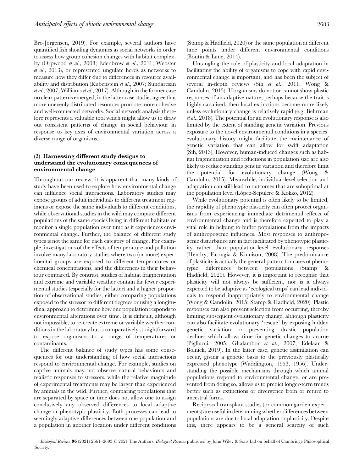Bro-Jørgensen, 2019). For example, several authors have quantified fish shoaling dynamics as social networks in order to assess how group cohesion changes with habitat complexity (Orpwood et al., 2008; Edenbrow et al., 2011; Webster et al., 2013), or represented ungulate herds as networks to measure how they differ due to differences in resource availability and distribution (Rubenstein et al., 2007; Sundaresan et al., 2007; Williams et al., 2017). Although in the former case no clear patterns emerged, in the latter case studies agree that more unevenly distributed resources promote more cohesive and well-connected networks. Social network analysis therefore represents a valuable tool which might allow us to draw out consistent patterns of change in social behaviour in response to key axes of environmental variation across a diverse range of organisms.

# (2) Harnessing different study designs to understand the evolutionary consequences of environmental change

Throughout our review, it is apparent that many kinds of study have been used to explore how environmental change can influence social interactions. Laboratory studies may expose groups of adult individuals to different treatment regimens or expose the same individuals to different conditions, while observational studies in the wild may compare different populations of the same species living in different habitats or monitor a single population over time as it experiences environmental change. Further, the balance of different study types is not the same for each category of change. For example, investigations of the effects of temperature and pollution involve many laboratory studies where two (or more) experimental groups are exposed to different temperatures or chemical concentrations, and the differences in their behaviour compared. By contrast, studies of habitat fragmentation and extreme and variable weather contain far fewer experimental studies (especially for the latter) and a higher proportion of observational studies, either comparing populations exposed to the stressor to different degrees or using a longitudinal approach to determine how one population responds to environmental alterations over time. It is difficult, although not impossible, to re-create extreme or variable weather conditions in the laboratory but is comparatively straightforward to expose organisms to a range of temperatures or contaminants.

The different balance of study types has some consequences for our understanding of how social interactions respond to environmental change. For example, studies on captive animals may not observe natural behaviours and realistic responses to stressors, while the relative magnitude of experimental treatments may be larger than experienced by animals in the wild. Further, comparing populations that are separated by space or time does not allow one to assign conclusively any observed differences to local adaptive change or phenotypic plasticity. Both processes can lead to seemingly adaptive differences between one population and a population in another location under different conditions

(Stamp & Hadfield, 2020) or the same population at different time points under different environmental conditions (Boutin & Lane, 2014).

Untangling the role of plasticity and local adaptation in facilitating the ability of organisms to cope with rapid environmental change is important, and has been the subject of several in-depth reviews (Sih et al., 2011; Wong & Candolin, 2015). If organisms do not or cannot show plastic responses of an adaptive nature, perhaps because the trait is highly canalised, then local extinctions become more likely unless evolutionary change is relatively rapid (e.g. Behrman et al., 2018). The potential for an evolutionary response is also limited by the extent of standing genetic variation. Previous exposure to the novel environmental conditions in a species' evolutionary history might facilitate the maintenance of genetic variation that can allow for swift adaptation (Sih, 2013). However, human-induced changes such as habitat fragmentation and reductions in population size are also likely to reduce standing genetic variation and therefore limit the potential for evolutionary change (Wong & Candolin, 2015). Meanwhile, individual-level selection and adaptation can still lead to outcomes that are suboptimal at the population level (López-Sepulcre & Kokko, 2012).

While evolutionary potential is often likely to be limited, the rapidity of phenotypic plasticity can often protect organisms from experiencing immediate detrimental effects of environmental change and is therefore expected to play a vital role in helping to buffer populations from the impacts of anthropogenic influences. Most responses to anthropogenic disturbance are in fact facilitated by phenotypic plasticity rather than population-level evolutionary responses (Hendry, Farrugia & Kinnison, 2008). The predominance of plasticity is actually the general pattern for cases of phenotypic differences between populations (Stamp & Hadfield, 2020). However, it is important to recognise that plasticity will not always be sufficient, nor is it always expected to be adaptive as 'ecological traps' can lead individuals to respond inappropriately to environmental change (Wong & Candolin, 2015; Stamp & Hadfield, 2020). Plastic responses can also prevent selection from occurring, thereby limiting subsequent evolutionary change, although plasticity can also facilitate evolutionary 'rescue' by exposing hidden genetic variation or preventing drastic population declines which allows time for genetic changes to accrue (Pigliucci, 2005; Ghalambor et al., 2007; Edelaar & Bolnick, 2019). In the latter case, genetic assimilation can occur, giving a genetic basis to the previously plastically expressed phenotype (Waddington, 1953, 1956). Understanding the possible mechanisms through which animal populations respond to environmental change, or are prevented from doing so, allows us to predict longer-term trends better such as extinctions or divergence from or return to ancestral forms.

Reciprocal transplant studies (or common garden experiments) are useful in determining whether differences between populations are due to local adaptation or plasticity. Despite this, there appears to be a general scarcity of such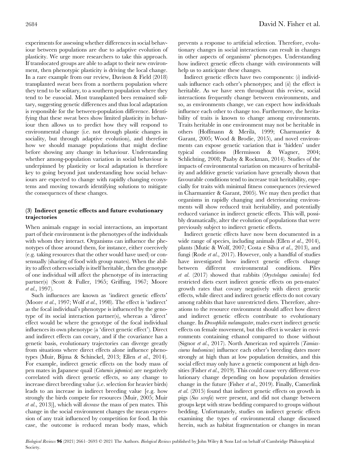experiments for assessing whether differences in social behaviour between populations are due to adaptive evolution of plasticity. We urge more researchers to take this approach. If translocated groups are able to adapt to their new environment, then phenotypic plasticity is driving the local change. In a rare example from our review, Davison & Field (2018) transplanted sweat bees from a northern population where they tend to be solitary, to a southern population where they tend to be eusocial. Most transplanted bees remained solitary, suggesting genetic differences and thus local adaptation is responsible for the between-population difference. Identifying that these sweat bees show limited plasticity in behaviour then allows us to predict how they will respond to environmental change (i.e. not through plastic changes in sociality, but through adaptive evolution), and therefore how we should manage populations that might decline before showing any change in behaviour. Understanding whether among-population variation in social behaviour is underpinned by plasticity or local adaptation is therefore key to going beyond just understanding how social behaviours are expected to change with rapidly changing ecosystems and moving towards identifying solutions to mitigate the consequences of these changes.

# (3) Indirect genetic effects and future evolutionary trajectories

When animals engage in social interactions, an important part of their environment is the phenotypes of the individuals with whom they interact. Organisms can influence the phenotypes of those around them, for instance, either coercively (e.g. taking resources that the other would have used) or consensually (sharing of food with group mates). When the ability to affect others socially is itself heritable, then the genotype of one individual will affect the phenotype of its interacting partner(s) (Scott & Fuller, 1965; Griffing, 1967; Moore et al., 1997).

Such influences are known as 'indirect genetic effects' (Moore et al., 1997; Wolf et al., 1998). The effect is 'indirect' as the focal individual's phenotype is influenced by the genotype of its social interaction partner(s), whereas a 'direct' effect would be where the genotype of the focal individual influences its own phenotype (a 'direct genetic effect'). Direct and indirect effects can covary, and if the covariance has a genetic basis, evolutionary trajectories can diverge greatly from situations where direct effects alone influence phenotypes (Muir, Bijma & Schinckel, 2013; Ellen et al., 2014). For example, indirect genetic effects on the body mass of pen mates in Japanese quail (Coturnix japonica) are negatively correlated with direct genetic effects, so any change to increase direct breeding value (i.e. selection for heavier birds) leads to an increase in indirect breeding value [e.g. how strongly the birds compete for resources (Muir, 2005; Muir et al., 2013)], which will decrease the mass of pen mates. This change in the social environment changes the mean expression of any trait influenced by competition for food. In this case, the outcome is reduced mean body mass, which

prevents a response to artificial selection. Therefore, evolutionary changes in social interactions can result in changes in other aspects of organisms' phenotypes. Understanding how indirect genetic effects change with environments will help us to anticipate these changes.

Indirect genetic effects have two components:  $(i)$  individuals influence each other's phenotypes; and  $(ii)$  the effect is heritable. As we have seen throughout this review, social interactions frequently change between environments, and so, as environments change, we can expect how individuals influence each other to change too. Furthermore, the heritability of traits is known to change among environments. Traits heritable in one environment may not be heritable in others (Hoffmann & Merilä, 1999; Charmantier & Garant, 2005; Wood & Brodie, 2015), and novel environments can expose genetic variation that is 'hidden' under typical conditions (Hermisson & Wagner, 2004; Schlichting, 2008; Paaby & Rockman, 2014). Studies of the impacts of environmental variation on measures of heritability and additive genetic variation have generally shown that favourable conditions tend to increase trait heritability, especially for traits with minimal fitness consequences (reviewed in Charmantier & Garant, 2005). We may then predict that organisms in rapidly changing and deteriorating environments will show reduced trait heritability, and potentially reduced variance in indirect genetic effects. This will, possibly dramatically, alter the evolution of populations that were previously subject to indirect genetic effects.

Indirect genetic effects have now been documented in a wide range of species, including animals (Ellen et al., 2014), plants (Mutic & Wolf, 2007; Costa e Silva et al., 2013), and fungi (Rode et al., 2017). However, only a handful of studies have investigated how indirect genetic effects change between different environmental conditions. Piles et al. (2017) showed that rabbits (Oryctolagus cuniculus) fed restricted diets exert indirect genetic effects on pen-mates' growth rates that covary negatively with direct genetic effects, while direct and indirect genetic effects do not covary among rabbits that have unrestricted diets. Therefore, alterations to the resource environment should affect how direct and indirect genetic effects contribute to evolutionary change. In Drosophila melanogaster, males exert indirect genetic effects on female movement, but this effect is weaker in environments containing ethanol compared to those without (Signor et al., 2017). North American red squirrels (Tamiasciurus hudsonicus) influence each other's breeding dates more strongly at high than at low population densities, and this social effect may only have a genetic component at high densities (Fisher et al., 2019). This could cause very different evolutionary change depending on how population densities change in the future (Fisher et al., 2019). Finally, Camerlink et al. (2015) found that indirect genetic effects on growth in pigs (Sus scrofa) were present, and did not change between groups kept with straw bedding compared to groups without bedding. Unfortunately, studies on indirect genetic effects examining the types of environmental change discussed herein, such as habitat fragmentation or changes in mean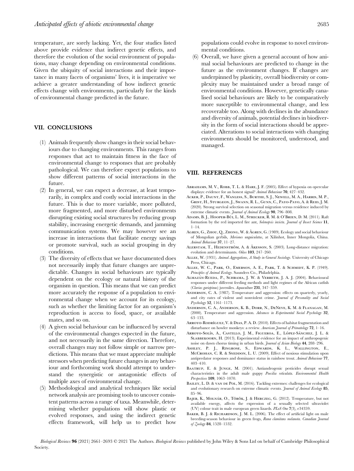temperature, are sorely lacking. Yet, the four studies listed above provide evidence that indirect genetic effects, and therefore the evolution of the social environment of populations, may change depending on environmental conditions. Given the ubiquity of social interactions and their importance in many facets of organisms' lives, it is imperative we achieve a greater understanding of how indirect genetic effects change with environments, particularly for the kinds of environmental change predicted in the future.

# VII. CONCLUSIONS

- (1) Animals frequently show changes in their social behaviours due to changing environments. This ranges from responses that act to maintain fitness in the face of environmental change to responses that are probably pathological. We can therefore expect populations to show different patterns of social interactions in the future.
- (2) In general, we can expect a decrease, at least temporarily, in complex and costly social interactions in the future. This is due to more variable, more polluted, more fragmented, and more disturbed environments disrupting existing social structures by reducing group stability, increasing energetic demands, and jamming communication systems. We may however see an increase in interactions that facilitate energy savings or promote survival, such as social grouping in dry conditions.
- (3) The diversity of effects that we have documented does not necessarily imply that future changes are unpredictable. Changes in social behaviours are typically dependent on the ecology or natural history of the organism in question. This means that we can predict more accurately the response of a population to environmental change when we account for its ecology, such as whether the limiting factor for an organism's reproduction is access to food, space, or available mates, and so on.
- (4) A given social behaviour can be influenced by several of the environmental changes expected in the future, and not necessarily in the same direction. Therefore, overall changes may not follow simple or narrow predictions. This means that we must appreciate multiple stressors when predicting future changes in any behaviour and forthcoming work should attempt to understand the synergistic or antagonistic effects of multiple axes of environmental change.
- (5) Methodological and analytical techniques like social network analysis are promising tools to uncover consistent patterns across a range of taxa. Meanwhile, determining whether populations will show plastic or evolved responses, and using the indirect genetic effects framework, will help us to predict how

populations could evolve in response to novel environmental conditions.

(6) Overall, we have given a general account of how animal social behaviours are predicted to change in the future as the environment changes. If changes are underpinned by plasticity, overall biodiversity or complexity may be maintained under a broad range of environmental conditions. However, genetically canalised social behaviours are likely to be comparatively more susceptible to environmental change, and less recoverable too. Along with declines in the abundance and diversity of animals, potential declines in biodiversity in the form of social interactions should be appreciated. Alterations to social interactions with changing environments should be monitored, understood, and managed.

#### VIII. REFERENCES

- ABRAHAMS, M. V., ROBB, T. L. & HARE, J. F. (2005). Effect of hypoxia on opercular displays: evidence for an honest signal? Animal Behaviour 70, 427–432.
- Acker, P., Daunt, F., Wanless, S., Burthe, S. J., Newell, M. A., Harris, M. P., Grist, H., Sturgeon, J., Swann, R. L., Gunn, C., Payo-Payo, A. & Reid, J. M. (2020). Strong survival selection on seasonal migration versus residence induced by extreme climatic events. Journal of Animal Ecology 90, 796-808.
- Adams, B. J., Hooper-Bu`i, L. M., Strecker, R. M. & O'Brien, D. M. (2011). Raft formation by the red imported fire ant, Solenopsis invicta. Journal of Insect Science 11, 1–14.
- AGREN, G., ZHOU, Q., ZHONG, W. & ÅGREN, G. (1989). Ecology and social behaviour of Mongolian gerbils, Meriones unguiculatus, at Xilinhot, Inner Mongolia, China. Animal Behaviour 37, 11–27.
- ALERSTAM, T., HEDENSTRÖM, A. & ÅKESSON, S. (2003). Long-distance migration: evolution and determinants. Oikos 103, 247–260.
- Allee, W. (1931). Animal Aggregations, A Study in General Sociology. University of Chicago Press, Chicago.
- Allee, W. C., Park, O., Emerson, A. E., Park, T. & Schmidt, K. P. (1949). Principles of Animal Ecology. Saunders Co., Philadelphia.
- ALMAZÁN-RUEDA, P., SCHRAMA, J. W. & VERRETH, J. A. J. (2004). Behavioural responses under different feeding methods and light regimes of the African catfish (Clarias gariepinus) juveniles. Aquaculture 231, 347–359.
- Anderson, C. A. (1987). Temperature and aggression: effects on quarterly, yearly, and city rates of violent and nonviolent crime. Journal of Personality and Social Psychology 52, 1161–1173.
- Anderson, C. A., Anderson, K. B., Dorr, N., DeNeve, K. M. & Flanagan, M. (2000). Temperature and aggression. Advances in Experimental Social Psychology 32, 63–133.
- ARROYO-RODRÍGUEZ, V. & DIAS, P. A. D. (2010). Effects of habitat fragmentation and disturbance on howler monkeys: a review. American Journal of Primatology 72, 1–16.
- Arroyo-Solís, A., Castillo, J. M., Figueroa, E., López-Sánchez, J. L. & SLABBEKOORN, H. (2013). Experimental evidence for an impact of anthropogenic noise on dawn chorus timing in urban birds. Journal of Avian Biology 44, 288-296.
- Ashley, P. J., Ringrose, S., Edwards, K. L., Wallington, E., McCROHAN, C. R. & SNEDDON, L. U. (2009). Effect of noxious stimulation upon antipredator responses and dominance status in rainbow trout. Animal Behaviour 77, 403–410.
- BAATRUP, E. & JUNGE, M. (2001). Antiandrogenic pesticides disrupt sexual characteristics in the adult male guppy Poecilia reticulata. Environmental Health Perspectives 109, 1063–1070.
- BAILEY, L. D. & VAN DE POL, M. (2016). Tackling extremes: challenges for ecological and evolutionary research on extreme climatic events. Journal of Animal Ecology 85, 85–96.
- BAJER, K., MOLNÁR, O., TÖRÖK, J. & HERCZEG, G. (2012). Temperature, but not available energy, affects the expression of a sexually selected ultraviolet (UV) colour trait in male european green lizards.  $PLoS$   $One$   $7(3),$   $e34359.$
- BAKER, B. J. & RICHARDSON, J. M. L. (2006). The effect of artificial light on male breeding-season behaviour in green frogs, Rana clamitans melanota. Canadian Journal of Zoology 84, 1528–1532.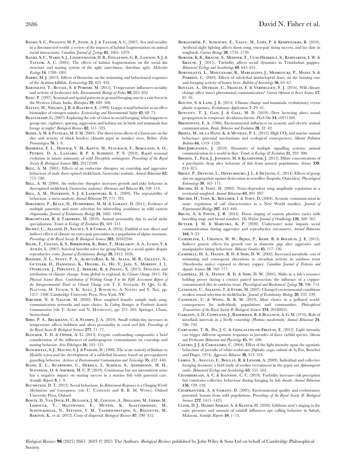- BANKS, S. C., PIGGOTT, M. P., STOW, A. J. & TAYLOR, A. C. (2007). Sex and sociality in a disconnected world: a review of the impacts of habitat fragmentation on animal social interactions. Canadian Journal of Zoology 85, 1065-1079.
- Banks, S. C., Ward, S. J., Lindenmayer, D. B., Finlayson, G. R., Lawson, S. J. & Taylor, A. C. (2005). The effects of habitat fragmentation on the social kin structure and mating system of the agile antechinus, Antechinus agilis. Molecular Ecology 14, 1789–1801.
- Barry, M. J. (2013). Effects of fluoxetine on the swimming and behavioural responses of the Arabian killifish. Ecotoxicology 22, 425–432.
- BARTOLINI, T., BUTAIL, S. & PORFIRI, M. (2015). Temperature influences sociality and activity of freshwater fish. Environmental Biology of Fishes 98, 825–832.
- Basu, P. (1997). Seasonal and spatial patterns in ground foraging ants in a rain forest in the Western Ghats, India. Biotropica 29, 489–500.
- Bayley, M., Nielsen, J. R. & Baatrup, E. (1999). Guppy sexual behavior as an effect biomarker of estrogen mimics. Ecotoxicology and Environmental Safety 43, 68-73.
- BEAUCHAMP, G. (2007). Exploring the role of vision in social foraging: what happens to group size, vigilance, spacing, aggression and habitat use in birds and mammals that forage at night? Biological Reviews 82, 511–525.
- BEHIE, A. M. & PAVELKA, M. S. M. (2005). The short-term effects of a hurricane on the diet and activity of black howlers (Alouatta pigra) in monkey river, Belize. Folia Primatologica 76, 1–9.
- Behrman, E. L., Howick, V. M., Kapun, M., Staubach, F., Bergland, A. O., PETROV, D. A., LAZZARO, B. P. & SCHMIDT, P. S. (2018). Rapid seasonal evolution in innate immunity of wild Drosophila melanogaster. Proceedings of the Royal Society B: Biological Sciences 285, 20172599.
- BELL, A. M. (2001). Effects of an endocrine disrupter on courtship and aggressive behaviour of male three-spined stickleback, Gasterosteus aculeatus. Animal Behaviour 62, 775–780.
- BELL, A. M. (2004). An endocrine disrupter increases growth and risky behavior in threespined stickleback (Gasterosteus aculeatus). Hormones and Behavior 45, 108–114.
- BELL, A. M., HANKISON, S. J. & LASKOWSKI, K. L. (2009). The repeatability of behaviour: a meta-analysis. Animal Behaviour 77, 771–783.
- BERGERON, P., RÉALE, D., HUMPHRIES, M. M. & GARANT, D. (2011). Evidence of multiple paternity and mate selection for inbreeding avoidance in wild eastern chipmunks. *Journal of Evolutionary Biology* 24, 1685–1694.
- BERGMÜLLER, R. & TABORSKY, M. (2010). Animal personality due to social niche specialisation. Trends in Ecology & Evolution 25, 504-511.
- BICHET, C., ALLAINÉ, D., SAUZET, S. & COHAS, A. (2016). Faithful or not: direct and indirect effects of climate on extra-pair paternities in a population of alpine marmots. Proceedings of the Royal Society B: Biological Sciences 283, 20162240.
- Bilde, T., Coates, K. S., Birkhofer, K., Bird, T., Maklakov, A. A., Lubin, Y. & AVILÉS, L. (2007). Survival benefits select for group living in a social spider despite reproductive costs. Journal of Evolutionary Biology 20, 2412–2426.
- BINDOFF, N. L., STOTT, P. A., ACHUTARAO, K. M., ALLEN, M. R., GILLETT, N., Gutzler, D., Hansingo, K., Hegerl, G., Hu, Y., Jain, S., Mokhov, I. I., Overland, J., Perlwitz, J., Sebbari, R. & Zhang, X. (2013). Detection and attribution of climate change: from global to regional. In Climate Change 2013: The Physical Science Basis. Contribution of Working Group I to the Fifth Assessment Report of the Intergovernmental Panel on Climate Change (eds T. F. STOCKER, D. QIN, G.-K. PLATTNER, M. TIGNOR, S. K. ALLEN, J. BOSCHUNG, A. NAUELS and Y. XIA), pp. 1217–1308. Cambridge University Press, New York, NY.
- BIRCHER, N. & NAGUIB, M. (2020). How songbird females sample male song: communication networks and mate choice. In Coding Strategies in Vertebrate Acoustic Communication (eds T. AUBIN and N. MATHEVON), pp. 271–285. Springer, Cham, Switzerland.
- BIRO, P. A., BECKMANN, C. & STAMPS, J. A. (2010). Small within-day increases in temperature affects boldness and alters personality in coral reef fish. Proceedings of the Royal Societ B: Biological Sciences 277, 71–77.
- Blocker, T. D. & Ophir, A. G. (2013). Cryptic confounding compounds: a brief consideration of the influences of anthropogenic contaminants on courtship and mating behavior. Acta Ethologica 16, 105-125.
- BLOCKWELL, S. J., MAUND, S. J. & PASCOE, D. (1998). The acute toxicity of lindane to Hyalella azteca and the development of a sublethal bioassay based on precopulatory guarding behavior. Archives of Environmental Contamination and Toxicology 35, 432–440.
- BLOM, E. L., KVARNEMO, C., DEKHLA, I., SCHÖLD, S., ANDERSSON, M. H., Svensson, O. & Amorim, M. C. P. (2019). Continuous but not intermittent noise has a negative impact on mating success in a marine fish with paternal care. Scientific Reports 9, 1–9.
- BLUMSTEIN, D. T. (2012). Social behaviour. In Behavioural Responses to a Changing World: Mechanisms and Consequences (eds U. CANDOLIN and B. B. M. WONG). Oxford University Press, Oxford.
- Bonte, D., Van Dyck, H., Bullock, J. M., Coulon, A., Delgado, M., Gibbs, M., Lehouck, V., Matthysen, E., Mustin, K., Saastamoinen, M., Schtickzelle, N., Stevens, V. M., Vandewoestijne, S., Baguette, M., BARTON, K., et al. (2012). Costs of dispersal. Biological Reviews 87, 290-312.
- BORGSTRÖM, P., SCHLICHT, E., VALCU, M., LOËS, P. & KEMPENAERS, B. (2010). Artificial night lighting affects dawn song, extra-pair siring success, and lay date in songbirds. Current Biology 20, 1735-1739.
- BORNER, K. K., KRAUSE, S., MEHNER, T., UUSI-HEIKKILÄ, S., RAMNARINE, I. W. & Krause, J. (2015). Turbidity affects social dynamics in Trinidadian guppies. Behavioral Ecology and Sociobiology 69, 645–651.
- Bortolotti, L., Montanari, R., Marcelino, J., Medrzycki, P., Maini, S. & PORRINI, C. (2003). Effects of sub-lethal imidacloprid doses on the homing rate and foraging activity of honey bees. Bulletin of Insectology 56, 63–67.
- Boullis, A., Detrain, C., Francis, F. & Verheggen, F. J. (2016). Will climate change affect insect pheromonal communication? Current Opinion in Insect Science 17, 87–91.
- BOUTIN, S. & LANE, J. E. (2014). Climate change and mammals: evolutionary versus plastic responses. Evolutionary Applications 7, 29–41.
- BOYCOTT, T. J., GAO, J. & GALL, M. D. (2019). Deer browsing alters sound propagation in temperate deciduous forests. PLoS One 14, e0211569.
- BRENOWITZ, E. A. (1986). Environmental influences on acoustic and electric animal communication. Brain, Behavior and Evolution 28, 32–42.
- BRIFFA, M., DE LA HAYE, K. & MUNDAY, P. L. (2012). High  $CO_2$  and marine animal behaviour: potential mechanisms and ecological consequences. Marine Pollution Bulletin 64, 1519–1528.
- BRO-JØRGENSEN, J. (2010). Dynamics of multiple signalling systems: animal communication in a world in flux. Trends in Ecology & Evolution 25, 292-300.
- BRODIN, T., FICK, J., JONSSON, M. & KLAMINDER, J. (2013). Dilute concentrations of a psychiatric drug alter behavior of fish from natural populations. Science 339, 814–815.
- BROLY, P., DEVIGNE, L., DENEUBOURG, J. L. & DEVIGNE, C. (2014). Effects of group size on aggregation against desiccation in woodlice (Isopoda: Oniscidea). Physiological Entomology 39, 165–171.
- BRUMM, H. & TODT, D. (2002). Noise-dependent song amplitude regulation in a territorial songbird. Animal Behaviour 63, 891–897.
- BRUMM, H., VOSS, K., KÖLLMER, I. & TODT, D. (2004). Acoustic communication in noise: regulation of call characteristics in a New World monkey. Journal of Experimental Biology 207, 443–448.
- BRUNI, A. & FOOTE, J. R. (2014). Dawn singing of eastern phoebes varies with breeding stage and brood number. The Wilson Journal of Ornithology 126, 500–507.
- BUTLER, J. M. & MARUSKA, K. P. (2020). Underwater noise impairs social communication during aggressive and reproductive encounters. Animal Behaviour 164, 9–23.
- Camerlink, I., Ursinus, W. W., Bijma, P., Kemp, B. & Bolhuis, J. E. (2015). Indirect genetic effects for growth rate in domestic pigs alter aggressive and manipulative biting behaviour. Behavior Genetics 45, 117–126.
- Campbell, H. A., Handy, R. D. & Sims, D. W. (2002). Increased metabolic cost of swimming and consequent alterations to circadian activity in rainbow trout (Oncorhynchus mykiss) exposed to dietary copper. Canadian Journal of Fisheries and Aquatic Sciences 59, 768–777.
- Campbell, H. A., Handy, R. D. & Sims, D. W. (2005). Shifts in a fish's resource holding power during a contact paired interaction: the influence of a coppercontaminated diet in rainbow trout. Physiological and Biochemical Zoology 78, 706-714.
- Candolin, U., Salesto, T. & Evers, M. (2007). Changed environmental conditions weaken sexual selection in sticklebacks. Journal of Evolutionary Biology 20, 233-239.
- CANDOLIN, U. & WONG, B. B. M. (2019). Mate choice in a polluted world: consequences for individuals, populations and communities. Philosophical Transactions of the Royal Society B: Biological Sciences 374, 20180055.
- Carlson, A. D., Copeland, J., Raderman, R. & Bulloch, A. G. M. (1976). Role of interflash intervals in a firefly courtship (Photinus macdermotti). Animal Behaviour 24, 786–792.
- CARVALHO, T. B., HA, J. C. & GONÇALVES-DE-FREITAS, E. (2012). Light intensity can trigger different agonistic responses in juveniles of three cichlid species. Marine and Freshwater Behaviour and Physiology 45, 91–100.
- Castro, J. J. & Caballero, C. (2004). Effect of the light intensity upon the agonistic behaviour of juvenile of white-seabream (Diplodus sargus cadenati de la Paz, Bauchot and Daget, 1974). Aggressive Behavior 30, 313–318.
- CERDÁ, X., ANGULO, E., BOULAY, R. & LENOIR, A. (2009). Individual and collective foraging decisions: a field study of worker recruitment in the gypsy ant Aphaenogaster senilis. Behavioral Ecology and Sociobiology 63, 551-562.
- Chamberlain, A. C. & Ioannou, C. C. (2019). Turbidity increases risk perception but constrains collective behaviour during foraging by fish shoals. Animal Behaviour 156, 129–138.
- Charmantier, A. & Garant, D. (2005). Environmental quality and evolutionary potential: lessons from wild populations. Proceedings of the Royal Society B: Biological .<br>Sciences **272**, 1415–1425.
- Clink, D. J., Hamid Ahmad, A. & Klinck, H. (2020). Gibbons aren't singing in the rain: presence and amount of rainfall influences ape calling behavior in Sabah, Malaysia. Scientific Reports 10, 1–13.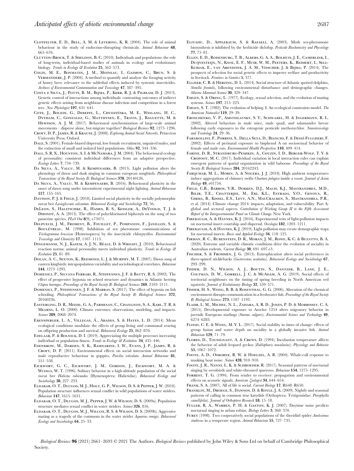- Clotfelter, E. D., Bell, A. M. & Levering, K. R. (2004). The role of animal behaviour in the study of endocrine-disrupting chemicals. Animal Behaviour 68, 665–676.
- Clutton-Brock, T. & Sheldon, B. C. (2010). Individuals and populations: the role of long-term, individual-based studies of animals in ecology and evolutionary biology. Trends in Ecology & Evolution 25, 562-573.
- Colin, M. E., Bonmatin, J. M., Moineau, I., Gaimon, C., Brun, S. & Vermandere, J. P. (2004). A method to quantify and analyze the foraging activity of honey bees: relevance to the sublethal effects induced by systemic insecticides. Archives of Environmental Contamination and Toxicology 47, 387–395.
- Costa e Silva, J., Potts, B. M., Bijma, P., Kerr, R. J. & Pilbeam, D. J. (2013). Genetic control of interactions among individuals: contrasting outcomes of indirect genetic effects arising from neighbour disease infection and competition in a forest tree. New Phytologist 197, 631–641.
- COTE, J., BOCEDI, G., DEBEFFE, L., CHUDZIŃSKA, M. E., WEIGANG, H. C., Dytham, C., Gonzalez, G., Matthysen, E., Travis, J., Baguette, M. & Hewison, A. J. M. (2017). Behavioural synchronization of large-scale animal movements – disperse alone, but migrate together? Biological Reviews 92, 1275–1296.
- CROFT, D. P., JAMES, R. & KRAUSE, J. (2008). Exploring Animal Social Networks. Princeton University Press, Oxford.
- DALE, S. (2001). Female-biased dispersal, low female recruitment, unpaired males, and the extinction of small and isolated bird populations. Oikos 92, 344–356.
- DALL, S. R. X., HOUSTON, A. I. & MCNAMARA, J. M. (2004). The behavioural ecology of personality: consistent individual differences from an adaptive perspective. Ecology Letters 7, 734–739.
- Da Silva, A., Valcu, M. & Kempenaers, B. (2015). Light pollution alters the phenology of dawn and dusk singing in common european songbirds. Philosophical Transactions of the Royal Society B: Biological Sciences 370, 20140126.
- Da Silva, A., Valcu, M. & Kempenaers, B. (2016). Behavioural plasticity in the onset of dawn song under intermittent experimental night lighting. Animal Behaviour 117, 155–165.
- DAVISON, P. J. & FIELD, J. (2018). Limited social plasticity in the socially polymorphic sweat bee Lasioglossum calceatum. Behavioral Ecology and Sociobiology 72, 56.
- DeLeon, S., Halitschke, R., Hames, R. S., Kessler, A., DeVoogd, T. J. & DHONDT, A. A. (2013). The effect of polychlorinated biphenyls on the song of two passerine species. PLoS One 8(9), e73471.
- Delpuech, J. M., Froment, B., Fouillet, P., Pompanon, F., Janillon, S. & BOULÉTREAU, M. (1998). Inhibition of sex pheromone communications of Trichogramma brassicae (Hymenoptera) by the insecticide chlorpyrifos. Environmental Toxicology and Chemistry 17, 1107–1113.
- DINGEMANSE, N. J., KAZEM, A. J. N., RÉALE, D. & WRIGHT, J. (2010). Behavioural reaction norms: animal personality meets individual plasticity. Trends in Ecology & Evolution 25, 81–89.
- DOLAN, A. C., SEXTON, K., REDMOND, L. J. & MURPHY, M. T. (2007). Dawn song of eastern kingbirds: intrapopulation variability and sociobiological correlates. Behaviour 144, 1273–1295.
- Domenici, P., Silvana Ferrari, R., Steffensen, J. F. & Batty, R. S. (2002). The effect of progressive hypoxia on school structure and dynamics in Atlantic herring Clupea harengus. Proceedings of the Royal Society B: Biological Sciences 269, 2103–2111.
- Domenici, P., Steffensen, J. F. & Marras, S. (2017). The effect of hypoxia on fish schooling. Philosophical Transactions of the Royal Society B: Biological Sciences 372, 20160236.
- Easterling, D. R., Meehl, G. A., Parmesan, C., Changnon, S. A., Karl, T. R. & Mearns, L. O. (2000). Climate extremes: observations, modeling, and impacts. Science 289, 2068-2074.
- Ebensperger, L. A., Villegas, Á., Abades, S. & Hayes, L. D. (2014). Mean ecological conditions modulate the effects of group living and communal rearing on offspring production and survival. Behavioral Ecology 25, 862–870.
- Edelaar, P. & Bolnick, D. I. (2019). Appreciating the multiple processes increasing individual or population fitness. Trends in Ecology & Evolution. 34, 435-446.
- Edenbrow, M., Darden, S. K., Ramnarine, I. W., Evans, J. P., James, R. & CROFT, D. P. (2011). Environmental effects on social interaction networks and male reproductive behaviour in guppies, Poecilia reticulata. Animal Behaviour 81, 551–558.
- Eickwort, G. C., Eickwort, J. M., Gordon, J., Eickwort, M. A. & Wcislo, W. T. (1996). Solitary behavior in a high-altitude population of the social sweat bee Halictus rubicundus (Hymenoptera: Halictidae). Behavioral Ecology and Sociobiology 38, 227–233.
- Eldakar, O. T., Dlugos, M. J., Holt, G. P., Wilson, D. S. & Pepper, J. W. (2010). Population structure influences sexual conflict in wild populations of water striders. Behaviour 147, 1615–1631.
- Eldakar, O. T., Dlugos, M. J., Pepper, J. W. & Wilson, D. S. (2009a). Population structure mediates sexual conflict in water striders. Science 326, 816.
- Eldakar, O. T., Dlugos, M. J., Wilcox, R. S. & Wilson, D. S. (2009b). Aggressive mating as a tragedy of the commons in the water strider Aquarius remigis. Behavioral Ecology and Sociobiology 64, 25–33.
- Eliyahu, D., Applebaum, S. & Rafaeli, A. (2003). Moth sex-pheromone biosynthesis is inhibited by the herbicide diclofop. Pesticide Biochemistry and Physiology 77, 75–81.
- Ellen, E. D., Rodenburg, T. B., Albers, G. A. A., Bolhuis, J. E., Camerlink, I., Duijvesteijn, N., Knol, E. F., Muir, W. M., Peeters, K., Reimert, I., Sell-Kubiak, E., van Arendonk, J. A. M., Visscher, J. & Bijma, P. (2014). The prospects of selection for social genetic effects to improve welfare and productivity in livestock. Frontiers in Genetics 5, 377.
- Elliser, C. R. & Herzing, D. L. (2014). Social structure of Atlantic spotted dolphins, Stenella frontalis, following environmental disturbance and demographic changes. Marine Mammal Science 30, 329–347.
- Emlen, S. & Oring, L. (1977). Ecology, sexual selection, and the evolution of mating systems. Science 197, 215-223.
- Emlen, S. T. (1982). The evolution of helping. I. An ecological constraints model. The American Naturalist 119, 29–39.
- Eroschenko, V. P., Amstislavsky, S. Y., Schwabel, H. & Ingermann, R. L. (2002). Altered behaviors in male mice, male quail, and salamander larvae following early exposures to the estrogenic pesticide methoxychlor. Neurotoxicology and Teratology 24, 29-36.
- FARABOLLINI, F., PORRINI, S., DELLA SETA, D., BIANCHI, F. & DESSÌ-FULGHERI, F. (2002). Effects of perinatal exposure to bisphenol A on sociosexual behavior of female and male rats. Environmental Health Perspectives 110, 409-414.
- Farine, D. R., Strandburg-Peshkin, A., Couzin, I. D., Berger-Wolf, T. Y. & CROFOOT, M. C. (2017). Individual variation in local interaction rules can explain emergent patterns of spatial organization in wild baboons. Proceedings of the Royal Society B: Biological Sciences 284, 20162243.
- Farquhar, M. L., Morin, A. & Nocera, J. J. (2018). High ambient temperatures induce aggregations of chimney swifts Chaetura pelagica inside a roost. Journal of Avian Biology 49, e01754.
- Field, C.B., Barros, V.R., Dokken, D.J., Mach, K.J., Mastrandrea, M.D., BILIR, T.E., CHATTERJEE, M., EBI, K.L., ESTRADA, Y.O., GENOVA, R., Girma, B., Kissel, E.S., Levy, A.N., MacCracken, S., Mastrandrea, P.R., et al. (2014). Climate change 2014: impacts, adaptation, and vulnerability. Part A: global and sectoral aspects. Contribution of Working Group II to the Fifth Assessment Report of the Intergovernmental Panel on Climate Change. New York.
- Firebaugh, A. & Haynes, K. J. (2016). Experimental tests of light-pollution impacts on nocturnal insect courtship and dispersal. Oecologia 182, 1203–1211.
- Firebaugh, A. & Haynes, K. J. (2019). Light pollution may create demographic traps for nocturnal insects. Basic and Applied Ecology 34, 118–125.
- Firman, R. C., Rubenstein, D. R., Moran, J. M., Rowe, K. C. & Buzatto, B. A. (2020). Extreme and variable climatic conditions drive the evolution of sociality in Australian rodents. Current Biology 30, 691-697.e3.
- Fischer, S. & Frommen, J. G. (2013). Eutrophication alters social preferences in three-spined sticklebacks (Gasterosteus aculeatus). Behavioral Ecology and Sociobiology 67, 293–299.
- Fisher, D. N., Wilson, A. J., Boutin, S., Dantzer, B., Lane, J. E., COLTMAN, D. W., GORRELL, J. C. & McADAM, A. G. (2019). Social effects of territorial neighbours on the timing of spring breeding in North American red squirrels. Journal of Evolutionary Biology 32, 559-571.
- Fisher, H. S., Wong, B. B. & Rosenthal, G. G. (2006). Alteration of the chemical environment disrupts communication in a freshwater fish. Proceedings of the Royal Society B: Biological Sciences 273, 1187–1193.
- Flahr, L. M., Michel, N. L., Zahara, A. R. D., Jones, P. D. & Morrissey, C. A. (2015). Developmental exposure to Aroclor 1254 alters migratory behavior in juvenile European starlings (Sturnus vulgaris). Environmental Science and Technology 49, 6274–6283.
- Flood, C. E. & Wong, M. Y. L. (2017). Social stability in times of change: effects of group fusion and water depth on sociality in a globally invasive fish. Animal Behaviour 129, 71–79.
- Flores, D., Tousignant, A. & Crews, D. (1994). Incubation temperature affects the behavior of adult leopard geckos (Eublepharis macularius). Physiology and Behavior 55, 1067–1072.
- FOOTE, A. D., OSBORNE, R. W. & HOELZEL, A. R. (2004). Whale-call response to masking boat noise. Nature 428, 910–910.
- FOOTE, J. R., NANNI, L. K. & SCHROEDER, R. (2017). Seasonal patterns of nocturnal singing by ovenbirds and white-throated sparrows. Behaviour 154, 1275-1295.
- FORREST, T. G. (1994). From sender to receiver: propagation and environmental effects on acoustic signals. American Zoologist 34, 644-654.
- Frank, S. A. (2007). All of life is social. Current Biology 17, R648–R650.
- FRANKLIN, M., DROEGE, S., DAWSON, D. & ROYLE, J. A. (2009). Nightly and seasonal patterns of calling in common true katydids (Orthoptera: Tettigoniidae: Pterophylla camellifolia). Journal of Orthoptera Research 18, 15–18.
- Fuller, R. A., Warren, P. H. & Gaston, K. J. (2007). Daytime noise predicts nocturnal singing in urban robins. Biology Letters 3, 368–370.
- FUREY (1998). Two cooperatively social populations of the theridiid spider Anelosimus studiosus in a temperate region. Animal Behaviour 55, 727-735.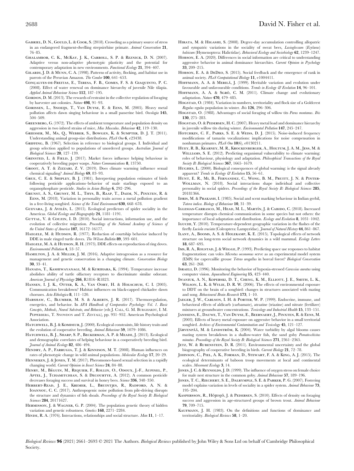- GABRIEL, D. N., GOULD, L. & COOK, S. (2018). Crowding as a primary source of stress in an endangered fragment-dwelling strepsirrhine primate. Animal Conservation 21, 76–85.
- Ghalambor, C. K., McKay, J. K., Carroll, S. P. & Reznick, D. N. (2007). Adaptive versus non-adaptive phenotypic plasticity and the potential for contemporary adaptation in new environments. Functional Ecology 21, 394–407.
- Gilardi, J. D. & Munn, C. A. (1998). Patterns of activity, flocking, and habitat use in parrots of the Peruvian Amazon. The Condor 100, 641–653.
- GONÇALVES-DE-FREITAS, E., TERESA, F. B., GOMES, F. S. & GIAQUINTO, P. C. (2008). Effect of water renewal on dominance hierarchy of juvenile Nile tilapia. Applied Animal Behaviour Science 112, 187–195.
- GORDON, D. M. (2013). The rewards of restraint in the collective regulation of foraging by harvester ant colonies. Nature 498, 91–93.
- Gorissen, L., Snoeijs, T., Van Duyse, E. & Eens, M. (2005). Heavy metal pollution affects dawn singing behaviour in a small passerine bird. Oecologia 145, 504–509.
- GREENBERG, G. (1972). The effects of ambient temperature and population density on aggression in two inbred strains of mice, Mus Musculus. Behaviour 42, 119–130.
- Griesser, M., Ma, Q., Webber, S., Bowgen, K. & Sumpter, D. J. T. (2011). Understanding animal group-size distributions. PLoS One 6, e23438.
- GRIFFING, B. (1967). Selection in reference to biological groups. I. Individual and group selection applied to populations of unordered groups. Australian Journal of Biological Sciences 20, 127–139.
- GRINSTED, L. & FIELD, J. (2017). Market forces influence helping behaviour in cooperatively breeding paper wasps. Nature Communications 8, 13750.
- Groot, A. T. & Zizzari, Z. V. (2019). Does climate warming influence sexual chemical signaling? Animal Biology 69, 83–93.
- Grue, C. E. & Shipley, B. J. (1981). Interpreting population estimates of birds following pesticide applications–behavior of male starlings exposed to an organophosphate pesticide. Studies in Avian Biology 6, 292–296.
- Grunst, A. S., Grunst, M. L., Thys, B., Raap, T., Daem, N., Pinxten, R. & Eens, M. (2018). Variation in personality traits across a metal pollution gradient in a free-living songbird. Science of the Total Environment 630, 668-678.
- GUEVARA, J. & AVILÉS, L. (2015). Ecological predictors of spider sociality in the Americas. Global Ecology and Biogeography 24, 1181–1191.
- GUTTAL, V. & COUZIN, I. D. (2010). Social interactions, information use, and the evolution of collective migration. Proceedings of the National Academy of Sciences of the United States of America 107, 16172–16177.
- HAEGELE, M. & HUDSON, R. (1977). Reduction of courtship behavior induced by DDE in male ringed turtle doves. The Wilson Bulletin 89, 593–601.
- HAEGELE, M. A. & HUDSON, R. H. (1973). DDE effects on reproduction of ring doves. Environmental Pollution 4, 53–57.
- Hamilton, J. A. & Miller, J. M. (2016). Adaptive introgression as a resource for management and genetic conservation in a changing climate. Conservation Biology 30, 33–41.
- Hanada, T., Kashiwayanagi, M. & Kurihara, K. (1994). Temperature increase abolishes ability of turtle olfactory receptors to discriminate similar odorant. American Journal of Physiology 266, R1816-R1823.
- Hansen, I. J. K., Otter, K. A., Van Oort, H. & Holschuh, C. I. (2005). Communication breakdown? Habitat influences on black-capped chickadee dawn choruses. Acta Ethologica 8, 111-120.
- HARSHAW, C., BLUMBER, M. S. & ALBERTS, J. R. (2017). Thermoregulation, energetics, and behavior. In APA Handbook of Comparative Psychology: Vol. 1. Basic Concepts, Methods, Neural Substrate, and Behavior (eds J. CALL, G. M. BURGHARDT, I. M. PEPPERBERG, T. SNOWDON and T. ZENTALL), pp. 931–952. American Psychological **Association**
- HATCHWELL, B. J. & KOMDEUR, J. (2000). Ecological constraints, life history traits and the evolution of cooperative breeding. Animal Behaviour 59, 1079–1086.
- HATCHWELL, B. J., SHARP, S. P., BECKERMAN, A. P. & MEADE, J. (2013). Ecological and demographic correlates of helping behaviour in a cooperatively breeding bird. Journal of Animal Ecology 82, 486-494.
- Hendry, A. P., Farrugia, T. J. & Kinnison, M. T. (2008). Human influences on rates of phenotypic change in wild animal populations. Molecular Ecology 17, 20–29.
- Henneken, J. & Jones, T. M. (2017). Pheromones-based sexual selection in a rapidly changing world. Current Opinion in Insect Science 24, 84–88.
- HENRY, M., BÉGUIN, M., REQUIER, F., ROLLIN, O., ODOUX, J.-F., AUPINEL, P. Aptel, J., Tchamitchian, S. & Decourtye, A. (2012). A common pesticide decreases foraging success and survival in honey bees. Science 336, 348-350.
- Herbert-Read, J. E., Kremer, L., Bruintjes, R., Radford, A. N. & Ioannou, C. C. (2017). Anthropogenic noise pollution from pile-driving disrupts the structure and dynamics of fish shoals. Proceedings of the Royal Society B: Biological Sciences 284, 20171627.
- Hermisson, J. & Wagner, G. P. (2004). The population genetic theory of hidden variation and genetic robustness. Genetics 168, 2271–2284.
- HINDE, R. A. (1976). Interactions, relationships and social structure. Man 11, 1-17.
- HIRATA, M. & HIGASHI, S. (2008). Degree-day accumulation controlling allopatric and sympatric variations in the sociality of sweat bees, *Lasioglossum* (*Evylaeus*) baleicum (Hymenoptera: Halictidae). Behavioral Ecology and Sociobiology 62, 1239–1247.
- Hobson, E. A. (2020). Differences in social information are critical to understanding aggressive behavior in animal dominance hierarchies. Current Opinion in Psychology 33, 209–215.
- Hobson, E. A. & DeDeo, S. (2015). Social feedback and the emergence of rank in animal society. PLoS Computational Biology 11, e1004411.
- HOFFMANN, A. A. & MERILÄ, J. (1999). Heritable variation and evolution under favourable and unfavourable conditions. Trends in Ecology & Evolution 14, 96-101.
- HOFFMANN, A. A. & SGRÒ, C. M. (2011). Climate change and evolutionary adaptation. Nature 470, 479–485.
- Hogstad, O. (1984). Variation in numbers, territoriality and flock size of a Goldcrest Regulus regulus population in winter. Ibis 126, 296–306.
- HOGSTAD, O. (1988). Advantages of social foraging of willow tits Parus montanus. Ibis 130, 275–283.
- HOGSTAD, O. & PEDERSEN, H. C. (2007). Heavy metal load and dominance hierarchy in juvenile willow tits during winter. Environmental Pollution 147, 245–247.
- HOTCHKIN, C. F., PARKS, S. E. & WEISS, D. J. (2015). Noise-induced frequency modifications of tamarin vocalizations: implications for noise compensation in nonhuman primates. PLoS One 10(6), e0130211.
- Huey, R. B., Kearney, M. R., Krockenberger, A., Holtum, J. A. M., Jess, M. & WILLIAMS, S. E. (2012). Predicting organismal vulnerability to climate warming: roles of behaviour, physiology and adaptation. Philosophical Transactions of the Royal Society B: Biological Sciences 367, 1665-1679.
- HUGHES, L. (2000). Biological consequences of global warming: is the signal already apparent? Trends in Ecology & Evolution 15, 56-61.
- HUNT, E. R., MI, B., FERNANDEZ, C., WONG, B. M., PRUITT, J. N. & PINTER-Wollman, N. (2018). Social interactions shape individual and collective personality in social spiders. Proceedings of the Royal Society B: Biological Sciences 285, 20181366.
- IDRIS, M. & PRAKASH, I. (1985). Social and scent marking behaviour in Indian gerbil, Tatera indica. Biology of Behaviour 10, 31–39.
- IGLESIAS-CARRASCO, M., HEAD, M. L., MARTÍN, J. & CABIDO, C. (2018). Increased temperature disrupts chemical communication in some species but not others: the importance of local adaptation and distribution. Ecology and Evolution 8, 1031–1042.
- IGUCHI, Y. (2010). Temperature-dependent geographic variation in the flashes of the firefly Luciola cruciata (Coleoptera: Lampyridae). Journal of Natural History 44, 861-867.
- Ilany, A., Booms, A. S. & Holekamp, K. E. (2015). Topological effects of network structure on long-term social network dynamics in a wild mammal. Ecology Letters 18, 687–695.
- IMS, R. A., ROLSTAD, J. & WEGGE, P. (1993). Predicting space use responses to habitat fragmentation: can voles Microtus oeconomus serve as an experimental model system (EMS) for capercaillie grouse Tetrao urogallus in boreal forest? Biological Conservation 63, 261–268.
- ISRAELI, D. (1996). Monitoring the behavior of hypoxia-stressed Carassius auratus using computer vision. Aquacultural Engineering 15, 423–440.
- Iwaniuk, A. N., Koperski, D. T., Cheng, K. M., Elliott, J. E., Smith, L. K., Wilson, L. K. & Wylie, D. R. W. (2006). The effects of environmental exposure to DDT on the brain of a songbird: changes in structures associated with mating and song. Behavioural Brain Research 173, 1–10.
- Jaeger, J. W., Carlson, I. H. & Porter, W. P. (1999). Endocrine, immune, and behavioral effects of aldicarb (carbamate), atrazine (triazine) and nitrate (fertilizer) mixtures at groundwater concentrations. Toxicology and Industrial Health 15, 133–151.
- Janssens, E., Dauwe, T., Van Duyse, E., Beernaert, J., Pinxten, R. & Eens, M. (2003). Effects of heavy metal exposure on aggressive behavior in a small territorial songbird. Archives of Environmental Contamination and Toxicology 45, 121-127.
- JÄRVENPÄÄ, M. & LINDSTRÖM, K. (2004). Water turbidity by algal blooms causes mating system breakdown in a shallow-water fish, the sand goby Pomatoschistus minutus. Proceedings of the Royal Society B: Biological Sciences 271, 2361-2365.
- JETZ, W. & RUBENSTEIN, D. R. (2011). Environmental uncertainty and the global biogeography of cooperative breeding in birds. Current Biology 21, 72–78.
- Johnson, C., Piel, A. K., Forman, D., Stewart, F. A. & King, A. J. (2015). The ecological determinants of baboon troop movements at local and continental scales. Movement Ecology 3, 14.
- JONES, J. C. & REYNOLDS, J. D. (1999). The influence of oxygen stress on female choice for male nest structure in the common goby. Animal Behaviour 57, 189–196.
- Jones, T. C., Riechert, S. E., Dalrymple, S. E. & Parker, P. G. (2007). Fostering model explains variation in levels of sociality in a spider system. Animal Behaviour 73, 195–204.
- KASPERSSON, R., HÖJESJÖ, J. & PEDERSEN, S. (2010). Effects of density on foraging success and aggression in age-structured groups of brown trout. Animal Behaviour 79, 709–715.
- KAUFMANN, J. H. (1983). On the definitions and functions of dominance and territoriality. Biological Reviews 58, 1–20.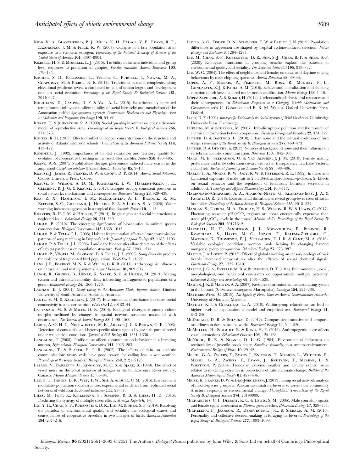- Kidd, K. A., Blanchfield, P. J., Mills, K. H., Palace, V. P., Evans, R. E., LAZORCHAK, J. M. & FLICK, R. W. (2007). Collapse of a fish population after exposure to a synthetic estrogen. Proceedings of the National Academy of Sciences of the United States of America 104, 8897–8901.
- KIMBELL, H. S. & MORRELL, L. J. (2015). Turbidity influences individual and group level responses to predation in guppies, Poecilia reticulata. Animal Behaviour 103, 179–185.
- Kocher, S. D., Pellissier, L., Veller, C., Purcell, J., Nowak, M. A., Chapuisat, M. & Pierce, N. E. (2014). Transitions in social complexity along elevational gradients reveal a combined impact of season length and development time on social evolution. Proceedings of the Royal Society B: Biological Sciences 281, 20140627.
- Kochhann, D., Campos, D. F. & Val, A. L. (2015). Experimentally increased temperature and hypoxia affect stability of social hierarchy and metabolism of the Amazonian cichlid Apistogramma agassizii. Comparative Biochemistry and Physiology -Part A: Molecular and Integrative Physiology 190, 54–60.
- Kokko, H. & Johnstone, R. A. (1999). Social queuing in animal societies: a dynamic model of reproductive skew. Proceedings of the Royal Society B: Biological Sciences 266, 571–578.
- KOLTES, K. H. (1985). Effects of sublethal copper concentrations on the structure and activity of Atlantic silverside schools. Transactions of the American Fisheries Society 114, 413–422.
- KOMDEUR, J. (1992). Importance of habitat saturation and territory quality for evolution of cooperative breeding in the Seychelles warbler. Nature 358, 493–495. KRÅNG, A.-S. (2007). Naphthalene disrupts pheromone induced mate search in the
- amphipod Corophium volutator (Pallas). Aquatic Toxicology 85, 9–18.
- KRAUSE, J., JAMES, R., FRANKS, D. W. & CROFT, D. P. (2014). Animal Social Networks. Oxford University Press, Oxford.
- Krause, S., Wilson, A. D. M., Ramnarine, I. W., Herbert-Read, J. E., CLÉMENT, R. J. G. & KRAUSE, J. (2017). Guppies occupy consistent positions in social networks: mechanisms and consequences. Behavioral Ecology 28, 429–438.
- Kua, Z. X., Hamilton, I. M., McLaughlin, A. L., Brodnik, R. M., Keitzer, S. C., Gilliland, J., Hoskins, E. A. & Ludsin, S. A. (2020). Water warming increases aggression in a tropical fish. Scientific Reports 10, 1-13.
- Kurvers, R. H. J. M. & Holker, F. (2014). Bright nights and social interactions: a neglected issue. Behavioral Ecology 26, 334–339.
- LAIOLO, P. (2010). The emerging significance of bioacoustics in animal species conservation. Biological Conservation 143, 1635–1645.
- LAIOLO, P. & TELLA, J. L. (2005). Habitat fragmentation affects culture transmission: patterns of song matching in Dupont's lark. *Journal of Applied Ecology* 42, 1183–1193.
- Laiolo, P. & Tella, J. L. (2006). Landscape bioacoustics allow detection of the effects of habitat patchiness on population structure. Ecology 87, 1203–1214.
- LAIOLO, P., VÖGELI, M., SERRANO, D. & TELLA, J. L. (2008). Song diversity predicts the viability of fragmented bird populations. PLoS One 3, e1822.
- Lane, J. E., Forrest, M. N. K. & Willis, C. K. R. (2011). Anthropogenic influences on natural animal mating systems. Animal Behaviour 81, 909–917.
- LANGE, R., GRUBER, B., HENLE, K., SARRE, S. D. & HOEHN, M. (2013). Mating system and intrapatch mobility delay inbreeding in fragmented populations of a gecko. Behavioral Ecology 24, 1260–1270.
- LANHAM, E. J. (2001). Group-Living in the Australian Skink, Egernia stokesii. Flinders University of South Australia, Adelaide, Australia.
- LANTZ, S. M. & KARUBIAN, J. (2017). Environmental disturbance increases social connectivity in a passerine bird. PLoS One 12, e0183144.
- Lattanzio, M. S. & Miles, D. B. (2014). Ecological divergence among colour morphs mediated by changes in spatial network structure associated with disturbance. The Journal of Animal Ecology 83, 1490–1500.
- Leduc, A. O. H. C., Noseworthy, M. K., Adrian, J. C. & Brown, G. E. (2003). Detection of conspecific and heterospecific alarm signals by juvenile pumpkinseed under weak acidic conditions. Journal of Fish Biology 63, 1331-1336.
- LENGAGNE, T. (2008). Traffic noise affects communication behaviour in a breeding anuran, Hyla arborea. Biological Conservation 141, 2023–2031.
- Lengagne, T. & Slater, P. J. B. (2002). The effects of rain on acoustic communication: tawny owls have good reason for calling less in wet weather. Proceedings of the Royal Society B: Biological Sciences 269, 2121–2125.
- LESAGE, V., BARRETTE, C., KINGSLEY, M. C. S. & SJARE, B. (1999). The effect of vessel noise on the vocal behavior of belugas in the St. Lawrence River estuary, Canada. Marine Mammal Science 15, 65–84.
- Leu, S. T., Farine, D. R., Wey, T. W., Sih, A. & Bull, C. M. (2016). Environment modulates population social structure: experimental evidence from replicated social networks of wild lizards. Animal Behaviour 111, 23–31.
- LIESS, M., FOIT, K., KNILLMANN, S., SCHÄFER, R. B. & LIESS, H. D. (2016). Predicting the synergy of multiple stress effects. Scientific Reports 6, 1-8.
- Lin, Y. H., Chan, S. F., Rubenstein, D. R., Liu, M. & Shen, S. F. (2019). Resolving the paradox of environmental quality and sociality: the ecological causes and consequences of cooperative breeding in two lineages of birds. American Naturalist 194, 207–216.
- LITTLE, A. G., FISHER, D. N., SCHOENER, T. W. & PRUITT, J. N. (2019). Population differences in aggression are shaped by tropical cyclone-induced selection. Nature Ecology and Evolution 3, 1294–1297.
- Liu, M., Chan, S.-F., Rubenstein, D. R., Sun, S.-J., Chen, B.-F. & Shen, S.-F. (2020). Ecological transitions in grouping benefits explain the paradox of environmental quality and sociality. The American Naturalist 195, 818–832.
- LIU, W. C. (2004). The effect of neighbours and females on dawn and daytime singing behaviours by male chipping sparrows. Animal Behaviour 68, 39–44.
- Lopes, A. F., Morais, P., Pimentel, M., Rosa, R., Munday, P. L., GONÇALVES, E. J. & FARIA, A. M. (2016). Behavioural lateralization and shoaling cohesion of fish larvae altered under ocean acidification. *Marine Biology* 163, 1–10.
- LÓPEZ-SEPULCRE, A. & KOKKO, H. (2012). Understanding behavioural responses and their consequences. In Behavioural Responses to a Changing World: Mechanisms and Consequences (eds U. CANDOLIN and B. B. M. WONG). Oxford University Press, Oxford.
- LOTT, D. F. (1991). Intraspecific Variation in the Social Systems of Wild Vertebrates. Cambridge University Press, Cambridge.
- LÜRLING, M. & SCHEFFER, M. (2007). Info-disruption: pollution and the transfer of chemical information between organisms. Trends in Ecology and Evolution 22, 374–379.
- Luther, D. & Baptista, L. (2010). Urban noise and the cultural evolution of bird songs. Proceedings of the Royal Society B: Biological Sciences 277, 469-473.
- LUTHER, D. & GENTRY, K. (2013). Sources of background noise and their influence on vertebrate acoustic communication. Behaviour 150, 1045-1068.
- Maan, M. E., Seehausen, O. & Van Alphen, J. J. M. (2010). Female mating preferences and male coloration covary with water transparency in a Lake Victoria cichlid fish. Biological Journal of the Linnean Society 99, 398–406.
- Mably, T. A., Moore, R. W., Goy, R. W. & Peterson, R. E. (1992). In utero and lactational exposure of male rats to 2,3,7,8-tetrachlorodibenzo-p-dioxin: 2. Effects on sexual behavior and the regulation of luteinizing hormone secretion in adulthood. Toxicology and Applied Pharmacology 114, 108–117.
- MALDONADO-CHAPARRO, A. A., ALARCÓN-NIETO, G., KLAREVAS-IRBY, J. A. & Farine, D. R. (2018). Experimental disturbances reveal group-level costs of social instability. Proceedings of the Royal Society B: Biological Sciences 285, 20181577
- Mangan, S., Urbina, M. A., Findlay, H. S., Wilson, R. W. & Lewis, C. (2017). Fluctuating seawater  $pH/pCO_2$  regimes are more energetically expensive than static pH/ $pCO_2$  levels in the mussel Mytilus edulis. Proceedings of the Royal Society B: Biological Sciences 284, 20171642.
- Marshall, H. H., Sanderson, J. L., Mwanghuya, F., Businge, R., Kyabulima, S., Hares, M. C., Inzani, E., Kalema-Zikusoka, G., Mwesige, K., Thompson, F. J., Vitikainen, E. I. K. & Cant, M. A. (2016). Variable ecological conditions promote male helping by changing banded mongoose group composition. Behavioral Ecology 27, 978–987.
- MARTÍN, J. & LÓPEZ, P. (2013). Effects of global warming on sensory ecology of rock lizards: increased temperatures alter the efficacy of sexual chemical signals. Functional Ecology 27, 1332–1340.
- Martin, J. G. A., Petelle, M. B. & Blumstein, D. T. (2014). Environmental, social, morphological, and behavioral constraints on opportunistic multiple paternity. Behavioral Ecology and Sociobiology 68, 1531-1538.
- Martin, J. K. & Martin, A. A. (2007). Resource distribution influences mating system in the bobuck (Trichosurus cunninghami: Marsupialia). Oecologia 154, 227–236.
- Mathers-Winn, C. (2019). The Effects of Forest Gaps on Animal Communication Networks. University of Montana, Missoula.
- MATHOT, K. J. & GIRALDEAU, L. A. (2010). Within-group relatedness can lead to higher levels of exploitation: a model and empirical test. Behavioral Ecology 21, 843–850.
- McDonald, D. B. & Shizuka, D. (2012). Comparative transitive and temporal orderliness in dominance networks. Behavioral Ecology 24, 511–520.
- McMULLEN, H., SCHMIDT, R. & KUNC, H. P. (2014). Anthropogenic noise affects vocal interactions. Behavioural Processes 103, 125-128.
- McNicol, R. E. & Noakes, D. L. G. (1984). Environmental influences on territoriality of juvenile brook charr, Salvelinus fontinalis, in a stream environment. Environmental Biology of Fishes 10, 29–42.
- Meehl, G. A., Zwiers, F., Evans, J., Knutson, T., Mearns, L., Whetton, P., Meehl, G. A., Zwiers, F., Evans, J., Knutson, T., Mearns, L. & WHETTON, P. (2000). Trends in extreme weather and climate events: issues related to modeling extremes in projections of future climate change. Bulletin of the American Meteorological Society 81, 427–436.
- Meise, K., Franks, D. W. & Bro-Jørgensen, J. (2019). Using social network analysis of mixed-species groups in African savannah herbivores to assess how community structure responds to environmental change. Philosophical Transactions of the Royal Society B: Biological Sciences 374, 20190009.
- Michaelidis, C. I., Demary, K. C. & Lewis, S. M. (2006). Male courtship signals and female signal assessment in Photinus greeni fireflies. Behavioral Ecology 17, 329–335.
- Michelena, P., Jeanson, R., Deneubourg, J.-L. & Sibbald, A. M. (2010). Personality and collective decision-making in foraging herbivores. Proceedings of the Royal Society B: Biological Sciences 277, 1093–1099.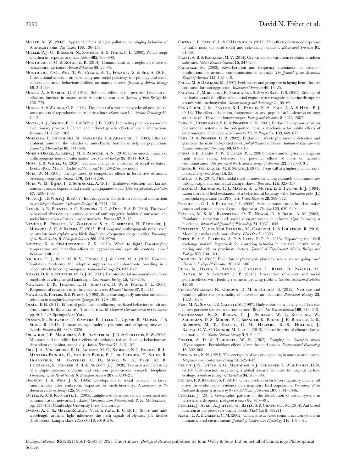- Miller, P. J. O., Biassoni, N., Samuels, A. & Tyack, P. L. (2000). Whale songs lengthen in response to sonar. Nature 405, 903–903.
- MONTIGLIO, P.-O. & ROYAUTÉ, R. (2014). Contaminants as a neglected source of behavioural variation. Animal Behaviour 88, 29–35.
- Montiglio, P.-O., Wey, T. W., Chang, A. T., Fogarty, S. & Sih, A. (2016). Correlational selection on personality and social plasticity: morphology and social context determine behavioural effects on mating success. Journal of Animal Ecology 86, 213–226.
- Moore, A. & Waring, C. P. (1996). Sublethal effects of the pesticide Diazinon on olfactory function in mature male Atlantic salmon parr. Journal of Fish Biology 48, 758–775.
- Moore, A. & Waring, C. P. (2001). The effects of a synthetic pyrethroid pesticide on some aspects of reproduction in Atlantic salmon (Salmo salar L.). Aquatic Toxicology 52,  $1 - 12$ .
- Moore, A. J., Brodie, E. D. I. & Wolf, J. B. (1997). Interacting phenotypes and the evolutionary process: I. Direct and indirect genetic effects of social interactions. Evolution 51, 1352–1362.
- Morisaka, T., Shinohara, M., Nakahara, F. & Akamatsu, T. (2005). Effects of ambient noise on the whistles of indo-Pacific bottlenose dolphin populations. Journal of Mammalogy 86, 541-546.
- Morris-Drake, A., Kern, J. M. & Radford, A. N. (2016). Cross-modal impacts of anthropogenic noise on information use. Current Biology 26, R911–R912.
- Moss, J. & While, G. (2020). Climate change as a catalyst of social evolution. EcoEvoRxiv, May 8. doi[:https://doi.org/10.32942/osf.io/ndq6r](https://doi.org/10.32942/osf.io/ndq6r)
- Muir, W. M. (2005). Incorporation of competitive effects in forest tree or animal breeding programs. Genetics 170, 1247–1259.
- Muir, W. M., Bijma, P. & Schinckel, A. (2013). Multilevel selection with kin and non-kin groups, experimental results with japanese quail (Coturnix japonica). Evolution 67, 1598–1606.
- MUTIC, J. J. & WOLF, J. B. (2007). Indirect genetic effects from ecological interactions in Arabidopsis thaliana. Molecular Ecology 16, 2371–2381.
- NEGRÍN, A. R., FUENTES, A. C., ESPINOSA, D. C. & DIAS, P. A. D. (2016). The loss of behavioral diversity as a consequence of anthropogenic habitat disturbance: the social interactions of black howler monkeys. Primates 57, 9–15.
- Nemeth, E., Pieretti, N., Zollinger, S. A., Geberzahn, N., Partecke, J., Miranda, A. C. & Brumm, H. (2013). Bird song and anthropogenic noise: vocal constraints may explain why birds sing higher-frequency songs in cities. Proceedings of the Royal Society B: Biological Sciences 280, 20122798.
- NGUYEN, K. & STAHLSCHMIDT, Z. R. (2019). When to fight? Disentangling temperature and circadian effects on aggression and agonistic contests. Animal Behaviour 148, 1–8.
- Nichols, H. J., Bell, M. B. V., Hodge, S. J. & Cant, M. A. (2012). Resource limitation moderates the adaptive suppression of subordinate breeding in a cooperatively breeding mongoose. Behavioral Ecology 23, 635–642.
- NORRIS, D. R. & STUTCHBURY, B. J. M. (2001). Extraterritorial movements of a forest songbirds in a fragmented landscape. Conservation Biology 15, 729–736.
- NOWACEK, D. P., THORNE, L. H., JOHNSTON, D. W. & TYACK, P. L. (2007). Responses of cetaceans to anthropogenic noise. Mammal Review 37, 81–115.
- NOWICKI, S., PETERS, S. & PODOS, J. (1998). Song learning, early nutrition and sexual selection in songbirds. American Zoologist 38, 179-190.
- OLSÉN, K.H. (2011). Effects of pollutants on olfactory mediated behaviors in fish and crustaceans. In BREITHAUPT, T and THIEL, M Chemical Communication in Crustaceans pp. 507–529. SpringerNew York.
- Olsson, M., Schwartz, T., Wapstra, E., Uller, T., Ujvari, B., Madsen, T. & SHINE, R. (2011). Climate change, multiple paternity and offspring survival in lizards. Evolution 65, 3323–3326.
- Orpwood, J. E., Magurran, A. E., Armstrong, J. D. & Griffiths, S. W. (2008). Minnows and the selfish herd: effects of predation risk on shoaling behaviour are dependent on habitat complexity. Animal Behaviour 76, 143–152.
- Orr, J. A., Vinebrooke, R. D., Jackson, M. C., Kroeker, K. J., Kordas, R. L., Mantyka-Pringle, C., van den Brink, P. J., de Laender, F., Stoks, R., Holmstrup, M., Matthaei, C. D., Monk, W. A., Penk, M. R., LEUZINGER, S., SCHÄFER, R. B. & PIGGOTT, J. J. (2020). Towards a unified study of multiple stressors: divisions and common goals across research disciplines. Proceedings of the Royal Society B: Biological Sciences 287, 20200421.
- Ososkov, I. & Weis, J. S. (1996). Development of social behavior in larval mummichogs after embryonic exposure to methylmercury. Transactions of the American Fisheries Society 125, 983–987.
- OTTER, K. A. & RATCLIFFE, L. (2005). Enlightened decisions: female assessment and communication networks. In Animal Communication Networks (ed. P. K. McGREGOR), pp. 133–151. Cambridge University Press, Cambridge.
- Owens, A. C. S., Meyer-Rochow, V. B. & Yang, E. C. (2018). Short- and midwavelength artificial light influences the flash signals of Aquatica ficta fireflies (Coleoptera: Lampyridae). PLoS One 13, e0191576.
- Owens, J. L., Stec, C. L. & O'Hatnick, A. (2012). The effects of extended exposure to traffic noise on parid social and risk-taking behavior. Behavioural Processes 91, 61–69.
- Paaby, A. B. & Rockman, M. V. (2014). Cryptic genetic variation: evolution's hidden substrate. Nature Reviews Genetics 15, 247–258.
- PADGHAM, M. (2003). Reverberation and frequency attenuation in forestsimplications for acoustic communication in animals. The Journal of the Acoustical Society of America 115, 402-410.
- PAGEL, M. & DAWKINS, M. (1997). Peck orders and group size in laying hens: 'futures contracts' for non-aggression. Behavioural Processes 40, 13–25.
- Palanza, P., Morellini, F., Parmigiani, S. & vom Saal, F. S. (2002). Ethological methods to study the effects of maternal exposure to estrogenic endocrine disrupters: a study with methoxychlor. Neurotoxicology and Teratology 24, 55–69.
- PANG-CHING, J. M., PAXTON, K. L., PAXTON, E. H., PACK, A. A. & HART, P. J. (2018). The effect of isolation, fragmentation, and population bottlenecks on song structure of a Hawaiian honeycreeper. Ecology and Evolution 8, 2076–2087.
- PARK, D., HEMPLEMAN, S. C. & PROPPER, C. R. (2001). Endosulfan exposure disrupts pheromonal systems in the red-spotted newt: a mechanism for subtle effects of environmental chemicals. Environmental Health Perspectives 109, 669-673.
- PARK, D. & PROPPER, C. R. (2002). Endosulfan affects pheromonal detection and glands in the male red-spotted newt, Notophthalmus viridescens. Bulletin of Environmental Contamination and Toxicology 69, 609–616.
- PARKS, S. E., CLARK, C. W. & TYACK, P. L. (2007). Short- and long-term changes in right whale calling behavior: the potential effects of noise on acoustic communication. The Journal of the Acoustical Society of America 122, 3725-3731.
- PARRIS, K., VELIK-LORD, M. & NORTH, J. (2009). Frogs call at a higher pitch in traffic noise. Ecology and Society 14, 25.
- PARTAN, S. R. (2017). Multimodal shifts in noise: switching channels to communicate through rapid environmental change. Animal Behaviour 124, 325–337.
- PASCOE, D., KIDWARDS, T. J., MAUND, S. J., MUTHI, E. & TAYLOR, E. J. (1994). Laboratory and field evaluation of a behavioural bioassay—the *Gammarus pulex* (L.) precopula separation (GaPPS) test. Water Research 28, 369–372.
- PATRICELLI, G. L. & BLICKLEY, J. L. (2006). Avian communication in urban noise: causes and consequences of vocal adjustment. The Auk 123, 639–649.
- Pavelka, M. S. M., Brusselers, O. T., Nowak, D. & Behie, A. M. (2003). Population reduction and social disorganization in Alouatta pigra following a hurricane. International Journal of Primatology 24, 1037-1055.
- PENTERIANI, V., DEL MAR DELGADO, M., CAMPIONI, L. & LOURENÇO, R. (2010). Moonlight makes owls more chatty. PLoS One 5, e8696.
- PERES, P. A. S., FERREIRA, A. P. & LEITE, F. P. P. (2018). Expanding the "shell exchange market" hypothesis for clustering behavior in intertidal hermit crabs: mating and tide as proximate factors. Journal of Experimental Marine Biology and Ecology 500, 100–104.
- PIGLIUCCI, M. (2005). Evolution of phenotypic plasticity: where are we going now? Trends in Ecology & Evolution 20, 481–486.
- PILES, M., DAVID, I., RAMON, J., CANARIO, L., RAFEL, O., PASCUAL, M., RAGAB, M. & SÁNCHEZ, J. P. (2017). Interaction of direct and social genetic effects with feeding regime in growing rabbits. Genetics Selection Evolution 49, 58.
- PINTER-WOLLMAN, N., GORDON, D. M. & HOLMES, S. (2012). Nest site and weather affect the personality of harvester ant colonies. Behavioral Ecology 23, 1022–1029.
- PIZO, M. A., SIMAO, I. & GALETTI, M. (1997). Daily variation in activity and flock size of two parakeet species from southeastern Brazil. The Wilson Bulletin 109, 343–348.
- Poloczanska, E. S., Brown, C. J., Sydeman, W. J., Kiessling, W., Schoeman, D. S., Moore, P. J., Brander, K., Bruno, J. F., Buckley, L. B., Burrows, M. T., Duarte, C. M., Halpern, B. S., Holding, J., KAPPEL, C. V., O'CONNOR, M. I., et al. (2013). Global imprint of climate change on marine life. Nature Climate Change 3, 919–925.
- PORTER, S. D. & TSCHINKEL, W. R. (1987). Foraging in Solenopsis invicta (Hymenoptera: Formicidae): effects of weather and season. Environmental Entomology 16, 802–808.
- PRESTWICH, K. N. (1994). The energetics of acoustic signaling in anurans and insects. Integrative and Comparative Biology 34, 625–643.
- PRUITT, J. N., LITTLE, A. G., MAJUMDAR, S. J., SCHOENER, T. W. & FISHER, D. N. (2019). Call-to-action: organizing a global research initiative for tropical cyclone ecology. Trends in Ecology & Evolution 34, 588-590.
- PULIDO, F. & BERTHOLD, P. (2010). Current selection for lower migratory activity will drive the evolution of residency in a migratory bird population. Proceedings of the National Academy of Sciences of the United States of America 107, 7341–7346.
- PURCELL, J. (2011). Geographic patterns in the distribution of social systems in terrestrial arthropods. Biological Reviews 86, 475–491.
- Purcell, J., Avril, A., Jaffuel, G., Bates, S. & Chapuisat, M. (2014). Ant brood function as life preservers during floods. PLoS One 9, e89211.
- Rabin, L. A. & Greene, C. M. (2002). Changes to acoustic communication systems in human-altered environments. Journal of Comparative Psychology 116, 137-141.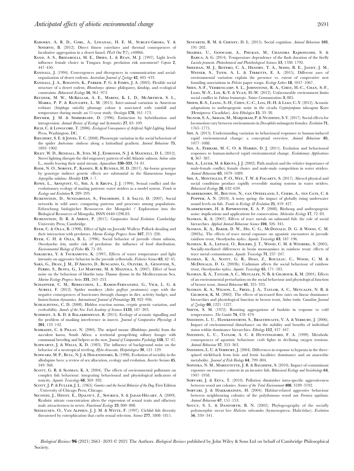- Rabosky, A. R. D., Corl, A., Liwanag, H. E. M., Surget-Groba, Y. & SINERVO, B. (2012). Direct fitness correlates and thermal consequences of facultative aggregation in a desert lizard. PLoS One 7(7), e40866.
- Rand, A. S., Bridarolli, M. E., Dries, L. & Ryan, M. J. (1997). Light levels influence female choice in Túngara frogs: predation risk assessment? Copeia 2, 447–450.
- RANDALL, J. (1994). Convergences and divergences in communication and socialorganization of desert rodents. Australian Journal of Zoology 42, 405–433.
- Randall, J. A., Rogovin, K., Parker, P. G. & Eimes, J. A. (2005). Flexible social structure of a desert rodent, Rhombomys opimus: philopatry, kinship, and ecological constraints. Behavioral Ecology 16, 961–973.
- Reudink, M. W., McKellar, A. E., Marini, K. L. D., McArthur, S. L., Marra, P. P. & Ratcliffe, L. M. (2015). Inter-annual variation in American redstart (Setophaga ruticilla) plumage colour is associated with rainfall and temperature during moult: an 11-year study. Oecologia 178, 161–173.
- RHYMER, J. M. & SIMBERLOFF, D. (1996). Extinction by hybridization and introgression. Annual Review of Ecology and Systematics 27, 83–109.
- RICH, C. & LONGCORE, T. (2006). Ecological Consequences of Artificial Night Lighting. Island Press, Washington, DC.
- Riechert, S. E. & Jones, T. C. (2008). Phenotypic variation in the social behaviour of the spider Anelosimus studiosus along a latitudinal gradient. Animal Behaviour 75, 1893–1902.
- Riley, W. D., Bendall, B., Ives, M. J., Edmonds, N. J. & Maxwell, D. L. (2012). Street lighting disrupts the diel migratory pattern of wild Atlantic salmon, Salmo salar L., smolts leaving their natal stream. Aquaculture 330–333, 74–81.
- Rode, N. O., Soroye, P., Kassen, R. & Rundle, H. D. (2017). Air-borne genotype by genotype indirect genetic effects are substantial in the filamentous fungus Aspergillus nidulans. Heredity 119, 1–7.
- ROWE, L., ARNQVIST, G., SIH, A. & KRUPA, J. J. (1994). Sexual conflict and the evolutionary ecology of mating patterns: water striders as a model system. Trends in Ecology and Evolution 9, 289–293.
- Rubenstein, D., Sundaresan, S., Fischhoff, I. & Saltz, D. (2007). Social networks in wild asses: comparing patterns and processes among populations. Erforschung biologischer Ressourcen der Mongolei / Exploration into the Biological Resources of Mongolia, ISSN 0440-1298.83.
- Rubenstein, D. R. & Abbot, P. (2017). Comparative Social Evolution. Cambridge University Press, Cambridge.
- Ryer, C. & Olla, B. (1998). Effect of light on Juvenile Walleye Pollock shoaling and their interaction with predators. Marine Ecology Progress Series 167, 215–226.
- Ryer, C. H. & Olla, B. L. (1996). Social behavior of juvenile chum salmon, Oncorhynchus keta, under risk of predation: the influence of food distribution. Environmental Biology of Fishes 45, 75–83.
- SAKAKURA, Y. & TSUKAMOTO, K. (1997). Effects of water temperature and light intensity on aggressive behavior in the juvenile yellowtails. Fisheries Science 63, 42–45.
- SARÀ, G., DEAN, J. M., D'AMATO, D., BUSCAINO, G., OLIVERI, A., GENOVESE, S., FERRO, S., BUFFA, G., LO MARTIRE, M. & MAZZOLA, S. (2007). Effect of boat noise on the behaviour of bluefin tuna Thunnus thynnus in the Mediterranean Sea. Marine Ecology Progress Series 331, 243–253.
- Schaffner, C. M., Rebecchini, L., Ramos-Fernandez, G., Vick, L. G. & AURELI, F. (2012). Spider monkeys (Ateles geoffroyi yucatenensis) cope with the negative consequences of hurricanes through changes in diet, activity budget, and fission-fusion dynamics. International Journal of Primatology 33, 922–936.
- SCHLICHTING, C. D. (2008). Hidden reaction norms, cryptic genetic variation, and evolvability. Annals of the New York Academy of Sciences 1133, 187–203.
- SCHMIDT, A. K. D. & BALAKRISHNAN, R. (2015). Ecology of acoustic signalling and the problem of masking interference in insects. Journal of Comparative Physiology A 201, 133–142.
- SCHRADIN, C. & PILLAY, N. (2004). The striped mouse (Rhabdomys pumilio) from the succulent karoo, South Africa: a territorial group-living solitary forager with communal breeding and helpers at the nest. Journal of Comparative Psychology 118, 37-47.
- SCHWARTZ, J. & WELLS, K. D. (1983). The influence of background noise on the behavior of a neotropical treefrog, Hyla ebraccata. Herpetologica 39, 121–129.
- SCHWARZ, M. P., BULL, N. J. & HOGENDOORN, K. (1998). Evolution of sociality in the allodapine bees: a review of sex allocation, ecology and evolution. Insectes Sociaux 45, 349–368.
- SCOTT, G. R. & SLOMAN, K. A. (2004). The effects of environmental pollutants on complex fish behaviour: integrating behavioural and physiological indicators of toxicity. Aquatic Toxicology 68, 369-392.
- SCOTT, J. P. & FULLER, J. L. (1965). Genetics and the Social Behavior of the Dog, First Edition . University of Chicago Press, Chicago.
- SECONDI, J., HINOT, E., DJALOUT, Z., SOURICE, S. & JADAS-HÉCART, A. (2009). Realistic nitrate concentration alters the expression of sexual traits and olfactory male attractiveness in newts. Functional Ecology 23, 800–808.
- SEEHAUSEN, O., VAN ALPHEN, J. J. M. & WITTE, F. (1997). Cichlid fish diversity threatened by eutrophication that curbs sexual selection. Science 277, 1808-1811.
- SEYFARTH, R. M. & CHENEY, D. L. (2015). Social cognition. Animal Behaviour 103, 191–202.
- Sharma, U., Goswami, A., Phukan, M., Chandra Rajbongshi, S. & Barua, A. G. (2014). Temperature dependence of the flash duration of the firefly Luciola praeusta. Photochemical and Photobiological Sciences 13, 1788–1792.
- Sheehan, M. J., Botero, C. A., Hendry, T. A., Sedio, B. E., Jandt, J. M., WEINER, S., TOTH, A. L. & TIBBETTS, E. A. (2015). Different axes of environmental variation explain the presence vs. extent of cooperative nest founding associations in Polistes paper wasps. Ecology Letters 18, 1057–1067.
- Shen, S.-F., Vehrencamp, S. L., Johnstone, R. A., Chen, H.-C., Chan, S.-F., Liao, W.-Y., Lin, K.-Y. & Yuan, H.-W. (2012). Unfavourable environment limits social conflict in Yuhina brunneiceps. Nature Communications 3, 885.
- Shieh, B.-S., Liang, S.-H., Chen, C.-C., Loa, H.-H. & Liao, C.-Y. (2012). Acoustic adaptations to anthropogenic noise in the cicada Cryptotympana takasagona Kato (Hemiptera: Cicadidae). Acta Ethologica 15, 33–38.
- Signor, S. A., Abbasi, M., Marjoram, P. & Nuzhdin, S. V. (2017). Social effects for locomotion vary between environments in Drosophila melanogaster females. Evolution 71, 1765–1775.
- SIH, A. (2013). Understanding variation in behavioural responses to human-induced rapid environmental change: a conceptual overview. Animal Behaviour 85, 1077–1088.
- SIH, A., FERRARI, M. C. O. & HARRIS, D. J. (2011). Evolution and behavioural responses to human-induced rapid environmental change. Evolutionary Applications 4, 367–387.
- SIH, A., LAUER, M. & KRUPA, J. J. (2002). Path analysis and the relative importance of male-female conflict, female choice and male-male competition in water striders. Animal Behaviour 63, 1079–1089.
- SIH, A., MONTIGLIO, P. O., WEY, T. W. & FOGARTY, S. (2017). Altered physical and social conditions produce rapidly reversible mating systems in water striders. Behavioral Ecology 28, 632–639.
- Slabbekoorn, H., Bouton, N., van Opzeeland, I., Coers, A., ten Cate, C. & POPPER, A. N. (2010). A noisy spring: the impact of globally rising underwater sound levels on fish. Trends in Ecology & Evolution 25, 419-427.
- Slabbekoorn, H. & Ripmeester, E. A. P. (2008). Birdsong and anthropogenic noise: implications and applications for conservation. Molecular Ecology 17, 72–83.
- Sloman, K. A. (2007). Effects of trace metals on salmonid fish: the role of social hierarchies. Applied Animal Behaviour Science 104, 326-345.
- Sloman, K. A., Baker, D. W., Ho, C. G., McDonald, D. G. & Wood, C. M. (2003a). The effects of trace metal exposure on agonistic encounters in juvenile rainbow trout, Oncorhynchus mykiss. Aquatic Toxicology 63, 187–196.
- Sloman, K. A., Lepage, O., Rogers, J. T., Wood, C. M. & Winberg, S. (2005). Socially-mediated differences in brain monoamines in rainbow trout: effects of trace metal contaminants. Aquatic Toxicology 71, 237–247.
- Sloman, K. A., Scott, G. R., Diao, Z., Rouleau, C., Wood, C. M. & McDonald, D. G. (2003b). Cadmium affects the social behaviour of rainbow trout, Oncorhynchus mykiss. Aquatic Toxicology 65, 171–185.
- Sloman, K. A., Taylor, A. C., Metcalfe, N. B. & Gilmour, K. M. (2001). Effects of an environmental perturbation on the social behaviour and physiological function of brown trout. Animal Behaviour 61, 325–333.
- Sloman, K. A., Wilson, L., Freel, J. A., Taylor, A. C., Metcalfe, N. B. & Gilmour, K. M. (2002). The effects of increased flow rates on linear dominance hierarchies and physiological function in brown trout, Salmo trutta. Canadian Journal of  $\zeta$ oology 80, 1221–1227.
- SMITH, S. M. (1972). Roosting aggregations of bushtits in response to cold temperatures. The Condor 74, 478–479.
- SNEDDON, L. U., HAWKESWORTH, S., BRAITHWAITE, V. A. & YERBURY, J. (2006). Impact of environmental disturbance on the stability and benefits of individual status within dominance hierarchies. Ethology 112, 437–447.
- SNEDDON, L. U., TAYLOR, A. C. & HUNTINGFORD, F. A. (1999). Metabolic consequences of agonistic behaviour: crab fights in declining oxygen tensions. Animal Behaviour 57, 353–363.
- SNEDDON, L. U. & YERBURY, J. (2004). Differences in response to hypoxia in the threespined stickleback from lotic and lentic localities: dominance and an anaerobic metabolite. Journal of Fish Biology 64, 799-804.
- SOPINKA, N. M., MARENTETTE, J. R. & BALSHINE, S. (2010). Impact of contaminant exposure on resource contests in an invasive fish. Behavioral Ecology and Sociobiology 64, 1947–1958.
- SORVARI, J. & EEVA, T. (2010). Pollution diminishes intra-specific aggressiveness between wood ant colonies. Science of the Total Environment 408, 3189-3192.
- Sorvari, J. & Hakkarainen, H. (2004). Habitat-related aggressive behaviour between neighbouring colonies of the polydomous wood ant Formica aquilonia. Animal Behaviour 67, 151–153.
- Soucy, S. L. & Danforth, B. N. (2002). Phylogeography of the socially polymorphic sweat bee Halictus rubicundus (hymenoptera: Halictidae). Evolution 56, 330–341.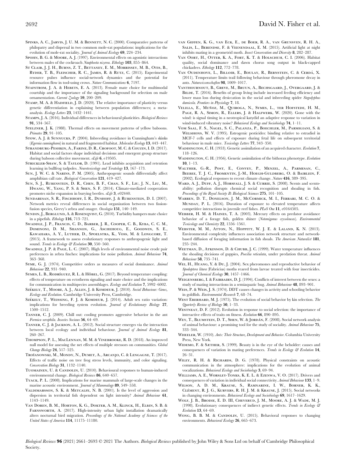- SPINKS, A. C., JARVIS, J. U. M. & BENNETT, N. C. (2000). Comparative patterns of philopatry and dispersal in two common mole-rat populations: implications for the evolution of mole-rat sociality. Journal of Animal Ecology 69, 224-234.
- Spohn, B. G. & Moore, A. J. (1997). Environmental effects on agonistic interactions between males of the cockroach Nauphoeta nizerea. Ethology 103, 855–864.
- ST CLAIR, J. J. H., BURNS, Z. T., BETTANEY, E. M., MORRISSEY, M. B., OTIS, B., Ryder, T. B., Fleischer, R. C., James, R. & Rutz, C. (2015). Experimental resource pulses influence social-network dynamics and the potential for information flow in tool-using crows. Nature Communications 6, 7197.
- STAFSTROM, J. A. & HEBETS, E. A. (2013). Female mate choice for multimodal courtship and the importance of the signaling background for selection on male ornamentation. Current Zoology 59, 200–209.
- STAMP, M. A. & HADFIELD, J. D. (2020). The relative importance of plasticity versus genetic differentiation in explaining between population differences; a metaanalysis. Ecology Letters 23, 1432–1441.
- STAMPS, J. A. (2016). Individual differences in behavioural plasticities. Biological Reviews 91, 534–567.
- STELZNER, J. K. (1988). Thermal effects on movement patterns of yellow baboons. Primates 29, 91–105.
- Stow, A. J. & Sunnucks, P. (2004). Inbreeding avoidance in Cunningham's skinks (Egernia cunninghami) in natural and fragmented habitat. Molecular Ecology 13, 443–447.
- Strandburg-Peshkin, A., Farine, D. R., Crofoot, M. C. & Couzin, I. D. (2017). Habitat and social factors shape individual decisions and emergent group structure during baboon collective movement. eLife 6, e19505.
- STRICKLER-SHAW, S. & TAYLOR, D. (1991). Lead inhibits acquisition and retention learning in bullfrog tadpoles. Neurotoxicology and Teratology 13, 167–173.
- Sun, J. W. C. & Narins, P. M. (2005). Anthropogenic sounds differentially affect amphibian call rate. Biological Conservation 121, 419–427.
- Sun, S. J., Rubenstein, D. R., Chen, B. F., Chan, S. F., Liu, J. N., Liu, M., Hwang, W., Yang, P. S. & Shen, S. F. (2014). Climate-mediated cooperation promotes niche expansion in burying beetles. eLife 3, e02440.
- Sundaresan, S. R., Fischhoff, I. R., Dushoff, J. & Rubenstein, D. I. (2007). Network metrics reveal differences in social organization between two fissionfusion species, Grevy's zebra and onager. Oecologia 151, 140–149.
- SUNDIN, J., BERGLUND, A. & ROSENQVIST, G. (2010). Turbidity hampers mate choice in a pipefish. Ethology 116, 713–721.
- Swaddle, J. P., Francis, C. D., Barber, J. R., Cooper, C. B., Kyba, C. C. M., Dominoni, D. M., Shannon, G., Aschehoug, E., Goodwin, S. E., Kawahara, A. Y., Luther, D., Spoelstra, K., Voss, M. & Longcore, T. (2015). A framework to assess evolutionary responses to anthropogenic light and sound. Trends in Ecology & Evolution 30, 550-560.
- SWADDLE, J. P. & PAGE, L. C. (2007). High levels of environmental noise erode pair preferences in zebra finches: implications for noise pollution. Animal Behaviour 74, 363–368.
- SYME, G. J. (1974). Competitive orders as measures of social dominance. Animal Behaviour 22, 931–940.
- SYMES, L. B., RODRÍGUEZ, R. L. & HÖBEL, G. (2017). Beyond temperature coupling: effects of temperature on ectotherm signaling and mate choice and the implications for communication in multispecies assemblages. Ecology and Evolution 7, 5992–6002.
- SZÉKELY, T., MOORE, A. J., ALLEN, J. & KOMDEUR, J. (2010). Social Behaviour: Genes, Ecology and Evolution. Cambridge University Press, Cambridge.
- SZÉKELY, T., WEISSING, F. J. & KOMDEUR, J. (2014). Adult sex ratio variation: implications for breeding system evolution. Journal of Evolutionary Biology 27, 1500–1512.
- Tanner, C. J. (2009). Chill out: cooling promotes aggressive behavior in the ant Formica xerophila. Insectes Sociaux 56, 64–69.
- Tanner, C. J. & Jackson, A. L. (2012). Social structure emerges via the interaction between local ecology and individual behaviour. Journal of Animal Ecology 81, 260–267.
- Thompson, P. L., MacLennan, M. M. & Vinebrooke, R. D. (2018). An improved null model for assessing the net effects of multiple stressors on communities. Global Change Biology 24, 517–525.
- Troïanowski, M., Mondy, N., Dumet, A., Arcanjo, C. & Lengagne, T. (2017). Effects of traffic noise on tree frog stress levels, immunity, and color signaling. Conservation Biology 31, 1132–1140.
- TUOMAINEN, U. & CANDOLIN, U. (2010). Behavioural responses to human-induced environmental change. Biological Reviews 86, 640–657.
- Tyack, P. L. (2008). Implications for marine mammals of large-scale changes in the marine acoustic environment. Journal of Mammalogy 89, 549-558.
- VALDIMARSSON, S. K. & METCALFE, N. B. (2001). Is the level of aggression and dispersion in territorial fish dependent on light intensity? Animal Behaviour 61, 1143–1149.
- Van Doren, B. M., Horton, K. G., Dokter, A. M., Klinck, H., Elbin, S. B. & Farnsworth, A. (2017). High-intensity urban light installation dramatically alters nocturnal bird migration. Proceedings of the National Academy of Sciences of the United States of America 114, 11175–11180.
- van Geffen, K. G., van Eck, E., de Boer, R. A., van Grunsven, R. H. A., Salis, L., Berendse, F. & Veenendaal, E. M. (2015). Artificial light at night inhibits mating in a geometrid moth. Insect Conservation and Diversity 8, 282–287.
- Van Oort, H., Otter, K. A., Fort, K. T. & Holschuh, C. I. (2006). Habitat quality, social dominance and dawn chorus song output in black-capped chickadees. Ethology 112, 772–778.
- Van Oudenhove, L., Billoir, E., Boulay, R., Bernstein, C. & Cerda, X. (2011). Temperature limits trail following behaviour through pheromone decay in ants. Naturwissenschaften 98, 1009–1017.
- Vanthournout, B., Greve, M., Bruun, A., Bechsgaard, J., Overgaard, J. & BILDE, T. (2016). Benefits of group living include increased feeding efficiency and lower mass loss during desiccation in the social and inbreeding spider Stegodyphus dumicola. Frontiers in Physiology 7, 18.
- VELILLA, E., MUÑOZ, M., QUIROGA, N., SYMES, L., TER HOFSTEDE, H. M., PAGE, R. A., SIMON, R., ELLERS, J. & HALFWERK, W. (2020). Gone with the wind: is signal timing in a neotropical katydid an adaptive response to variation in wind-induced vibratory noise? Behavioral Ecology and Sociobiology 74, 1–11.
- Vom Saal, F. S., Nagel, S. C., Palanza, P., Boechler, M., Parmigiani, S. & Welshons, W. V. (1995). Estrogenic pesticides: binding relative to estradiol in MCF-7 cells and effects of exposure during fetal life on subsequent territorial behaviour in male mice. Toxicology Letters 77, 343–350.
- WADDINGTON, C. H. (1953). Genetic assimilation of an acquired character. Evolution 7, 118–126.
- WADDINGTON, C. H. (1956). Genetic assimilation of the bithorax phenotype. Evolution 10, 1–13.
- Walther, G.-R., Post, E., Convey, P., Menzel, A., Parmesan, C., Beebee, T. J. C., Fromentin, J.-M., Hoegh-Guldberg, O. & Bairlein, F. (2002). Ecological responses to recent climate change. Nature 416, 389–395.
- WARD, A. J., DUFF, A. J., HORSFALL, J. S. & CURRIE, S. (2008). Scents and scentsability: pollution disrupts chemical social recognition and shoaling in fish. Proceedings of the Royal Society B: Biological Sciences 275, 101–105.
- Warren, D. T., Donelson, J. M., McCormick, M. I., Ferrari, M. C. O. & Munday, P. L. (2016). Duration of exposure to elevated temperature affects competitive interactions in juvenile reef fishes. PLoS One 11, e0164505.
- Webber, H. M. & Haines, T. A. (2003). Mercury effects on predator avoidance behavior of a forage fish, golden shiner (Notemigonus crysoleucas). Environmental Toxicology and Chemistry 22, 1556–1561.
- Webster, M. M., Atton, N., Hoppitt, W. J. E. & Laland, K. N. (2013). Environmental complexity influences association network structure and networkbased diffusion of foraging information in fish shoals. The American Naturalist 181, 235–244.
- WEETMAN, D., ATKINSON, D. & CHUBB, J. C. (1999). Water temperature influences the shoaling decisions of guppies, Poecilia reticulata, under predation threat. Animal Behaviour 58, 735–741.
- WEI, H., HUANG, Y. & DU, J. (2004). Sex pheromones and reproductive behavior of Spodoptera litura (Fabricius) moths reared from larvae treated with four insecticides. Journal of Chemical Ecology 30, 1457-1466.
- WEIGENSBERG, I. & FAIRBAIRN, D. J. (1994). Conflicts of interest between the sexes: a study of mating interactions in a semiaquatic bug. Animal Behaviour 48, 893–901.
- Weis, P. & Weis, J. S. (1974). DDT causes changes in activity and schooling behavior in goldfish. Environmental Research 7, 68–74.
- WEST EBERHARD, M. J. (1975). The evolution of social behavior by kin selection. The Quarterly Review of Biology 50, 1–33.
- Westneat, D. F. (2012). Evolution in response to social selection: the importance of interactive effects of traits on fitness. Evolution 66, 890–895.
- WEY, T., BLUMSTEIN, D. T., SHEN, W. & JORDÁN, F. (2008). Social network analysis of animal behaviour: a promising tool for the study of sociality. Animal Behaviour 75, 333–344.
- Wheeler, W. (1910). Ants: Their Structure, Development and Behavior. Columbia University Press, New York.
- WIDEMO, F. & SÆTHER, S. (1999). Beauty is in the eye of the beholder: causes and consequences of variation in mating preferences. Trends in Ecology & Evolution 14, 26–31.
- WILEY, R. H. & RICHARDS, D. G. (1978). Physical constraints on acoustic communication in the atmosphere: implications for the evolution of animal vocalizations. Behavioral Ecology and Sociobiology 3, 69–94.
- Williams, A. E., Worsley-Tonks, K. E. L. & Ezenwa, V. O. (2017). Drivers and consequences of variation in individual social connectivity. Animal Behaviour 133, 1–9.
- Wilson, A. D. M., Krause, S., Ramnarine, I. W., Borner, K. K., CLÉMENT, R. J. G., KURVERS, R. H. J. M. & KRAUSE, J. (2015). Social networks in changing environments. Behavioral Ecology and Sociobiology 69, 1617–1629.
- Wolf, J. B., Brodie, E. D. III, Cheverud, J. M., Moore, A. J. & Wade, M. J. (1998). Evolutionary consequences of indirect genetic effects. Trends in Ecology & Evolution 13, 64–69.
- WONG, B. B. M. & CANDOLIN, U. (2015). Behavioral responses to changing environments. Behavioral Ecology 26, 665–673.